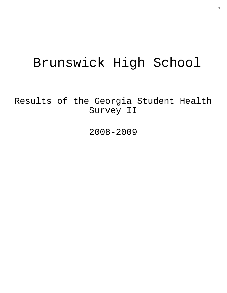# Brunswick High School

Results of the Georgia Student Health Survey II

2008-2009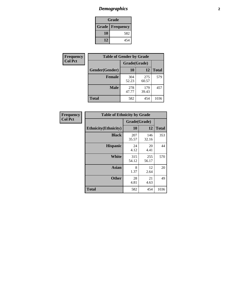# *Demographics* **2**

| Grade                  |     |  |  |  |
|------------------------|-----|--|--|--|
| <b>Grade Frequency</b> |     |  |  |  |
| 10                     | 582 |  |  |  |
| 12                     | 454 |  |  |  |

| <b>Frequency</b> | <b>Table of Gender by Grade</b> |              |              |              |  |  |
|------------------|---------------------------------|--------------|--------------|--------------|--|--|
| <b>Col Pct</b>   |                                 | Grade(Grade) |              |              |  |  |
|                  | Gender(Gender)                  | 10           | 12           | <b>Total</b> |  |  |
|                  | <b>Female</b>                   | 304<br>52.23 | 275<br>60.57 | 579          |  |  |
|                  | <b>Male</b>                     | 278<br>47.77 | 179<br>39.43 | 457          |  |  |
|                  | <b>Total</b>                    | 582          | 454          | 1036         |  |  |

| <b>Frequency</b><br>Col Pct |
|-----------------------------|

| <b>Table of Ethnicity by Grade</b> |              |              |              |  |  |  |
|------------------------------------|--------------|--------------|--------------|--|--|--|
|                                    | Grade(Grade) |              |              |  |  |  |
| <b>Ethnicity</b> (Ethnicity)       | 10           | 12           | <b>Total</b> |  |  |  |
| <b>Black</b>                       | 207<br>35.57 | 146<br>32.16 | 353          |  |  |  |
| <b>Hispanic</b>                    | 24<br>4.12   | 20<br>4.41   | 44           |  |  |  |
| <b>White</b>                       | 315<br>54.12 | 255<br>56.17 | 570          |  |  |  |
| <b>Asian</b>                       | 8<br>1.37    | 12<br>2.64   | 20           |  |  |  |
| <b>Other</b>                       | 28<br>4.81   | 21<br>4.63   | 49           |  |  |  |
| <b>Total</b>                       | 582          | 454          | 1036         |  |  |  |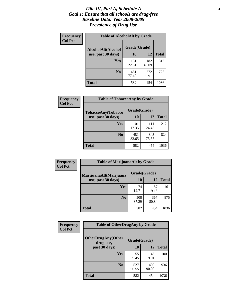### *Title IV, Part A, Schedule A* **3** *Goal 1: Ensure that all schools are drug-free Baseline Data: Year 2008-2009 Prevalence of Drug Use*

| Frequency<br><b>Col Pct</b> | <b>Table of AlcoholAlt by Grade</b> |              |              |              |  |  |
|-----------------------------|-------------------------------------|--------------|--------------|--------------|--|--|
|                             | AlcoholAlt(Alcohol                  | Grade(Grade) |              |              |  |  |
|                             | use, past 30 days)                  | 10           | 12           | <b>Total</b> |  |  |
|                             | Yes                                 | 131<br>22.51 | 182<br>40.09 | 313          |  |  |
|                             | N <sub>0</sub>                      | 451<br>77.49 | 272<br>59.91 | 723          |  |  |
|                             | <b>Total</b>                        | 582          | 454          | 1036         |  |  |

| Frequency      | <b>Table of TobaccoAny by Grade</b> |              |              |              |  |
|----------------|-------------------------------------|--------------|--------------|--------------|--|
| <b>Col Pct</b> | <b>TobaccoAny(Tobacco</b>           | Grade(Grade) |              |              |  |
|                | use, past 30 days)                  | 10           | 12           | <b>Total</b> |  |
|                | Yes                                 | 101<br>17.35 | 111<br>24.45 | 212          |  |
|                | N <sub>0</sub>                      | 481<br>82.65 | 343<br>75.55 | 824          |  |
|                | <b>Total</b>                        | 582          | 454          | 1036         |  |

| Frequency      | <b>Table of MarijuanaAlt by Grade</b> |              |              |              |  |
|----------------|---------------------------------------|--------------|--------------|--------------|--|
| <b>Col Pct</b> | MarijuanaAlt(Marijuana                | Grade(Grade) |              |              |  |
|                | use, past 30 days)                    | 10           | 12           | <b>Total</b> |  |
|                | <b>Yes</b>                            | 74<br>12.71  | 87<br>19.16  | 161          |  |
|                | N <sub>0</sub>                        | 508<br>87.29 | 367<br>80.84 | 875          |  |
|                | <b>Total</b>                          | 582          | 454          | 1036         |  |

| Frequency<br><b>Col Pct</b> | <b>Table of OtherDrugAny by Grade</b>  |              |              |              |  |
|-----------------------------|----------------------------------------|--------------|--------------|--------------|--|
|                             | <b>OtherDrugAny(Other</b><br>drug use, | Grade(Grade) |              |              |  |
|                             | past 30 days)                          | 10           | 12           | <b>Total</b> |  |
|                             | Yes                                    | 55<br>9.45   | 45<br>9.91   | 100          |  |
|                             | N <sub>0</sub>                         | 527<br>90.55 | 409<br>90.09 | 936          |  |
|                             | <b>Total</b>                           | 582          | 454          | 1036         |  |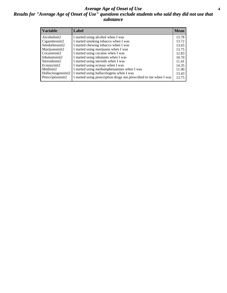### *Average Age of Onset of Use* **4** *Results for "Average Age of Onset of Use" questions exclude students who said they did not use that substance*

| <b>Variable</b>    | Label                                                              | <b>Mean</b> |
|--------------------|--------------------------------------------------------------------|-------------|
| Alcoholinit2       | I started using alcohol when I was                                 | 13.78       |
| Cigarettesinit2    | I started smoking tobacco when I was                               | 13.72       |
| Smokelessinit2     | I started chewing tobacco when I was                               | 13.65       |
| Marijuanainit2     | I started using marijuana when I was                               | 13.75       |
| Cocaineinit2       | I started using cocaine when I was                                 | 12.83       |
| Inhalantsinit2     | I started using inhalants when I was                               | 10.70       |
| Steroidsinit2      | I started using steroids when I was                                | 11.41       |
| Ecstasyinit2       | I started using ecstasy when I was                                 | 14.35       |
| Methinit2          | I started using methamphetamines when I was                        | 11.90       |
| Hallucinogensinit2 | I started using hallucinogens when I was                           | 13.43       |
| Prescriptioninit2  | I started using prescription drugs not prescribed to me when I was | 13.75       |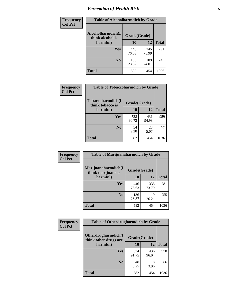# *Perception of Health Risk* **5**

| Frequency      | <b>Table of Alcoholharmdich by Grade</b> |              |              |              |  |
|----------------|------------------------------------------|--------------|--------------|--------------|--|
| <b>Col Pct</b> | Alcoholharmdich(I<br>think alcohol is    | Grade(Grade) |              |              |  |
|                | harmful)                                 | 10           | 12           | <b>Total</b> |  |
|                | <b>Yes</b>                               | 446<br>76.63 | 345<br>75.99 | 791          |  |
|                | N <sub>0</sub>                           | 136<br>23.37 | 109<br>24.01 | 245          |  |
|                | <b>Total</b>                             | 582          | 454          | 1036         |  |

| Frequency      | <b>Table of Tobaccoharmdich by Grade</b> |              |              |              |  |
|----------------|------------------------------------------|--------------|--------------|--------------|--|
| <b>Col Pct</b> | Tobaccoharmdich(I<br>think tobacco is    | Grade(Grade) |              |              |  |
|                | harmful)                                 | 10           | 12           | <b>Total</b> |  |
|                | Yes                                      | 528<br>90.72 | 431<br>94.93 | 959          |  |
|                | N <sub>0</sub>                           | 54<br>9.28   | 23<br>5.07   | 77           |  |
|                | <b>Total</b>                             | 582          | 454          | 1036         |  |

| Frequency      | <b>Table of Marijuanaharmdich by Grade</b> |              |              |              |  |  |
|----------------|--------------------------------------------|--------------|--------------|--------------|--|--|
| <b>Col Pct</b> | Marijuanaharmdich(I<br>think marijuana is  | Grade(Grade) |              |              |  |  |
|                | harmful)                                   | 10           | 12           | <b>Total</b> |  |  |
|                | Yes                                        | 446<br>76.63 | 335<br>73.79 | 781          |  |  |
|                | N <sub>0</sub>                             | 136<br>23.37 | 119<br>26.21 | 255          |  |  |
|                | <b>Total</b>                               | 582          | 454          | 1036         |  |  |

| <b>Frequency</b> | <b>Table of Otherdrugharmdich by Grade</b>                   |              |              |              |  |  |  |  |
|------------------|--------------------------------------------------------------|--------------|--------------|--------------|--|--|--|--|
| <b>Col Pct</b>   | Otherdrugharmdich(I<br>Grade(Grade)<br>think other drugs are |              |              |              |  |  |  |  |
|                  | harmful)                                                     | 10           | 12           | <b>Total</b> |  |  |  |  |
|                  | <b>Yes</b>                                                   | 534<br>91.75 | 436<br>96.04 | 970          |  |  |  |  |
|                  | N <sub>0</sub>                                               | 48<br>8.25   | 18<br>3.96   | 66           |  |  |  |  |
|                  | <b>Total</b>                                                 | 582          | 454          | 1036         |  |  |  |  |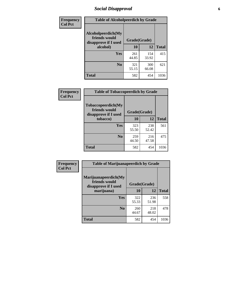# *Social Disapproval* **6**

| Frequency      | <b>Table of Alcoholpeerdich by Grade</b>                    |              |              |              |  |  |  |
|----------------|-------------------------------------------------------------|--------------|--------------|--------------|--|--|--|
| <b>Col Pct</b> | Alcoholpeerdich(My<br>friends would<br>disapprove if I used |              | Grade(Grade) |              |  |  |  |
|                | alcohol)                                                    | 10           | 12           | <b>Total</b> |  |  |  |
|                | <b>Yes</b>                                                  | 261<br>44.85 | 154<br>33.92 | 415          |  |  |  |
|                | N <sub>0</sub>                                              | 321<br>55.15 | 300<br>66.08 | 621          |  |  |  |
|                | <b>Total</b>                                                | 582          | 454          | 1036         |  |  |  |

| <b>Frequency</b> |
|------------------|
| <b>Col Pct</b>   |

| <b>Table of Tobaccopeerdich by Grade</b>                    |              |              |              |  |  |  |
|-------------------------------------------------------------|--------------|--------------|--------------|--|--|--|
| Tobaccopeerdich(My<br>friends would<br>disapprove if I used | Grade(Grade) |              |              |  |  |  |
| tobacco)                                                    | 10           | 12           | <b>Total</b> |  |  |  |
| Yes                                                         | 323<br>55.50 | 238<br>52.42 | 561          |  |  |  |
| N <sub>0</sub>                                              | 259<br>44.50 | 216<br>47.58 | 475          |  |  |  |
| <b>Total</b>                                                | 582          | 454          | 1036         |  |  |  |

| <b>Frequency</b> | <b>Table of Marijuanapeerdich by Grade</b>                    |              |              |              |  |  |  |  |
|------------------|---------------------------------------------------------------|--------------|--------------|--------------|--|--|--|--|
| <b>Col Pct</b>   | Marijuanapeerdich(My<br>friends would<br>disapprove if I used | Grade(Grade) |              |              |  |  |  |  |
|                  | marijuana)                                                    | 10           | 12           | <b>Total</b> |  |  |  |  |
|                  | <b>Yes</b>                                                    | 322<br>55.33 | 236<br>51.98 | 558          |  |  |  |  |
|                  | N <sub>0</sub>                                                | 260<br>44.67 | 218<br>48.02 | 478          |  |  |  |  |
|                  | <b>Total</b>                                                  | 582          | 454          | 1036         |  |  |  |  |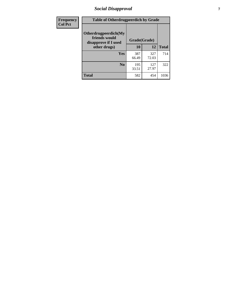# *Social Disapproval* **7**

| Frequency      | <b>Table of Otherdrugpeerdich by Grade</b>                    |              |              |              |  |  |  |  |
|----------------|---------------------------------------------------------------|--------------|--------------|--------------|--|--|--|--|
| <b>Col Pct</b> | Otherdrugpeerdich(My<br>friends would<br>disapprove if I used | Grade(Grade) |              |              |  |  |  |  |
|                | other drugs)                                                  | 10           | 12           | <b>Total</b> |  |  |  |  |
|                | Yes                                                           | 387<br>66.49 | 327<br>72.03 | 714          |  |  |  |  |
|                | N <sub>0</sub>                                                | 195<br>33.51 | 127<br>27.97 | 322          |  |  |  |  |
|                | <b>Total</b>                                                  | 582          | 454          | 1036         |  |  |  |  |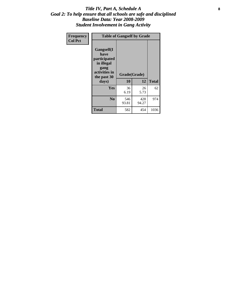### Title IV, Part A, Schedule A **8** *Goal 2: To help ensure that all schools are safe and disciplined Baseline Data: Year 2008-2009 Student Involvement in Gang Activity*

| Frequency      | <b>Table of Gangself by Grade</b>                                                                 |                    |              |              |
|----------------|---------------------------------------------------------------------------------------------------|--------------------|--------------|--------------|
| <b>Col Pct</b> | Gangself(I<br>have<br>participated<br>in illegal<br>gang<br>activities in<br>the past 30<br>days) | Grade(Grade)<br>10 | 12           | <b>Total</b> |
|                | Yes                                                                                               | 36<br>6.19         | 26<br>5.73   | 62           |
|                | N <sub>0</sub>                                                                                    | 546<br>93.81       | 428<br>94.27 | 974          |
|                | Total                                                                                             | 582                | 454          | 1036         |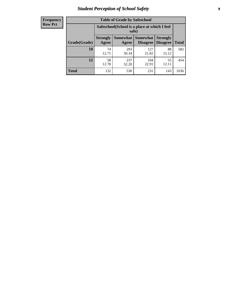# *Student Perception of School Safety* **9**

| <b>Frequency</b><br>Row Pct |
|-----------------------------|
|                             |

| <b>Table of Grade by Safeschool</b> |                                                        |                          |                                    |                                    |              |  |  |
|-------------------------------------|--------------------------------------------------------|--------------------------|------------------------------------|------------------------------------|--------------|--|--|
|                                     | Safeschool (School is a place at which I feel<br>safe) |                          |                                    |                                    |              |  |  |
| Grade(Grade)                        | <b>Strongly</b><br>Agree                               | <b>Somewhat</b><br>Agree | <b>Somewhat</b><br><b>Disagree</b> | <b>Strongly</b><br><b>Disagree</b> | <b>Total</b> |  |  |
| 10                                  | 74<br>12.71                                            | 293<br>50.34             | 127<br>21.82                       | 88<br>15.12                        | 582          |  |  |
| 12                                  | 58<br>12.78                                            | 237<br>52.20             | 104<br>22.91                       | 55<br>12.11                        | 454          |  |  |
| <b>Total</b>                        | 132                                                    | 530                      | 231                                | 143                                | 1036         |  |  |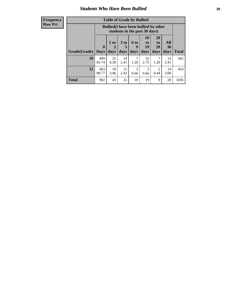### *Students Who Have Been Bullied* **10**

| <b>Frequency</b> |
|------------------|
| Row Pct          |

| <b>Table of Grade by Bullied</b> |                            |                                                                               |                              |                   |                        |                        |                          |       |
|----------------------------------|----------------------------|-------------------------------------------------------------------------------|------------------------------|-------------------|------------------------|------------------------|--------------------------|-------|
|                                  |                            | <b>Bullied</b> (I have been bullied by other<br>students in the past 30 days) |                              |                   |                        |                        |                          |       |
| Grade(Grade)                     | $\mathbf 0$<br><b>Days</b> | 1 or<br>2<br>days                                                             | 3 <sub>to</sub><br>5<br>days | 6 to<br>9<br>days | 10<br>to<br>19<br>days | 20<br>to<br>29<br>days | All<br><b>30</b><br>days | Total |
| 10                               | 499<br>85.74               | 25<br>4.30                                                                    | 14<br>2.41                   | 7<br>1.20         | 16<br>2.75             | 7<br>1.20              | 14<br>2.41               | 582   |
| 12                               | 403<br>88.77               | 18<br>3.96                                                                    | 11<br>2.42                   | 3<br>0.66         | 3<br>0.66              | 2<br>0.44              | 14<br>3.08               | 454   |
| <b>Total</b>                     | 902                        | 43                                                                            | 25                           | 10                | 19                     | 9                      | 28                       | 1036  |

 $\blacksquare$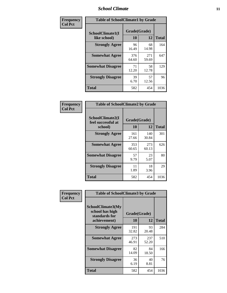### *School Climate* **11**

| <b>Frequency</b> | <b>Table of SchoolClimate1 by Grade</b> |                    |              |              |  |  |
|------------------|-----------------------------------------|--------------------|--------------|--------------|--|--|
| <b>Col Pct</b>   | SchoolClimate1(I<br>like school)        | Grade(Grade)<br>10 | 12           | <b>Total</b> |  |  |
|                  | <b>Strongly Agree</b>                   | 96<br>16.49        | 68<br>14.98  | 164          |  |  |
|                  | <b>Somewhat Agree</b>                   | 376<br>64.60       | 271<br>59.69 | 647          |  |  |
|                  | <b>Somewhat Disagree</b>                | 71<br>12.20        | 58<br>12.78  | 129          |  |  |
|                  | <b>Strongly Disagree</b>                | 39<br>6.70         | 57<br>12.56  | 96           |  |  |
|                  | <b>Total</b>                            | 582                | 454          | 1036         |  |  |

| Frequency<br>Col Pct |
|----------------------|

| <b>Table of SchoolClimate2 by Grade</b>           |                    |              |              |  |  |
|---------------------------------------------------|--------------------|--------------|--------------|--|--|
| SchoolClimate2(I<br>feel successful at<br>school) | Grade(Grade)<br>10 | 12           | <b>Total</b> |  |  |
| <b>Strongly Agree</b>                             | 161<br>27.66       | 140<br>30.84 | 301          |  |  |
| <b>Somewhat Agree</b>                             | 353<br>60.65       | 273<br>60.13 | 626          |  |  |
| <b>Somewhat Disagree</b>                          | 57<br>9.79         | 23<br>5.07   | 80           |  |  |
| <b>Strongly Disagree</b>                          | 11<br>1.89         | 18<br>3.96   | 29           |  |  |
| <b>Total</b>                                      | 582                | 454          | 1036         |  |  |

| Frequency      | <b>Table of SchoolClimate3 by Grade</b>                      |                          |              |              |
|----------------|--------------------------------------------------------------|--------------------------|--------------|--------------|
| <b>Col Pct</b> | <b>SchoolClimate3(My</b><br>school has high<br>standards for | Grade(Grade)<br>10<br>12 |              |              |
|                | achievement)                                                 |                          |              | <b>Total</b> |
|                | <b>Strongly Agree</b>                                        | 191<br>32.82             | 93<br>20.48  | 284          |
|                | <b>Somewhat Agree</b>                                        | 273<br>46.91             | 237<br>52.20 | 510          |
|                | <b>Somewhat Disagree</b>                                     | 82<br>14.09              | 84<br>18.50  | 166          |
|                | <b>Strongly Disagree</b>                                     | 36<br>6.19               | 40<br>8.81   | 76           |
|                | Total                                                        | 582                      | 454          | 1036         |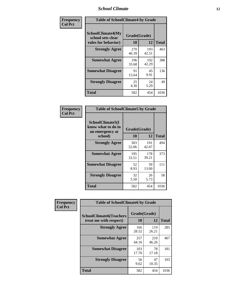### *School Climate* **12**

| Frequency      | <b>Table of SchoolClimate4 by Grade</b>                              |                    |              |              |  |
|----------------|----------------------------------------------------------------------|--------------------|--------------|--------------|--|
| <b>Col Pct</b> | <b>SchoolClimate4(My</b><br>school sets clear<br>rules for behavior) | Grade(Grade)<br>10 | 12           | <b>Total</b> |  |
|                | <b>Strongly Agree</b>                                                | 270<br>46.39       | 193<br>42.51 | 463          |  |
|                | <b>Somewhat Agree</b>                                                | 196<br>33.68       | 192<br>42.29 | 388          |  |
|                | <b>Somewhat Disagree</b>                                             | 91<br>15.64        | 45<br>9.91   | 136          |  |
|                | <b>Strongly Disagree</b>                                             | 25<br>4.30         | 24<br>5.29   | 49           |  |
|                | <b>Total</b>                                                         | 582                | 454          | 1036         |  |

| <b>Table of SchoolClimate5 by Grade</b>                   |              |              |              |  |  |
|-----------------------------------------------------------|--------------|--------------|--------------|--|--|
| SchoolClimate5(I<br>know what to do in<br>an emergency at | Grade(Grade) |              |              |  |  |
| school)                                                   | 10           | 12           | <b>Total</b> |  |  |
| <b>Strongly Agree</b>                                     | 303<br>52.06 | 191<br>42.07 | 494          |  |  |
| <b>Somewhat Agree</b>                                     | 195<br>33.51 | 178<br>39.21 | 373          |  |  |
| <b>Somewhat Disagree</b>                                  | 52<br>8.93   | 59<br>13.00  | 111          |  |  |
| <b>Strongly Disagree</b>                                  | 32<br>5.50   | 26<br>5.73   | 58           |  |  |
| Total                                                     | 582          | 454          | 1036         |  |  |

| Frequency      | <b>Table of SchoolClimate6 by Grade</b>                  |                    |              |              |  |
|----------------|----------------------------------------------------------|--------------------|--------------|--------------|--|
| <b>Col Pct</b> | <b>SchoolClimate6(Teachers</b><br>treat me with respect) | Grade(Grade)<br>10 | 12           | <b>Total</b> |  |
|                | <b>Strongly Agree</b>                                    | 166<br>28.52       | 119<br>26.21 | 285          |  |
|                | <b>Somewhat Agree</b>                                    | 257<br>44.16       | 210<br>46.26 | 467          |  |
|                | <b>Somewhat Disagree</b>                                 | 103<br>17.70       | 78<br>17.18  | 181          |  |
|                | <b>Strongly Disagree</b>                                 | 56<br>9.62         | 47<br>10.35  | 103          |  |
|                | <b>Total</b>                                             | 582                | 454          | 1036         |  |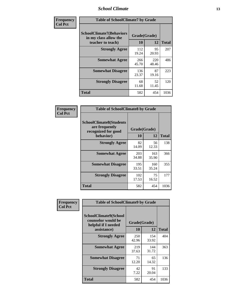### *School Climate* **13**

| Frequency      | <b>Table of SchoolClimate7 by Grade</b>                                       |                    |              |              |  |
|----------------|-------------------------------------------------------------------------------|--------------------|--------------|--------------|--|
| <b>Col Pct</b> | <b>SchoolClimate7(Behaviors</b><br>in my class allow the<br>teacher to teach) | Grade(Grade)<br>10 | 12           | <b>Total</b> |  |
|                | <b>Strongly Agree</b>                                                         | 112<br>19.24       | 95<br>20.93  | 207          |  |
|                | <b>Somewhat Agree</b>                                                         | 266<br>45.70       | 220<br>48.46 | 486          |  |
|                | <b>Somewhat Disagree</b>                                                      | 136<br>23.37       | 87<br>19.16  | 223          |  |
|                | <b>Strongly Disagree</b>                                                      | 68<br>11.68        | 52<br>11.45  | 120          |  |
|                | <b>Total</b>                                                                  | 582                | 454          | 1036         |  |

| Frequency      | <b>Table of SchoolClimate8 by Grade</b>                                              |                    |              |              |  |  |
|----------------|--------------------------------------------------------------------------------------|--------------------|--------------|--------------|--|--|
| <b>Col Pct</b> | <b>SchoolClimate8(Students</b><br>are frequently<br>recognized for good<br>behavior) | Grade(Grade)<br>10 | 12           | <b>Total</b> |  |  |
|                | <b>Strongly Agree</b>                                                                | 82<br>14.09        | 56<br>12.33  | 138          |  |  |
|                | <b>Somewhat Agree</b>                                                                | 203<br>34.88       | 163<br>35.90 | 366          |  |  |
|                | <b>Somewhat Disagree</b>                                                             | 195<br>33.51       | 160<br>35.24 | 355          |  |  |
|                | <b>Strongly Disagree</b>                                                             | 102<br>17.53       | 75<br>16.52  | 177          |  |  |
|                | <b>Total</b>                                                                         | 582                | 454          | 1036         |  |  |

| Frequency      | <b>Table of SchoolClimate9 by Grade</b>                                           |                    |              |              |  |
|----------------|-----------------------------------------------------------------------------------|--------------------|--------------|--------------|--|
| <b>Col Pct</b> | SchoolClimate9(School<br>counselor would be<br>helpful if I needed<br>assistance) | Grade(Grade)<br>10 | 12           | <b>Total</b> |  |
|                | <b>Strongly Agree</b>                                                             | 250<br>42.96       | 154<br>33.92 | 404          |  |
|                | <b>Somewhat Agree</b>                                                             | 219<br>37.63       | 144<br>31.72 | 363          |  |
|                | <b>Somewhat Disagree</b>                                                          | 71<br>12.20        | 65<br>14.32  | 136          |  |
|                | <b>Strongly Disagree</b>                                                          | 42<br>7.22         | 91<br>20.04  | 133          |  |
|                | Total                                                                             | 582                | 454          | 1036         |  |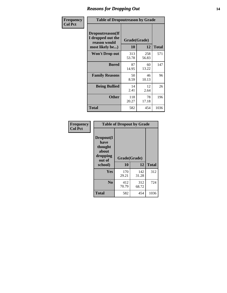### *Reasons for Dropping Out* **14**

| Frequency      | <b>Table of Dropoutreason by Grade</b>                                   |                    |              |              |  |
|----------------|--------------------------------------------------------------------------|--------------------|--------------|--------------|--|
| <b>Col Pct</b> | Dropoutreason(If<br>I dropped out the<br>reason would<br>most likely be) | Grade(Grade)<br>10 | 12           | <b>Total</b> |  |
|                | <b>Won't Drop out</b>                                                    | 313<br>53.78       | 258<br>56.83 | 571          |  |
|                | <b>Bored</b>                                                             | 87<br>14.95        | 60<br>13.22  | 147          |  |
|                | <b>Family Reasons</b>                                                    | 50<br>8.59         | 46<br>10.13  | 96           |  |
|                | <b>Being Bullied</b>                                                     | 14<br>2.41         | 12<br>2.64   | 26           |  |
|                | <b>Other</b>                                                             | 118<br>20.27       | 78<br>17.18  | 196          |  |
|                | <b>Total</b>                                                             | 582                | 454          | 1036         |  |

| Frequency      |                                                                        | <b>Table of Dropout by Grade</b> |              |      |
|----------------|------------------------------------------------------------------------|----------------------------------|--------------|------|
| <b>Col Pct</b> | Dropout(I<br>have<br>thought<br>about<br>dropping<br>out of<br>school) | Grade(Grade)<br>10               | <b>Total</b> |      |
|                |                                                                        |                                  | 12           |      |
|                | Yes                                                                    | 170<br>29.21                     | 142<br>31.28 | 312  |
|                | N <sub>0</sub>                                                         | 412<br>70.79                     | 312<br>68.72 | 724  |
|                | <b>Total</b>                                                           | 582                              | 454          | 1036 |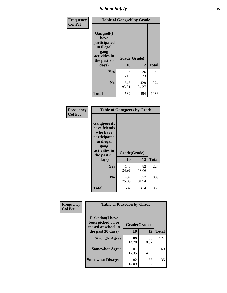*School Safety* **15**

| Frequency      | <b>Table of Gangself by Grade</b>                                                                 |                    |              |              |
|----------------|---------------------------------------------------------------------------------------------------|--------------------|--------------|--------------|
| <b>Col Pct</b> | Gangself(I<br>have<br>participated<br>in illegal<br>gang<br>activities in<br>the past 30<br>days) | Grade(Grade)<br>10 | 12           | <b>Total</b> |
|                | Yes                                                                                               | 36<br>6.19         | 26<br>5.73   | 62           |
|                | N <sub>o</sub>                                                                                    | 546<br>93.81       | 428<br>94.27 | 974          |
|                | <b>Total</b>                                                                                      | 582                | 454          | 1036         |

| Frequency<br><b>Col Pct</b> |                                                                                                                                | <b>Table of Gangpeers by Grade</b> |              |              |  |  |  |  |  |  |  |
|-----------------------------|--------------------------------------------------------------------------------------------------------------------------------|------------------------------------|--------------|--------------|--|--|--|--|--|--|--|
|                             | <b>Gangpeers</b> (I<br>have friends<br>who have<br>participated<br>in illegal<br>gang<br>activities in<br>the past 30<br>days) | Grade(Grade)<br>10                 | 12           | <b>Total</b> |  |  |  |  |  |  |  |
|                             | <b>Yes</b>                                                                                                                     | 145<br>24.91                       | 82<br>18.06  | 227          |  |  |  |  |  |  |  |
|                             | N <sub>0</sub>                                                                                                                 | 437<br>75.09                       | 372<br>81.94 | 809          |  |  |  |  |  |  |  |
|                             | <b>Total</b>                                                                                                                   | 582                                | 454          | 1036         |  |  |  |  |  |  |  |

| Frequency      | <b>Table of Pickedon by Grade</b>                                  |              |             |              |
|----------------|--------------------------------------------------------------------|--------------|-------------|--------------|
| <b>Col Pct</b> | <b>Pickedon(I have</b><br>been picked on or<br>teased at school in | Grade(Grade) |             |              |
|                | the past 30 days)                                                  | 10           | 12          | <b>Total</b> |
|                | <b>Strongly Agree</b>                                              | 86<br>14.78  | 38<br>8.37  | 124          |
|                | <b>Somewhat Agree</b>                                              | 101<br>17.35 | 68<br>14.98 | 169          |
|                | <b>Somewhat Disagree</b>                                           | 82<br>14.09  | 53<br>11.67 | 135          |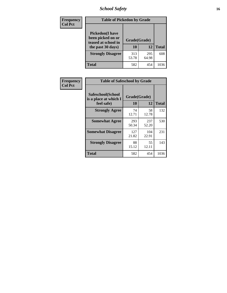# *School Safety* **16**

| <b>Frequency</b> | <b>Table of Pickedon by Grade</b>                                                        |                    |              |              |
|------------------|------------------------------------------------------------------------------------------|--------------------|--------------|--------------|
| <b>Col Pct</b>   | <b>Pickedon</b> (I have<br>been picked on or<br>teased at school in<br>the past 30 days) | Grade(Grade)<br>10 | 12           | <b>Total</b> |
|                  | <b>Strongly Disagree</b>                                                                 | 313<br>53.78       | 295<br>64.98 | 608          |
|                  | Total                                                                                    | 582                | 454          | 1036         |

| Frequency      | <b>Table of Safeschool by Grade</b>                      |                    |              |              |
|----------------|----------------------------------------------------------|--------------------|--------------|--------------|
| <b>Col Pct</b> | Safeschool(School<br>is a place at which I<br>feel safe) | Grade(Grade)<br>10 | 12           | <b>Total</b> |
|                | <b>Strongly Agree</b>                                    | 74<br>12.71        | 58<br>12.78  | 132          |
|                | <b>Somewhat Agree</b>                                    | 293<br>50.34       | 237<br>52.20 | 530          |
|                | <b>Somewhat Disagree</b>                                 | 127<br>21.82       | 104<br>22.91 | 231          |
|                | <b>Strongly Disagree</b>                                 | 88<br>15.12        | 55<br>12.11  | 143          |
|                | <b>Total</b>                                             | 582                | 454          | 1036         |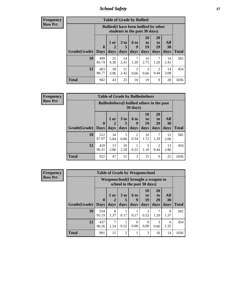*School Safety* **17**

| <b>Table of Grade by Bullied</b>                                                                                                                                                                                           |              |                                                                               |            |           |            |           |            |       |  |  |  |  |
|----------------------------------------------------------------------------------------------------------------------------------------------------------------------------------------------------------------------------|--------------|-------------------------------------------------------------------------------|------------|-----------|------------|-----------|------------|-------|--|--|--|--|
|                                                                                                                                                                                                                            |              | <b>Bullied</b> (I have been bullied by other<br>students in the past 30 days) |            |           |            |           |            |       |  |  |  |  |
| 20<br>10<br>All<br>3 <sub>to</sub><br>$1$ or $ $<br>6 to<br>to<br>to<br>29<br>$\mathbf{0}$<br>19<br><b>30</b><br>5<br>$\overline{2}$<br>9<br>Grade(Grade)  <br>days<br>days<br>days<br>days<br>days<br><b>Days</b><br>days |              |                                                                               |            |           |            |           |            | Total |  |  |  |  |
| 10                                                                                                                                                                                                                         | 499<br>85.74 | 25<br>4.30                                                                    | 14<br>2.41 | 7<br>1.20 | 16<br>2.75 | 7<br>1.20 | 14<br>2.41 | 582   |  |  |  |  |
| 12                                                                                                                                                                                                                         | 403<br>88.77 | 18<br>3.96                                                                    | 11<br>2.42 | 3<br>0.66 | 3<br>0.66  | 2<br>0.44 | 14<br>3.08 | 454   |  |  |  |  |
| <b>Total</b>                                                                                                                                                                                                               | 902          | 43                                                                            | 25         | 10        | 19         | 9         | 28         | 1036  |  |  |  |  |

| Frequency      | <b>Table of Grade by Bulliedothers</b> |                                                                         |              |                         |                          |                               |                               |                   |              |  |
|----------------|----------------------------------------|-------------------------------------------------------------------------|--------------|-------------------------|--------------------------|-------------------------------|-------------------------------|-------------------|--------------|--|
| <b>Row Pct</b> |                                        | <b>Bulliedothers</b> (I bullied others in the past<br>$30 \text{ days}$ |              |                         |                          |                               |                               |                   |              |  |
|                | Grade(Grade)   Days                    | $\mathbf 0$                                                             | 1 or<br>days | 3 <sub>to</sub><br>days | <b>6 to</b><br>9<br>days | <b>10</b><br>to<br>19<br>days | <b>20</b><br>to<br>29<br>days | All<br>30<br>days | <b>Total</b> |  |
|                | 10                                     | 512<br>87.97                                                            | 34<br>5.84   | 5<br>0.86               | 2<br>0.34                | 10<br>1.72                    | 7<br>1.20                     | 12<br>2.06        | 582          |  |
|                | 12                                     | 410<br>90.31                                                            | 13<br>2.86   | 10<br>2.20              | 0.22                     | 5<br>1.10                     | $\overline{2}$<br>0.44        | 13<br>2.86        | 454          |  |
|                | <b>Total</b>                           | 922                                                                     | 47           | 15                      | 3                        | 15                            | 9                             | 25                | 1036         |  |

| Frequency      | <b>Table of Grade by Weaponschool</b> |              |           |                |                                                                    |                  |                |           |              |  |  |
|----------------|---------------------------------------|--------------|-----------|----------------|--------------------------------------------------------------------|------------------|----------------|-----------|--------------|--|--|
| <b>Row Pct</b> |                                       |              |           |                | Weaponschool (I brought a weapon to<br>school in the past 30 days) |                  |                |           |              |  |  |
|                |                                       | $\mathbf 0$  | 1 or      | 3 to           | <b>6 to</b><br>9                                                   | 10<br>to<br>19   | 20<br>to<br>29 | All<br>30 |              |  |  |
|                | Grade(Grade)                          | <b>Days</b>  | days      | days           | days                                                               | days             | days           | days      | <b>Total</b> |  |  |
|                | 10                                    | 554<br>95.19 | 8<br>1.37 | 0.17           | 0.17                                                               | 3<br>0.52        | 7<br>1.20      | 8<br>1.37 | 582          |  |  |
|                | 12                                    | 437<br>96.26 | 7<br>1.54 | 0.22           | $\Omega$<br>0.00                                                   | $\Omega$<br>0.00 | 3<br>0.66      | 6<br>1.32 | 454          |  |  |
|                | <b>Total</b>                          | 991          | 15        | $\overline{c}$ |                                                                    | 3                | 10             | 14        | 1036         |  |  |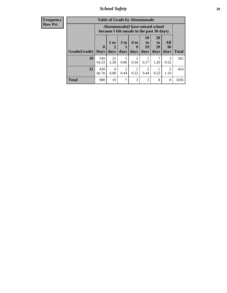*School Safety* **18**

| <b>Frequency</b> |              | <b>Table of Grade by Absentunsafe</b> |                                                                                 |                      |             |                                 |                       |           |              |  |
|------------------|--------------|---------------------------------------|---------------------------------------------------------------------------------|----------------------|-------------|---------------------------------|-----------------------|-----------|--------------|--|
| Row Pct          |              |                                       | Absentunsafe(I have missed school<br>because I felt unsafe in the past 30 days) |                      |             |                                 |                       |           |              |  |
|                  |              | $\boldsymbol{0}$                      | 1 or<br>2                                                                       | 3 <sub>to</sub><br>5 | <b>6 to</b> | <b>10</b><br>$\mathbf{t}$<br>19 | <b>20</b><br>to<br>29 | All<br>30 |              |  |
|                  | Grade(Grade) | <b>Days</b>                           | days                                                                            | days                 | days        | days                            | days                  | days      | <b>Total</b> |  |
|                  | <b>10</b>    | 549<br>94.33                          | 15<br>2.58                                                                      | 5<br>0.86            | 2<br>0.34   | 0.17                            | 7<br>1.20             | 3<br>0.52 | 582          |  |
|                  | 12           | 439<br>96.70                          | 4<br>0.88                                                                       | 2<br>0.44            | 0.22        | 2<br>0.44                       | 0.22                  | 5<br>1.10 | 454          |  |
|                  | <b>Total</b> | 988                                   | 19                                                                              | $\tau$               | 3           | 3                               | 8                     | 8         | 1036         |  |
|                  |              |                                       |                                                                                 |                      |             |                                 |                       |           |              |  |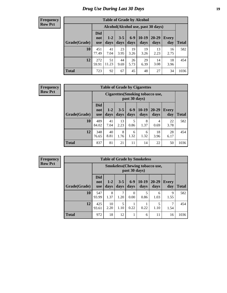# *Drug Use During Last 30 Days* **19**

#### **Frequency Row Pct**

| <b>Table of Grade by Alcohol</b> |                                 |                                     |                 |                 |                 |               |                     |       |  |  |  |
|----------------------------------|---------------------------------|-------------------------------------|-----------------|-----------------|-----------------|---------------|---------------------|-------|--|--|--|
|                                  |                                 | Alcohol (Alcohol use, past 30 days) |                 |                 |                 |               |                     |       |  |  |  |
| Grade(Grade)                     | <b>Did</b><br>not<br><b>use</b> | $1 - 2$<br>days                     | $3 - 5$<br>days | $6 - 9$<br>days | $10-19$<br>days | 20-29<br>days | <b>Every</b><br>day | Total |  |  |  |
| 10                               | 451<br>77.49                    | 41<br>7.04                          | 23<br>3.95      | 19<br>3.26      | 19<br>3.26      | 13<br>2.23    | 16<br>2.75          | 582   |  |  |  |
| 12                               | 272<br>59.91                    | 51<br>11.23                         | 44<br>9.69      | 26<br>5.73      | 29<br>6.39      | 14<br>3.08    | 18<br>3.96          | 454   |  |  |  |
| <b>Total</b>                     | 723                             | 92                                  | 67              | 45              | 48              | 27            | 34                  | 1036  |  |  |  |

#### **Frequency Row Pct**

| <b>Table of Grade by Cigarettes</b> |                                 |                                                          |                 |               |                 |               |                     |              |  |  |  |  |
|-------------------------------------|---------------------------------|----------------------------------------------------------|-----------------|---------------|-----------------|---------------|---------------------|--------------|--|--|--|--|
|                                     |                                 | <b>Cigarettes</b> (Smoking tobacco use,<br>past 30 days) |                 |               |                 |               |                     |              |  |  |  |  |
| Grade(Grade)                        | <b>Did</b><br>not<br><b>use</b> | $1 - 2$<br>days                                          | $3 - 5$<br>days | $6-9$<br>days | $10-19$<br>days | 20-29<br>days | <b>Every</b><br>day | <b>Total</b> |  |  |  |  |
| 10                                  | 489<br>84.02                    | 41<br>7.04                                               | 13<br>2.23      | 5<br>0.86     | 8<br>1.37       | 4<br>0.69     | 22<br>3.78          | 582          |  |  |  |  |
| 12                                  | 348<br>76.65                    | 40<br>8.81                                               | 8<br>1.76       | 6<br>1.32     | 6<br>1.32       | 18<br>3.96    | 28<br>6.17          | 454          |  |  |  |  |
| <b>Total</b>                        | 837                             | 81                                                       | 21              | 11            | 14              | 22            | 50                  | 1036         |  |  |  |  |

| <b>Table of Grade by Smokeless</b> |                                 |                                                         |                 |                  |                 |                   |                     |              |  |  |
|------------------------------------|---------------------------------|---------------------------------------------------------|-----------------|------------------|-----------------|-------------------|---------------------|--------------|--|--|
|                                    |                                 | <b>Smokeless</b> (Chewing tobacco use,<br>past 30 days) |                 |                  |                 |                   |                     |              |  |  |
| Grade(Grade)                       | <b>Did</b><br>not<br><b>use</b> | $1 - 2$<br>days                                         | $3 - 5$<br>days | $6 - 9$<br>days  | $10-19$<br>days | $20 - 29$<br>days | <b>Every</b><br>day | <b>Total</b> |  |  |
| 10                                 | 547<br>93.99                    | 8<br>1.37                                               | 7<br>1.20       | $\Omega$<br>0.00 | 5<br>0.86       | 6<br>1.03         | 9<br>1.55           | 582          |  |  |
| 12                                 | 425<br>93.61                    | 10<br>2.20                                              | 5<br>1.10       | 0.22             | 0.22            | 1.10              | 1.54                | 454          |  |  |
| <b>Total</b>                       | 972                             | 18                                                      | 12              |                  | 6               | 11                | 16                  | 1036         |  |  |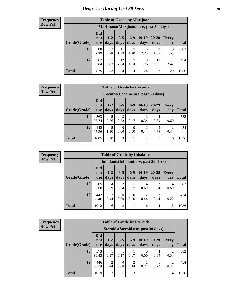| <b>Table of Grade by Marijuana</b> |                                 |                                         |                 |               |                 |                   |              |              |  |  |  |
|------------------------------------|---------------------------------|-----------------------------------------|-----------------|---------------|-----------------|-------------------|--------------|--------------|--|--|--|
|                                    |                                 | Marijuana (Marijuana use, past 30 days) |                 |               |                 |                   |              |              |  |  |  |
| Grade(Grade)                       | <b>Did</b><br>not<br><b>use</b> | $1 - 2$<br>days                         | $3 - 5$<br>days | $6-9$<br>days | $10-19$<br>days | $20 - 29$<br>days | Every<br>day | <b>Total</b> |  |  |  |
| 10                                 | 508<br>87.29                    | 22<br>3.78                              | 11<br>1.89      | 7<br>1.20     | 16<br>2.75      | 9<br>1.55         | 9<br>1.55    | 582          |  |  |  |
| 12                                 | 367<br>80.84                    | 31<br>6.83                              | 12<br>2.64      | 7<br>1.54     | 8<br>1.76       | 18<br>3.96        | 11<br>2.42   | 454          |  |  |  |
| <b>Total</b>                       | 875                             | 53                                      | 23              | 14            | 24              | 27                | 20           | 1036         |  |  |  |

#### **Frequency Row Pct**

| <b>Table of Grade by Cocaine</b> |                                 |                                     |                 |                  |                        |                   |                        |       |  |  |
|----------------------------------|---------------------------------|-------------------------------------|-----------------|------------------|------------------------|-------------------|------------------------|-------|--|--|
|                                  |                                 | Cocaine (Cocaine use, past 30 days) |                 |                  |                        |                   |                        |       |  |  |
| Grade(Grade)                     | <b>Did</b><br>not<br><b>use</b> | $1-2$<br>days                       | $3 - 5$<br>days | $6 - 9$<br>days  | $10-19$<br>days        | $20 - 29$<br>days | Every<br>day           | Total |  |  |
| 10                               | 563<br>96.74                    | 5<br>0.86                           | 3<br>0.52       | 0.17             | 2<br>0.34              | 4<br>0.69         | 4<br>0.69              | 582   |  |  |
| 12                               | 442<br>97.36                    | 5<br>1.10                           | 0<br>0.00       | $\Omega$<br>0.00 | $\mathfrak{D}$<br>0.44 | 3<br>0.66         | $\mathfrak{D}$<br>0.44 | 454   |  |  |
| <b>Total</b>                     | 1005                            | 10                                  | 3               |                  | $\overline{4}$         |                   | 6                      | 1036  |  |  |

| <b>Table of Grade by Inhalants</b> |                                 |                                        |                  |                 |                        |                        |              |       |  |  |
|------------------------------------|---------------------------------|----------------------------------------|------------------|-----------------|------------------------|------------------------|--------------|-------|--|--|
|                                    |                                 | Inhalants (Inhalant use, past 30 days) |                  |                 |                        |                        |              |       |  |  |
| Grade(Grade)                       | <b>Did</b><br>not<br><b>use</b> | $1 - 2$<br>days                        | $3 - 5$<br>days  | $6 - 9$<br>days | $10-19$<br>days        | $20 - 29$<br>days      | Every<br>day | Total |  |  |
| 10                                 | 565<br>97.08                    | 4<br>0.69                              | 2<br>0.34        | 0.17            | 4<br>0.69              | 0.34                   | 4<br>0.69    | 582   |  |  |
| 12                                 | 447<br>98.46                    | $\overline{2}$<br>0.44                 | $\Omega$<br>0.00 | 0.00            | $\overline{2}$<br>0.44 | $\mathfrak{D}$<br>0.44 | 0.22         | 454   |  |  |
| <b>Total</b>                       | 1012                            | 6                                      | $\overline{2}$   |                 | 6                      | 4                      | 5            | 1036  |  |  |

| <b>Frequency</b> |
|------------------|
| <b>Row Pct</b>   |

| <b>Table of Grade by Steroids</b> |                                 |                                      |                 |               |                 |                   |                        |       |  |  |
|-----------------------------------|---------------------------------|--------------------------------------|-----------------|---------------|-----------------|-------------------|------------------------|-------|--|--|
|                                   |                                 | Steroids (Steroid use, past 30 days) |                 |               |                 |                   |                        |       |  |  |
| Grade(Grade)                      | <b>Did</b><br>not<br><b>use</b> | $1 - 2$<br>days                      | $3 - 5$<br>days | $6-9$<br>days | $10-19$<br>days | $20 - 29$<br>days | Every<br>day           | Total |  |  |
| 10                                | 573<br>98.45                    | 0.17                                 | 0.17            | 0.17          | 0<br>0.00       | 4<br>0.69         | 2<br>0.34              | 582   |  |  |
| 12                                | 446<br>98.24                    | 2<br>0.44                            | 0<br>0.00       | 2<br>0.44     | 0.22            | 0.22              | $\mathfrak{D}$<br>0.44 | 454   |  |  |
| <b>Total</b>                      | 1019                            | 3                                    | 1               | 3             | 1               | 5                 | 4                      | 1036  |  |  |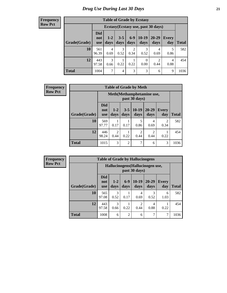| <b>Table of Grade by Ecstasy</b> |                                 |                                     |                 |                        |                        |                        |              |              |  |  |
|----------------------------------|---------------------------------|-------------------------------------|-----------------|------------------------|------------------------|------------------------|--------------|--------------|--|--|
|                                  |                                 | Ecstasy (Ecstasy use, past 30 days) |                 |                        |                        |                        |              |              |  |  |
| Grade(Grade)                     | <b>Did</b><br>not<br><b>use</b> | $1 - 2$<br>days                     | $3 - 5$<br>days | $6-9$<br>days          | $10-19$<br>days        | 20-29<br>days          | Every<br>day | <b>Total</b> |  |  |
| 10                               | 561<br>96.39                    | $\overline{4}$<br>0.69              | 3<br>0.52       | $\overline{c}$<br>0.34 | 3<br>0.52              | 4<br>0.69              | 5<br>0.86    | 582          |  |  |
| 12                               | 443<br>97.58                    | $\mathcal{R}$<br>0.66               | 0.22            | 0.22                   | $\overline{0}$<br>0.00 | $\mathfrak{D}$<br>0.44 | 4<br>0.88    | 454          |  |  |
| <b>Total</b>                     | 1004                            | 7                                   | 4               | 3                      | 3                      | 6                      | 9            | 1036         |  |  |

| <b>Frequency</b> | <b>Table of Grade by Meth</b> |                                 |                                            |                 |                        |                        |                        |              |  |
|------------------|-------------------------------|---------------------------------|--------------------------------------------|-----------------|------------------------|------------------------|------------------------|--------------|--|
| <b>Row Pct</b>   |                               |                                 | Meth(Methamphetamine use,<br>past 30 days) |                 |                        |                        |                        |              |  |
|                  | Grade(Grade)                  | <b>Did</b><br>not<br><b>use</b> | $1 - 2$<br>days                            | $3 - 5$<br>days | $10-19$<br>days        | $20 - 29$<br>days      | <b>Every</b><br>day    | <b>Total</b> |  |
|                  | 10                            | 569<br>97.77                    | 0.17                                       | 0.17            | 5<br>0.86              | 4<br>0.69              | $\overline{c}$<br>0.34 | 582          |  |
|                  | 12                            | 446<br>98.24                    | $\overline{2}$<br>0.44                     | 0.22            | $\overline{c}$<br>0.44 | $\overline{2}$<br>0.44 | 0.22                   | 454          |  |
|                  | <b>Total</b>                  | 1015                            | 3                                          | $\overline{2}$  | 7                      | 6                      | 3                      | 1036         |  |

| <b>Frequency</b> |              | <b>Table of Grade by Hallucinogens</b> |                 |                |                                                   |               |                     |              |  |  |  |
|------------------|--------------|----------------------------------------|-----------------|----------------|---------------------------------------------------|---------------|---------------------|--------------|--|--|--|
| <b>Row Pct</b>   |              |                                        |                 |                | Hallucinogens (Hallucinogen use,<br>past 30 days) |               |                     |              |  |  |  |
|                  | Grade(Grade) | <b>Did</b><br>not<br><b>use</b>        | $1 - 2$<br>days | $6-9$<br>days  | $10-19$<br>days                                   | 20-29<br>days | <b>Every</b><br>day | <b>Total</b> |  |  |  |
|                  | 10           | 565<br>97.08                           | 3<br>0.52       | 0.17           | 4<br>0.69                                         | 3<br>0.52     | 6<br>1.03           | 582          |  |  |  |
|                  | 12           | 443<br>97.58                           | 3<br>0.66       | 0.22           | $\overline{2}$<br>0.44                            | 4<br>0.88     | 0.22                | 454          |  |  |  |
|                  | Total        | 1008                                   | 6               | $\overline{2}$ | 6                                                 | 7             | ⇁                   | 1036         |  |  |  |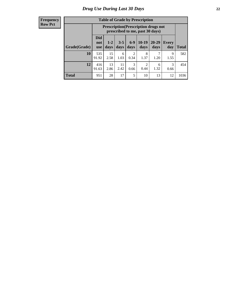| <b>Table of Grade by Prescription</b> |                                 |                                                                                |                 |                        |                 |               |              |              |  |
|---------------------------------------|---------------------------------|--------------------------------------------------------------------------------|-----------------|------------------------|-----------------|---------------|--------------|--------------|--|
|                                       |                                 | <b>Prescription</b> (Prescription drugs not<br>prescribed to me, past 30 days) |                 |                        |                 |               |              |              |  |
| Grade(Grade)                          | <b>Did</b><br>not<br><b>use</b> | $1 - 2$<br>days                                                                | $3 - 5$<br>days | $6-9$<br>days          | $10-19$<br>days | 20-29<br>days | Every<br>day | <b>Total</b> |  |
| 10                                    | 535<br>91.92                    | 15<br>2.58                                                                     | 6<br>1.03       | $\overline{c}$<br>0.34 | 8<br>1.37       | 1.20          | 9<br>1.55    | 582          |  |
| 12                                    | 416<br>91.63                    | 13<br>2.86                                                                     | 11<br>2.42      | 3<br>0.66              | 2<br>0.44       | 6<br>1.32     | 3<br>0.66    | 454          |  |
| <b>Total</b>                          | 951                             | 28                                                                             | 17              | 5                      | 10              | 13            | 12           | 1036         |  |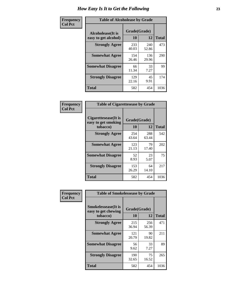| Frequency      | <b>Table of Alcoholease by Grade</b>       |                    |              |      |  |  |  |
|----------------|--------------------------------------------|--------------------|--------------|------|--|--|--|
| <b>Col Pct</b> | Alcoholease (It is<br>easy to get alcohol) | Grade(Grade)<br>10 | <b>Total</b> |      |  |  |  |
|                | <b>Strongly Agree</b>                      | 233<br>40.03       | 240<br>52.86 | 473  |  |  |  |
|                | <b>Somewhat Agree</b>                      | 154<br>26.46       | 136<br>29.96 | 290  |  |  |  |
|                | <b>Somewhat Disagree</b>                   | 66<br>11.34        | 33<br>7.27   | 99   |  |  |  |
|                | <b>Strongly Disagree</b>                   | 129<br>22.16       | 45<br>9.91   | 174  |  |  |  |
|                | <b>Total</b>                               | 582                | 454          | 1036 |  |  |  |

| Frequency      |                                                          | <b>Table of Cigarettesease by Grade</b> |              |              |  |  |  |  |
|----------------|----------------------------------------------------------|-----------------------------------------|--------------|--------------|--|--|--|--|
| <b>Col Pct</b> | Cigarettesease (It is<br>easy to get smoking<br>tobacco) | Grade(Grade)<br>10                      | 12           | <b>Total</b> |  |  |  |  |
|                | <b>Strongly Agree</b>                                    | 254<br>43.64                            | 288<br>63.44 | 542          |  |  |  |  |
|                | <b>Somewhat Agree</b>                                    | 123<br>21.13                            | 79<br>17.40  | 202          |  |  |  |  |
|                | <b>Somewhat Disagree</b>                                 | 52<br>8.93                              | 23<br>5.07   | 75           |  |  |  |  |
|                | <b>Strongly Disagree</b>                                 | 153<br>26.29                            | 64<br>14.10  | 217          |  |  |  |  |
|                | Total                                                    | 582                                     | 454          | 1036         |  |  |  |  |

| Frequency      | <b>Table of Smokelessease by Grade</b>             |              |              |              |
|----------------|----------------------------------------------------|--------------|--------------|--------------|
| <b>Col Pct</b> | <b>Smokelessease</b> (It is<br>easy to get chewing | Grade(Grade) |              |              |
|                | tobacco)                                           | <b>10</b>    | 12           | <b>Total</b> |
|                | <b>Strongly Agree</b>                              | 215<br>36.94 | 256<br>56.39 | 471          |
|                | <b>Somewhat Agree</b>                              | 121<br>20.79 | 90<br>19.82  | 211          |
|                | <b>Somewhat Disagree</b>                           | 56<br>9.62   | 33<br>7.27   | 89           |
|                | <b>Strongly Disagree</b>                           | 190<br>32.65 | 75<br>16.52  | 265          |
|                | Total                                              | 582          | 454          | 1036         |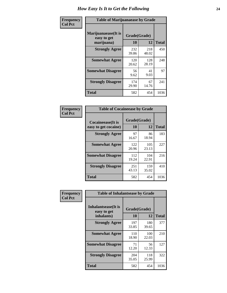| Frequency      | <b>Table of Marijuanaease by Grade</b>           |                    |              |              |  |  |  |
|----------------|--------------------------------------------------|--------------------|--------------|--------------|--|--|--|
| <b>Col Pct</b> | Marijuanaease(It is<br>easy to get<br>marijuana) | Grade(Grade)<br>10 | 12           | <b>Total</b> |  |  |  |
|                | <b>Strongly Agree</b>                            | 232<br>39.86       | 218<br>48.02 | 450          |  |  |  |
|                | <b>Somewhat Agree</b>                            | 120<br>20.62       | 128<br>28.19 | 248          |  |  |  |
|                | <b>Somewhat Disagree</b>                         | 56<br>9.62         | 41<br>9.03   | 97           |  |  |  |
|                | <b>Strongly Disagree</b>                         | 174<br>29.90       | 67<br>14.76  | 241          |  |  |  |
|                | <b>Total</b>                                     | 582                | 454          | 1036         |  |  |  |

|                                                   | <b>Table of Cocaineease by Grade</b> |              |      |  |  |  |  |  |  |  |  |  |
|---------------------------------------------------|--------------------------------------|--------------|------|--|--|--|--|--|--|--|--|--|
| <b>Cocaineease</b> (It is<br>easy to get cocaine) | Grade(Grade)<br>10                   | <b>Total</b> |      |  |  |  |  |  |  |  |  |  |
| <b>Strongly Agree</b>                             | 97<br>16.67                          | 86<br>18.94  | 183  |  |  |  |  |  |  |  |  |  |
| <b>Somewhat Agree</b>                             | 122<br>20.96                         | 105<br>23.13 | 227  |  |  |  |  |  |  |  |  |  |
| <b>Somewhat Disagree</b>                          | 112<br>19.24                         | 104<br>22.91 | 216  |  |  |  |  |  |  |  |  |  |
| <b>Strongly Disagree</b>                          | 251<br>43.13                         | 159<br>35.02 | 410  |  |  |  |  |  |  |  |  |  |
| <b>Total</b>                                      | 582                                  | 454          | 1036 |  |  |  |  |  |  |  |  |  |

| Frequency      | <b>Table of Inhalantsease by Grade</b>           |                           |              |              |  |  |  |  |  |  |  |  |
|----------------|--------------------------------------------------|---------------------------|--------------|--------------|--|--|--|--|--|--|--|--|
| <b>Col Pct</b> | Inhalantsease(It is<br>easy to get<br>inhalants) | Grade(Grade)<br><b>10</b> | 12           | <b>Total</b> |  |  |  |  |  |  |  |  |
|                | <b>Strongly Agree</b>                            | 197<br>33.85              | 180<br>39.65 | 377          |  |  |  |  |  |  |  |  |
|                | <b>Somewhat Agree</b>                            | 110<br>18.90              | 100<br>22.03 | 210          |  |  |  |  |  |  |  |  |
|                | <b>Somewhat Disagree</b>                         | 71<br>12.20               | 56<br>12.33  | 127          |  |  |  |  |  |  |  |  |
|                | <b>Strongly Disagree</b>                         | 204<br>35.05              | 118<br>25.99 | 322          |  |  |  |  |  |  |  |  |
|                | Total                                            | 582                       | 454          | 1036         |  |  |  |  |  |  |  |  |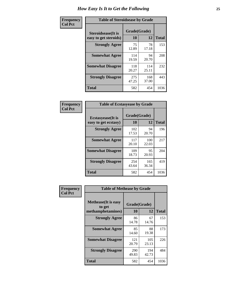| Frequency      | <b>Table of Steroidsease by Grade</b>               |                    |              |              |
|----------------|-----------------------------------------------------|--------------------|--------------|--------------|
| <b>Col Pct</b> | <b>Steroidsease</b> (It is<br>easy to get steroids) | Grade(Grade)<br>10 | 12           | <b>Total</b> |
|                | <b>Strongly Agree</b>                               | 75<br>12.89        | 78<br>17.18  | 153          |
|                | <b>Somewhat Agree</b>                               | 114<br>19.59       | 94<br>20.70  | 208          |
|                | <b>Somewhat Disagree</b>                            | 118<br>20.27       | 114<br>25.11 | 232          |
|                | <b>Strongly Disagree</b>                            | 275<br>47.25       | 168<br>37.00 | 443          |
|                | Total                                               | 582                | 454          | 1036         |

| Frequency      | <b>Table of Ecstasyease by Grade</b>              |                           |              |              |
|----------------|---------------------------------------------------|---------------------------|--------------|--------------|
| <b>Col Pct</b> | <b>Ecstasyease</b> (It is<br>easy to get ecstasy) | Grade(Grade)<br><b>10</b> | 12           | <b>Total</b> |
|                | <b>Strongly Agree</b>                             | 102<br>17.53              | 94<br>20.70  | 196          |
|                | <b>Somewhat Agree</b>                             | 117<br>20.10              | 100<br>22.03 | 217          |
|                | <b>Somewhat Disagree</b>                          | 109<br>18.73              | 95<br>20.93  | 204          |
|                | <b>Strongly Disagree</b>                          | 254<br>43.64              | 165<br>36.34 | 419          |
|                | <b>Total</b>                                      | 582                       | 454          | 1036         |

| Frequency<br><b>Col Pct</b> | <b>Table of Methease by Grade</b>                          |                    |              |      |
|-----------------------------|------------------------------------------------------------|--------------------|--------------|------|
|                             | <b>Methease</b> (It is easy<br>to get<br>methamphetamines) | Grade(Grade)<br>10 | <b>Total</b> |      |
|                             | <b>Strongly Agree</b>                                      | 86<br>14.78        | 67<br>14.76  | 153  |
|                             | <b>Somewhat Agree</b>                                      | 85<br>14.60        | 88<br>19.38  | 173  |
|                             | <b>Somewhat Disagree</b>                                   | 121<br>20.79       | 105<br>23.13 | 226  |
|                             | <b>Strongly Disagree</b>                                   | 290<br>49.83       | 194<br>42.73 | 484  |
|                             | Total                                                      | 582                | 454          | 1036 |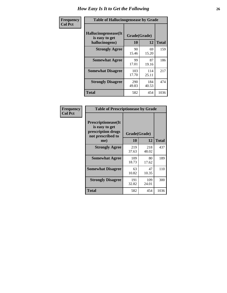| <b>Frequency</b> | <b>Table of Hallucinogensease by Grade</b>               |                    |              |              |  |  |  |  |  |  |  |  |  |
|------------------|----------------------------------------------------------|--------------------|--------------|--------------|--|--|--|--|--|--|--|--|--|
| <b>Col Pct</b>   | Hallucinogensease(It<br>is easy to get<br>hallucinogens) | Grade(Grade)<br>10 | 12           | <b>Total</b> |  |  |  |  |  |  |  |  |  |
|                  | <b>Strongly Agree</b>                                    | 90<br>15.46        | 69<br>15.20  | 159          |  |  |  |  |  |  |  |  |  |
|                  | <b>Somewhat Agree</b>                                    | 99<br>17.01        | 87<br>19.16  | 186          |  |  |  |  |  |  |  |  |  |
|                  | <b>Somewhat Disagree</b>                                 | 103<br>17.70       | 114<br>25.11 | 217          |  |  |  |  |  |  |  |  |  |
|                  | <b>Strongly Disagree</b>                                 | 290<br>49.83       | 184<br>40.53 | 474          |  |  |  |  |  |  |  |  |  |
|                  | <b>Total</b>                                             | 582                | 454          | 1036         |  |  |  |  |  |  |  |  |  |

| Frequency<br>Col Pct |
|----------------------|
|                      |

| <b>Table of Prescriptionease by Grade</b>                                                |              |              |              |
|------------------------------------------------------------------------------------------|--------------|--------------|--------------|
| <b>Prescriptionease</b> (It<br>is easy to get<br>prescription drugs<br>not prescribed to | Grade(Grade) |              |              |
| me)                                                                                      | 10           | 12           | <b>Total</b> |
| <b>Strongly Agree</b>                                                                    | 219<br>37.63 | 218<br>48.02 | 437          |
| <b>Somewhat Agree</b>                                                                    | 109<br>18.73 | 80<br>17.62  | 189          |
| <b>Somewhat Disagree</b>                                                                 | 63<br>10.82  | 47<br>10.35  | 110          |
| <b>Strongly Disagree</b>                                                                 | 191<br>32.82 | 109<br>24.01 | 300          |
| Total                                                                                    | 582          | 454          | 1036         |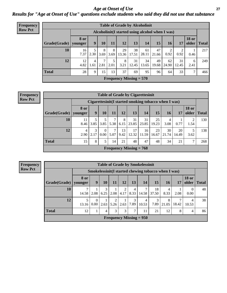### *Age at Onset of Use* **27** *Results for "Age at Onset of Use" questions exclude students who said they did not use that substance*

| <b>Frequency</b> |              |                        |                |           |           |             |                           | <b>Table of Grade by Alcoholinit</b>             |             |             |             |                       |              |
|------------------|--------------|------------------------|----------------|-----------|-----------|-------------|---------------------------|--------------------------------------------------|-------------|-------------|-------------|-----------------------|--------------|
| <b>Row Pct</b>   |              |                        |                |           |           |             |                           | Alcoholinit (I started using alcohol when I was) |             |             |             |                       |              |
|                  | Grade(Grade) | <b>8 or</b><br>younger | 9 <sub>1</sub> | 10        | 11        | 12          | 13                        | 14                                               | 15          | <b>16</b>   | 17          | <b>18 or</b><br>older | <b>Total</b> |
|                  | 10           | 16<br>7.37             | 2.30           | 8<br>3.69 | 8<br>3.69 | 29<br>13.36 | 38<br>17.51               | 61<br>28.11                                      | 47<br>21.66 | 0.92        | ↑<br>0.92   | 0.46                  | 217          |
|                  | 12           | 12<br>4.82             | 4<br>1.61      | ℸ<br>2.81 | 5<br>2.01 | 8<br>3.21   | 31<br>12.45               | 34<br>13.65                                      | 49<br>19.68 | 62<br>24.90 | 31<br>12.45 | 6<br>2.41             | 249          |
|                  | <b>Total</b> | 28                     | 9              | 15        | 13        | 37          | 69                        | 95                                               | 96          | 64          | 33          | 7                     | 466          |
|                  |              |                        |                |           |           |             | Frequency Missing $= 570$ |                                                  |             |             |             |                       |              |

| <b>Frequency</b> | <b>Table of Grade by Cigarettesinit</b> |                 |           |                  |      |            |                                                       |             |             |             |             |                       |              |
|------------------|-----------------------------------------|-----------------|-----------|------------------|------|------------|-------------------------------------------------------|-------------|-------------|-------------|-------------|-----------------------|--------------|
| <b>Row Pct</b>   |                                         |                 |           |                  |      |            | Cigarettesinit (I started smoking tobacco when I was) |             |             |             |             |                       |              |
|                  | Grade(Grade)                            | 8 or<br>younger | 9         | <b>10</b>        | 11   | 12         | 13                                                    | 14          | 15          | <b>16</b>   | 17          | <b>18 or</b><br>older | <b>Total</b> |
|                  | 10                                      | 11<br>8.46      | 3.85      | 3.85             | 5.38 | 8<br>6.15  | 31<br>23.85                                           | 31<br>23.85 | 25<br>19.23 | 4<br>3.08   | 0.77        | 2<br>1.54             | 130          |
|                  | 12                                      | 4<br>2.90       | 3<br>2.17 | $\Omega$<br>0.00 | 5.07 | 13<br>9.42 | 17<br>12.32                                           | 16<br>11.59 | 23<br>16.67 | 30<br>21.74 | 20<br>14.49 | 3.62                  | 138          |
|                  | <b>Total</b>                            | 15              | 8         | 5                | 14   | 21         | 48                                                    | 47          | 48          | 34          | 21          | 7                     | 268          |
|                  |                                         |                 |           |                  |      |            | Frequency Missing $= 768$                             |             |             |             |             |                       |              |

**Frequency Row Pct**

| <b>Table of Grade by Smokelessinit</b> |                 |                        |           |           |           |           |                           |             |                                                      |       |                       |              |  |
|----------------------------------------|-----------------|------------------------|-----------|-----------|-----------|-----------|---------------------------|-------------|------------------------------------------------------|-------|-----------------------|--------------|--|
|                                        |                 |                        |           |           |           |           |                           |             | Smokelessinit (I started chewing tobacco when I was) |       |                       |              |  |
| Grade(Grade)                           | 8 or<br>younger | 9                      | <b>10</b> | 11        | 12        | 13        | <b>14</b>                 | 15          | 16                                                   | 17    | <b>18 or</b><br>older | <b>Total</b> |  |
| 10                                     | 7<br>14.58      | 2.08                   | 3<br>6.25 | 2.08      | 2<br>4.17 | 4<br>8.33 | 14.58                     | 18<br>37.50 | 4<br>8.33                                            | 2.08  | $\Omega$<br>0.00      | 48           |  |
| 12                                     | 5<br>13.16      | $\overline{0}$<br>0.00 | 2.63      | 2<br>5.26 | 2.63      | 3<br>7.89 | $\overline{4}$<br>10.53   | 3<br>7.89   | 8<br>21.05                                           | 18.42 | 4<br>10.53            | 38           |  |
| <b>Total</b>                           | 12              |                        | 4         | 3         | 3         | 7         | 11                        | 21          | 12                                                   | 8     | 4                     | 86           |  |
|                                        |                 |                        |           |           |           |           | Frequency Missing $= 950$ |             |                                                      |       |                       |              |  |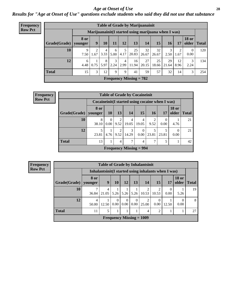### *Age at Onset of Use* **28**

*Results for "Age at Onset of Use" questions exclude students who said they did not use that substance*

| <b>Frequency</b> |                        |             |      |           |           |           |                           | <b>Table of Grade by Marijuanainit</b>              |             |             |            |                                |              |
|------------------|------------------------|-------------|------|-----------|-----------|-----------|---------------------------|-----------------------------------------------------|-------------|-------------|------------|--------------------------------|--------------|
| <b>Row Pct</b>   |                        |             |      |           |           |           |                           | Marijuanainit(I started using marijuana when I was) |             |             |            |                                |              |
|                  | Grade(Grade)   younger | <b>8 or</b> | 9    | <b>10</b> | 11        | 12        | 13                        | 14                                                  | 15          | 16          | 17         | <b>18 or</b><br>$\Omega$ older | <b>Total</b> |
|                  | 10                     | 9<br>7.50   | 1.67 | 4<br>3.33 | 6<br>5.00 | 5<br>4.17 | 25<br>20.83               | 32<br>26.67                                         | 32<br>26.67 | 3<br>2.50   | 2<br>1.67  | $\overline{0}$<br>0.00         | 120          |
|                  | 12                     | 6<br>4.48   | 0.75 | 8<br>5.97 | 3<br>2.24 | 4<br>2.99 | 16<br>11.94               | 27<br>20.15                                         | 25<br>18.66 | 29<br>21.64 | 12<br>8.96 | 3<br>2.24                      | 134          |
|                  | <b>Total</b>           | 15          | 3    | 12        | 9         | 9         | 41                        | 59                                                  | 57          | 32          | 14         | 3                              | 254          |
|                  |                        |             |      |           |           |           | Frequency Missing $= 782$ |                                                     |             |             |            |                                |              |

| <b>Frequency</b> |                                             |                                                  |               |                        |            | <b>Table of Grade by Cocaineinit</b> |           |       |                       |              |  |  |
|------------------|---------------------------------------------|--------------------------------------------------|---------------|------------------------|------------|--------------------------------------|-----------|-------|-----------------------|--------------|--|--|
| <b>Row Pct</b>   |                                             | Cocaineinit (I started using cocaine when I was) |               |                        |            |                                      |           |       |                       |              |  |  |
|                  | Grade(Grade)                                | 8 or<br>younger                                  | <b>10</b>     | 13                     | 14         | 15                                   | 16        | 17    | <b>18 or</b><br>older | <b>Total</b> |  |  |
|                  | <b>10</b>                                   | 8<br>38.10                                       | $0.00\degree$ | 2<br>9.52              | 4<br>19.05 | 4<br>19.05                           | 2<br>9.52 | 0.00  | 4.76                  | 21           |  |  |
|                  | 12                                          | 23.81                                            | 4.76          | $\overline{2}$<br>9.52 | 3<br>14.29 | $\Omega$<br>0.00                     | 23.81     | 23.81 | 0.00                  | 21           |  |  |
|                  | <b>Total</b><br>7<br>13<br>7<br>5<br>4<br>4 |                                                  |               |                        |            |                                      |           |       |                       |              |  |  |
|                  |                                             |                                                  |               |                        |            | <b>Frequency Missing = 994</b>       |           |       |                       |              |  |  |

|                                                      | <b>Table of Grade by Inhalantsinit</b> |                                                                                       |                  |                  |                  |                         |                         |                                                     |                  |    |  |  |
|------------------------------------------------------|----------------------------------------|---------------------------------------------------------------------------------------|------------------|------------------|------------------|-------------------------|-------------------------|-----------------------------------------------------|------------------|----|--|--|
|                                                      |                                        |                                                                                       |                  |                  |                  |                         |                         | Inhalantsinit(I started using inhalants when I was) |                  |    |  |  |
| Grade(Grade)                                         | <b>8 or</b><br>vounger                 | <b>18 or</b><br>9<br>13<br>older<br>12<br>14<br><b>15</b><br><b>Total</b><br>10<br>17 |                  |                  |                  |                         |                         |                                                     |                  |    |  |  |
| 10                                                   | 7<br>36.84                             | 4<br>21.05                                                                            | 5.26             | 5.26             | 5.26             | $\overline{2}$<br>10.53 | $\overline{2}$<br>10.53 | $\Omega$<br>0.00                                    | 5.26             | 19 |  |  |
| 12                                                   | $\overline{4}$<br>50.00                | 12.50                                                                                 | $\theta$<br>0.00 | $\Omega$<br>0.00 | $\Omega$<br>0.00 | 2<br>25.00              | $\Omega$<br>0.00        | 12.50                                               | $\theta$<br>0.00 | 8  |  |  |
| <b>Total</b><br>5<br>11<br>$\overline{2}$<br>27<br>4 |                                        |                                                                                       |                  |                  |                  |                         |                         |                                                     |                  |    |  |  |
| Frequency Missing $= 1009$                           |                                        |                                                                                       |                  |                  |                  |                         |                         |                                                     |                  |    |  |  |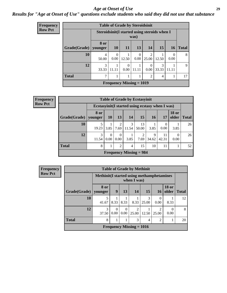#### *Age at Onset of Use* **29**

### *Results for "Age at Onset of Use" questions exclude students who said they did not use that substance*

| Frequency      |              |                                               | <b>Table of Grade by Steroidsinit</b> |                  |                  |                  |            |                  |              |  |  |  |
|----------------|--------------|-----------------------------------------------|---------------------------------------|------------------|------------------|------------------|------------|------------------|--------------|--|--|--|
| <b>Row Pct</b> |              | Steroidsinit (I started using steroids when I |                                       |                  | was)             |                  |            |                  |              |  |  |  |
|                | Grade(Grade) | 8 or<br>younger                               | <b>10</b>                             | <b>11</b>        | 13               | 14               | 15         | <b>16</b>        | <b>Total</b> |  |  |  |
|                | 10           | 4<br>50.00                                    | $\Omega$<br>0.00                      | 12.50            | $\Omega$<br>0.00 | 2<br>25.00       | 12.50      | $\theta$<br>0.00 | 8            |  |  |  |
|                | 12           | 3<br>33.33                                    | 11.11                                 | $\Omega$<br>0.00 | 11.11            | $\Omega$<br>0.00 | 3<br>33.33 | 11.11            | 9            |  |  |  |
|                | <b>Total</b> | 7                                             | $\overline{2}$<br>4                   |                  |                  |                  |            |                  |              |  |  |  |
|                |              |                                               | <b>Frequency Missing = 1019</b>       |                  |                  |                  |            |                  |              |  |  |  |

| <b>Frequency</b> |              |                                            |               |                  |            | <b>Table of Grade by Ecstasyinit</b>             |            |             |                       |              |  |  |
|------------------|--------------|--------------------------------------------|---------------|------------------|------------|--------------------------------------------------|------------|-------------|-----------------------|--------------|--|--|
| <b>Row Pct</b>   |              |                                            |               |                  |            | Ecstasyinit (I started using ecstasy when I was) |            |             |                       |              |  |  |
|                  | Grade(Grade) | 8 or<br>younger                            | <b>10</b>     | 13               | <b>14</b>  | 15                                               | <b>16</b>  | 17          | <b>18 or</b><br>older | <b>Total</b> |  |  |
|                  | 10           | 19.23                                      | 3.85          | 2<br>7.69        | 3<br>11.54 | 13<br>50.00                                      | 3.85       | 0.00        | 3.85                  | 26           |  |  |
|                  | 12           | 3<br>11.54                                 | $0.00\degree$ | $\Omega$<br>0.00 | 3.85       | 2<br>7.69                                        | 9<br>34.62 | 11<br>42.31 | 0<br>0.00             | 26           |  |  |
|                  | <b>Total</b> | 8<br>$\overline{2}$<br>15<br>10<br>11<br>4 |               |                  |            |                                                  |            |             |                       |              |  |  |
|                  |              |                                            |               |                  |            | Frequency Missing $= 984$                        |            |             |                       |              |  |  |

| <b>Frequency</b> |              |                                                  |                  |                  | <b>Table of Grade by Methinit</b> |            |                                      |                       |              |
|------------------|--------------|--------------------------------------------------|------------------|------------------|-----------------------------------|------------|--------------------------------------|-----------------------|--------------|
| <b>Row Pct</b>   |              | <b>Methinit(I started using methamphetamines</b> |                  |                  | when I was)                       |            |                                      |                       |              |
|                  | Grade(Grade) | 8 or<br>  vounger                                | 9                | 13               | 14                                | 15         | <b>16</b>                            | <b>18 or</b><br>older | <b>Total</b> |
|                  | 10           | 5<br>41.67                                       | 8.33             | 8.33             | 8.33                              | 3<br>25.00 | 0.00                                 | 8.33                  | 12           |
|                  | 12           | 3<br>37.50                                       | $\Omega$<br>0.00 | $\Omega$<br>0.00 | ∍<br>25.00                        | 12.50      | $\mathcal{D}_{\mathcal{A}}$<br>25.00 | 0.00                  | 8            |
|                  | <b>Total</b> | 8                                                |                  |                  | 3                                 | 4          | $\mathfrak{D}$                       |                       | 20           |
|                  |              |                                                  |                  |                  | Frequency Missing $= 1016$        |            |                                      |                       |              |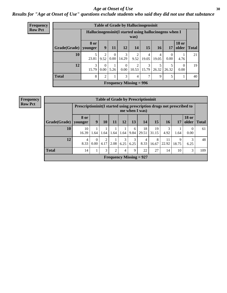### Age at Onset of Use **30**

### *Results for "Age at Onset of Use" questions exclude students who said they did not use that substance*

| Frequency      |                        |                                                         |                  |           |                  |                                | <b>Table of Grade by Hallucinogensinit</b> |            |                  |                       |              |
|----------------|------------------------|---------------------------------------------------------|------------------|-----------|------------------|--------------------------------|--------------------------------------------|------------|------------------|-----------------------|--------------|
| <b>Row Pct</b> |                        | Hallucinogensinit (I started using hallucinogens when I |                  |           |                  | was)                           |                                            |            |                  |                       |              |
|                | Grade(Grade)   younger | <b>8 or</b>                                             | $\boldsymbol{9}$ | <b>11</b> | 12               | 14                             | 15                                         | 16         | 17               | <b>18 or</b><br>older | <b>Total</b> |
|                | 10                     | 5<br>23.81                                              | 2<br>9.52        | 0.00      | 3<br>14.29       | 9.52                           | 4<br>19.05                                 | 4<br>19.05 | $\Omega$<br>0.00 | 4.76                  | 21           |
|                | 12                     | $\mathcal{F}$<br>15.79                                  | $\Omega$<br>0.00 | 5.26      | $\theta$<br>0.00 | 10.53                          | 3<br>15.79                                 | 5<br>26.32 | 26.32            | $\Omega$<br>0.00      | 19           |
|                | <b>Total</b>           | 8                                                       | ↑                |           | 3                | 4                              | 7                                          | 9          | 5                | 1                     | 40           |
|                |                        |                                                         |                  |           |                  | <b>Frequency Missing = 996</b> |                                            |            |                  |                       |              |

| <b>Frequency</b> |              |                                                                          |                            |           |      |           |           | <b>Table of Grade by Prescriptioninit</b> |             |             |            |                       |              |
|------------------|--------------|--------------------------------------------------------------------------|----------------------------|-----------|------|-----------|-----------|-------------------------------------------|-------------|-------------|------------|-----------------------|--------------|
| <b>Row Pct</b>   |              | Prescription in it (I started using prescription drugs not prescribed to |                            |           |      |           |           | me when I was)                            |             |             |            |                       |              |
|                  | Grade(Grade) | <b>8 or</b><br>vounger                                                   | 9                          | 10        | 11   | 12        | 13        | 14                                        | 15          | 16          | 17         | <b>18 or</b><br>older | <b>Total</b> |
|                  | 10           | 10<br>16.39                                                              | 1.64                       | 1.64      | 1.64 | 1.64      | 6<br>9.84 | 18<br>29.51                               | 19<br>31.15 | 3<br>4.92   | 1.64       | $\theta$<br>0.00      | 61           |
|                  | 12           | 4<br>8.33                                                                | $\overline{0}$<br>$0.00\,$ | 2<br>4.17 | 2.08 | 3<br>6.25 | 3<br>6.25 | 4<br>8.33                                 | 8<br>16.67  | 11<br>22.92 | 9<br>18.75 | 3<br>6.25             | 48           |
|                  | <b>Total</b> | 14                                                                       | 1                          | 3         | 2    | 4         | 9         | 22                                        | 27          | 14          | 10         | 3                     | 109          |
|                  |              |                                                                          |                            |           |      |           |           | <b>Frequency Missing = 927</b>            |             |             |            |                       |              |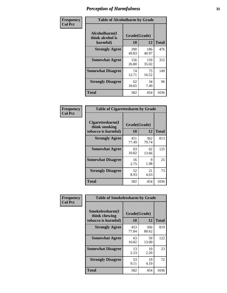| Frequency      | <b>Table of Alcoholharm by Grade</b>          |                    |              |              |  |  |  |  |  |
|----------------|-----------------------------------------------|--------------------|--------------|--------------|--|--|--|--|--|
| <b>Col Pct</b> | Alcoholharm(I<br>think alcohol is<br>harmful) | Grade(Grade)<br>10 | 12           | <b>Total</b> |  |  |  |  |  |
|                | <b>Strongly Agree</b>                         | 290<br>49.83       | 186<br>40.97 | 476          |  |  |  |  |  |
|                | <b>Somewhat Agree</b>                         | 156<br>26.80       | 159<br>35.02 | 315          |  |  |  |  |  |
|                | <b>Somewhat Disagree</b>                      | 74<br>12.71        | 75<br>16.52  | 149          |  |  |  |  |  |
|                | <b>Strongly Disagree</b>                      | 62<br>10.65        | 34<br>7.49   | 96           |  |  |  |  |  |
|                | <b>Total</b>                                  | 582                | 454          | 1036         |  |  |  |  |  |

| <b>Table of Cigarettesharm by Grade</b>                  |                    |              |              |  |  |  |  |  |  |
|----------------------------------------------------------|--------------------|--------------|--------------|--|--|--|--|--|--|
| Cigarettesharm(I<br>think smoking<br>tobacco is harmful) | Grade(Grade)<br>10 | 12           | <b>Total</b> |  |  |  |  |  |  |
| <b>Strongly Agree</b>                                    | 451<br>77.49       | 362<br>79.74 | 813          |  |  |  |  |  |  |
| <b>Somewhat Agree</b>                                    | 63<br>10.82        | 62<br>13.66  | 125          |  |  |  |  |  |  |
| <b>Somewhat Disagree</b>                                 | 16<br>2.75         | 9<br>1.98    | 25           |  |  |  |  |  |  |
| <b>Strongly Disagree</b>                                 | 52<br>8.93         | 21<br>4.63   | 73           |  |  |  |  |  |  |
| <b>Total</b>                                             | 582                | 454          | 1036         |  |  |  |  |  |  |

| Frequency      |                                                         | <b>Table of Smokelessharm by Grade</b> |              |              |  |  |  |  |  |
|----------------|---------------------------------------------------------|----------------------------------------|--------------|--------------|--|--|--|--|--|
| <b>Col Pct</b> | Smokelessharm(I<br>think chewing<br>tobacco is harmful) | Grade(Grade)<br>10                     | 12           | <b>Total</b> |  |  |  |  |  |
|                | <b>Strongly Agree</b>                                   | 453<br>77.84                           | 366<br>80.62 | 819          |  |  |  |  |  |
|                | <b>Somewhat Agree</b>                                   | 63<br>10.82                            | 59<br>13.00  | 122          |  |  |  |  |  |
|                | <b>Somewhat Disagree</b>                                | 13<br>2.23                             | 10<br>2.20   | 23           |  |  |  |  |  |
|                | <b>Strongly Disagree</b>                                | 53<br>9.11                             | 19<br>4.19   | 72           |  |  |  |  |  |
|                | <b>Total</b>                                            | 582                                    | 454          | 1036         |  |  |  |  |  |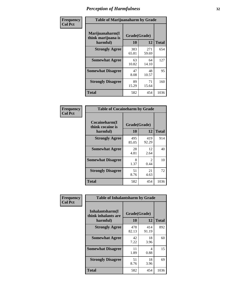| Frequency      | <b>Table of Marijuanaharm by Grade</b>            |                    |              |              |  |  |  |  |  |  |
|----------------|---------------------------------------------------|--------------------|--------------|--------------|--|--|--|--|--|--|
| <b>Col Pct</b> | Marijuanaharm(I<br>think marijuana is<br>harmful) | Grade(Grade)<br>10 | 12           | <b>Total</b> |  |  |  |  |  |  |
|                | <b>Strongly Agree</b>                             | 383<br>65.81       | 271<br>59.69 | 654          |  |  |  |  |  |  |
|                | <b>Somewhat Agree</b>                             | 63<br>10.82        | 64<br>14.10  | 127          |  |  |  |  |  |  |
|                | <b>Somewhat Disagree</b>                          | 47<br>8.08         | 48<br>10.57  | 95           |  |  |  |  |  |  |
|                | <b>Strongly Disagree</b>                          | 89<br>15.29        | 71<br>15.64  | 160          |  |  |  |  |  |  |
|                | <b>Total</b>                                      | 582                | 454          | 1036         |  |  |  |  |  |  |

| <b>Table of Cocaineharm by Grade</b>          |                    |                        |              |  |  |  |  |  |  |
|-----------------------------------------------|--------------------|------------------------|--------------|--|--|--|--|--|--|
| Cocaineharm(I<br>think cocaine is<br>harmful) | Grade(Grade)<br>10 | 12                     | <b>Total</b> |  |  |  |  |  |  |
| <b>Strongly Agree</b>                         | 495<br>85.05       | 419<br>92.29           | 914          |  |  |  |  |  |  |
| <b>Somewhat Agree</b>                         | 28<br>4.81         | 12<br>2.64             | 40           |  |  |  |  |  |  |
| <b>Somewhat Disagree</b>                      | 8<br>1.37          | $\mathfrak{D}$<br>0.44 | 10           |  |  |  |  |  |  |
| <b>Strongly Disagree</b>                      | 51<br>8.76         | 21<br>4.63             | 72           |  |  |  |  |  |  |
| Total                                         | 582                | 454                    | 1036         |  |  |  |  |  |  |

| Frequency      | <b>Table of Inhalantsharm by Grade</b>              |                           |              |              |
|----------------|-----------------------------------------------------|---------------------------|--------------|--------------|
| <b>Col Pct</b> | Inhalantsharm(I)<br>think inhalants are<br>harmful) | Grade(Grade)<br><b>10</b> | 12           | <b>Total</b> |
|                | <b>Strongly Agree</b>                               | 478<br>82.13              | 414<br>91.19 | 892          |
|                | <b>Somewhat Agree</b>                               | 42<br>7.22                | 18<br>3.96   | 60           |
|                | <b>Somewhat Disagree</b>                            | 11<br>1.89                | 4<br>0.88    | 15           |
|                | <b>Strongly Disagree</b>                            | 51<br>8.76                | 18<br>3.96   | 69           |
|                | Total                                               | 582                       | 454          | 1036         |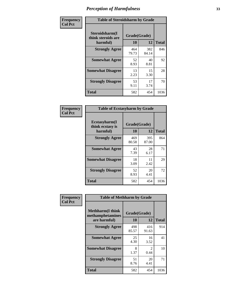| Frequency      | <b>Table of Steroidsharm by Grade</b>            |                    |              |              |
|----------------|--------------------------------------------------|--------------------|--------------|--------------|
| <b>Col Pct</b> | Steroidsharm(I<br>think steroids are<br>harmful) | Grade(Grade)<br>10 | 12           | <b>Total</b> |
|                | <b>Strongly Agree</b>                            | 464<br>79.73       | 382<br>84.14 | 846          |
|                | <b>Somewhat Agree</b>                            | 52<br>8.93         | 40<br>8.81   | 92           |
|                | <b>Somewhat Disagree</b>                         | 13<br>2.23         | 15<br>3.30   | 28           |
|                | <b>Strongly Disagree</b>                         | 53<br>9.11         | 17<br>3.74   | 70           |
|                | <b>Total</b>                                     | 582                | 454          | 1036         |

| <b>Table of Ecstasyharm by Grade</b>          |                    |              |      |  |  |
|-----------------------------------------------|--------------------|--------------|------|--|--|
| Ecstasyharm(I<br>think ecstasy is<br>harmful) | Grade(Grade)<br>10 | <b>Total</b> |      |  |  |
| <b>Strongly Agree</b>                         | 469<br>80.58       | 395<br>87.00 | 864  |  |  |
| <b>Somewhat Agree</b>                         | 43<br>7.39         | 28<br>6.17   | 71   |  |  |
| <b>Somewhat Disagree</b>                      | 18<br>3.09         | 11<br>2.42   | 29   |  |  |
| <b>Strongly Disagree</b>                      | 52<br>8.93         | 20<br>4.41   | 72   |  |  |
| <b>Total</b>                                  | 582                | 454          | 1036 |  |  |

| Frequency      | <b>Table of Methharm by Grade</b>                            |                    |              |              |
|----------------|--------------------------------------------------------------|--------------------|--------------|--------------|
| <b>Col Pct</b> | <b>Methharm</b> (I think<br>methamphetamines<br>are harmful) | Grade(Grade)<br>10 | 12           | <b>Total</b> |
|                | <b>Strongly Agree</b>                                        | 498<br>85.57       | 416<br>91.63 | 914          |
|                | <b>Somewhat Agree</b>                                        | 25<br>4.30         | 16<br>3.52   | 41           |
|                | <b>Somewhat Disagree</b>                                     | 8<br>1.37          | 2<br>0.44    | 10           |
|                | <b>Strongly Disagree</b>                                     | 51<br>8.76         | 20<br>4.41   | 71           |
|                | Total                                                        | 582                | 454          | 1036         |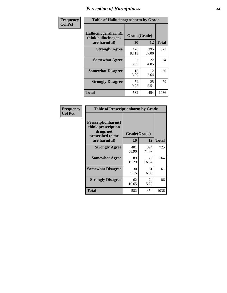| Frequency      | <b>Table of Hallucinogensharm by Grade</b>                 |                    |              |              |
|----------------|------------------------------------------------------------|--------------------|--------------|--------------|
| <b>Col Pct</b> | Hallucinogensharm(I<br>think hallucinogens<br>are harmful) | Grade(Grade)<br>10 | 12           | <b>Total</b> |
|                | <b>Strongly Agree</b>                                      | 478<br>82.13       | 395<br>87.00 | 873          |
|                | <b>Somewhat Agree</b>                                      | 32<br>5.50         | 22<br>4.85   | 54           |
|                | <b>Somewhat Disagree</b>                                   | 18<br>3.09         | 12<br>2.64   | 30           |
|                | <b>Strongly Disagree</b>                                   | 54<br>9.28         | 25<br>5.51   | 79           |
|                | <b>Total</b>                                               | 582                | 454          | 1036         |

| <b>Table of Prescriptionharm by Grade</b>                                         |              |              |              |  |  |
|-----------------------------------------------------------------------------------|--------------|--------------|--------------|--|--|
| <b>Prescriptionharm(I)</b><br>think prescription<br>drugs not<br>prescribed to me | Grade(Grade) |              |              |  |  |
| are harmful)                                                                      | 10           | 12           | <b>Total</b> |  |  |
| <b>Strongly Agree</b>                                                             | 401<br>68.90 | 324<br>71.37 | 725          |  |  |
| <b>Somewhat Agree</b>                                                             | 89<br>15.29  | 75<br>16.52  | 164          |  |  |
| <b>Somewhat Disagree</b>                                                          | 30<br>5.15   | 31<br>6.83   | 61           |  |  |
| <b>Strongly Disagree</b>                                                          | 62<br>10.65  | 24<br>5.29   | 86           |  |  |
| <b>Total</b>                                                                      | 582          | 454          | 1036         |  |  |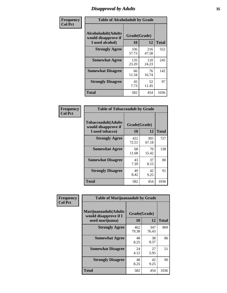# *Disapproval by Adults* **35**

| Frequency      | <b>Table of Alcoholadult by Grade</b>                                 |                    |              |              |
|----------------|-----------------------------------------------------------------------|--------------------|--------------|--------------|
| <b>Col Pct</b> | <b>Alcoholadult</b> (Adults<br>would disapprove if<br>I used alcohol) | Grade(Grade)<br>10 | 12           | <b>Total</b> |
|                | <b>Strongly Agree</b>                                                 | 336<br>57.73       | 216<br>47.58 | 552          |
|                | <b>Somewhat Agree</b>                                                 | 135<br>23.20       | 110<br>24.23 | 245          |
|                | <b>Somewhat Disagree</b>                                              | 66<br>11.34        | 76<br>16.74  | 142          |
|                | <b>Strongly Disagree</b>                                              | 45<br>7.73         | 52<br>11.45  | 97           |
|                | <b>Total</b>                                                          | 582                | 454          | 1036         |

| <b>Table of Tobaccoadult by Grade</b>                                 |                    |              |              |  |  |
|-----------------------------------------------------------------------|--------------------|--------------|--------------|--|--|
| <b>Tobaccoadult</b> (Adults<br>would disapprove if<br>I used tobacco) | Grade(Grade)<br>10 | 12           | <b>Total</b> |  |  |
| <b>Strongly Agree</b>                                                 | 422<br>72.51       | 305<br>67.18 | 727          |  |  |
| <b>Somewhat Agree</b>                                                 | 68<br>11.68        | 70<br>15.42  | 138          |  |  |
| <b>Somewhat Disagree</b>                                              | 43<br>7.39         | 37<br>8.15   | 80           |  |  |
| <b>Strongly Disagree</b>                                              | 49<br>8.42         | 42<br>9.25   | 91           |  |  |
| Total                                                                 | 582                | 454          | 1036         |  |  |

| Frequency      | <b>Table of Marijuanaadult by Grade</b>                           |                    |              |              |
|----------------|-------------------------------------------------------------------|--------------------|--------------|--------------|
| <b>Col Pct</b> | Marijuanaadult(Adults<br>would disapprove if I<br>used marijuana) | Grade(Grade)<br>10 | 12           | <b>Total</b> |
|                | <b>Strongly Agree</b>                                             | 462<br>79.38       | 347<br>76.43 | 809          |
|                | <b>Somewhat Agree</b>                                             | 48<br>8.25         | 38<br>8.37   | 86           |
|                | <b>Somewhat Disagree</b>                                          | 24<br>4.12         | 27<br>5.95   | 51           |
|                | <b>Strongly Disagree</b>                                          | 48<br>8.25         | 42<br>9.25   | 90           |
|                | <b>Total</b>                                                      | 582                | 454          | 1036         |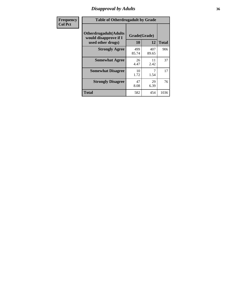# *Disapproval by Adults* **36**

| <b>Frequency</b> | <b>Table of Otherdrugadult by Grade</b>                |              |              |              |
|------------------|--------------------------------------------------------|--------------|--------------|--------------|
| <b>Col Pct</b>   | <b>Otherdrugadult</b> (Adults<br>would disapprove if I | Grade(Grade) |              |              |
|                  | used other drugs)                                      | 10           | 12           | <b>Total</b> |
|                  | <b>Strongly Agree</b>                                  | 499<br>85.74 | 407<br>89.65 | 906          |
|                  | <b>Somewhat Agree</b>                                  | 26<br>4.47   | 11<br>2.42   | 37           |
|                  | <b>Somewhat Disagree</b>                               | 10<br>1.72   | 1.54         | 17           |
|                  | <b>Strongly Disagree</b>                               | 47<br>8.08   | 29<br>6.39   | 76           |
|                  | <b>Total</b>                                           | 582          | 454          | 1036         |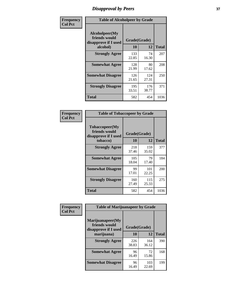# *Disapproval by Peers* **37**

| Frequency      | <b>Table of Alcoholpeer by Grade</b>                    |              |              |              |
|----------------|---------------------------------------------------------|--------------|--------------|--------------|
| <b>Col Pct</b> | Alcoholpeer(My<br>friends would<br>disapprove if I used | Grade(Grade) |              |              |
|                | alcohol)                                                | 10           | 12           | <b>Total</b> |
|                | <b>Strongly Agree</b>                                   | 133<br>22.85 | 74<br>16.30  | 207          |
|                | <b>Somewhat Agree</b>                                   | 128<br>21.99 | 80<br>17.62  | 208          |
|                | <b>Somewhat Disagree</b>                                | 126<br>21.65 | 124<br>27.31 | 250          |
|                | <b>Strongly Disagree</b>                                | 195<br>33.51 | 176<br>38.77 | 371          |
|                | Total                                                   | 582          | 454          | 1036         |

| Frequency      | <b>Table of Tobaccopeer by Grade</b>                    |                    |              |              |
|----------------|---------------------------------------------------------|--------------------|--------------|--------------|
| <b>Col Pct</b> | Tobaccopeer(My<br>friends would<br>disapprove if I used | Grade(Grade)<br>10 | 12           | <b>Total</b> |
|                | tobacco)                                                |                    |              |              |
|                | <b>Strongly Agree</b>                                   | 218<br>37.46       | 159<br>35.02 | 377          |
|                | <b>Somewhat Agree</b>                                   | 105<br>18.04       | 79<br>17.40  | 184          |
|                | <b>Somewhat Disagree</b>                                | 99<br>17.01        | 101<br>22.25 | 200          |
|                | <b>Strongly Disagree</b>                                | 160<br>27.49       | 115<br>25.33 | 275          |
|                | Total                                                   | 582                | 454          | 1036         |

| Frequency      | <b>Table of Marijuanapeer by Grade</b>                    |              |              |              |
|----------------|-----------------------------------------------------------|--------------|--------------|--------------|
| <b>Col Pct</b> | Marijuanapeer(My<br>friends would<br>disapprove if I used | Grade(Grade) |              |              |
|                | marijuana)                                                | 10           | 12           | <b>Total</b> |
|                | <b>Strongly Agree</b>                                     | 226<br>38.83 | 164<br>36.12 | 390          |
|                | <b>Somewhat Agree</b>                                     | 96<br>16.49  | 72<br>15.86  | 168          |
|                | <b>Somewhat Disagree</b>                                  | 96<br>16.49  | 103<br>22.69 | 199          |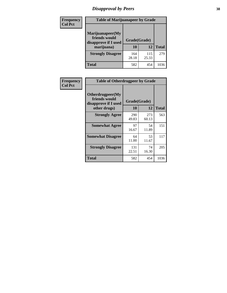# *Disapproval by Peers* **38**

| Frequency<br><b>Col Pct</b> | <b>Table of Marijuanapeer by Grade</b>                                  |                    |              |              |  |
|-----------------------------|-------------------------------------------------------------------------|--------------------|--------------|--------------|--|
|                             | Marijuanapeer(My<br>friends would<br>disapprove if I used<br>marijuana) | Grade(Grade)<br>10 | 12           | <b>Total</b> |  |
|                             | <b>Strongly Disagree</b>                                                | 164<br>28.18       | 115<br>25.33 | 279          |  |
|                             | Total                                                                   | 582                | 454          | 1036         |  |

| <b>Frequency</b> | <b>Table of Otherdrugpeer by Grade</b>                                    |                           |              |              |
|------------------|---------------------------------------------------------------------------|---------------------------|--------------|--------------|
| <b>Col Pct</b>   | Otherdrugpeer(My<br>friends would<br>disapprove if I used<br>other drugs) | Grade(Grade)<br><b>10</b> | 12           | <b>Total</b> |
|                  |                                                                           |                           |              |              |
|                  | <b>Strongly Agree</b>                                                     | 290<br>49.83              | 273<br>60.13 | 563          |
|                  | <b>Somewhat Agree</b>                                                     | 97<br>16.67               | 54<br>11.89  | 151          |
|                  | <b>Somewhat Disagree</b>                                                  | 64<br>11.00               | 53<br>11.67  | 117          |
|                  | <b>Strongly Disagree</b>                                                  | 131<br>22.51              | 74<br>16.30  | 205          |
|                  | <b>Total</b>                                                              | 582                       | 454          | 1036         |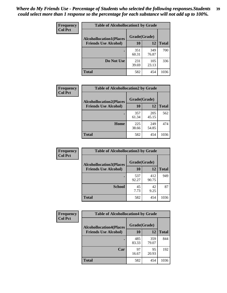| Frequency      | <b>Table of Alcohollocation1 by Grade</b> |              |              |              |
|----------------|-------------------------------------------|--------------|--------------|--------------|
| <b>Col Pct</b> | <b>Alcohollocation1(Places</b>            | Grade(Grade) |              |              |
|                | <b>Friends Use Alcohol)</b>               | 10           | 12           | <b>Total</b> |
|                |                                           | 351<br>60.31 | 349<br>76.87 | 700          |
|                | Do Not Use                                | 231<br>39.69 | 105<br>23.13 | 336          |
|                | <b>Total</b>                              | 582          | 454          | 1036         |

| <b>Frequency</b> | <b>Table of Alcohollocation2 by Grade</b>                     |                    |              |              |
|------------------|---------------------------------------------------------------|--------------------|--------------|--------------|
| <b>Col Pct</b>   | <b>Alcohollocation2(Places</b><br><b>Friends Use Alcohol)</b> | Grade(Grade)<br>10 | 12           | <b>Total</b> |
|                  |                                                               |                    |              |              |
|                  |                                                               | 357<br>61.34       | 205<br>45.15 | 562          |
|                  | Home                                                          | 225<br>38.66       | 249<br>54.85 | 474          |
|                  | Total                                                         | 582                | 454          | 1036         |

| <b>Frequency</b><br><b>Col Pct</b> | <b>Table of Alcohollocation 3 by Grade</b> |              |              |              |
|------------------------------------|--------------------------------------------|--------------|--------------|--------------|
|                                    | <b>Alcohollocation3(Places</b>             | Grade(Grade) |              |              |
|                                    | <b>Friends Use Alcohol)</b>                | 10           | 12           | <b>Total</b> |
|                                    |                                            | 537<br>92.27 | 412<br>90.75 | 949          |
|                                    | <b>School</b>                              | 45<br>7.73   | 42<br>9.25   | 87           |
|                                    | <b>Total</b>                               | 582          | 454          | 1036         |

| <b>Frequency</b> | <b>Table of Alcohollocation4 by Grade</b> |              |              |              |
|------------------|-------------------------------------------|--------------|--------------|--------------|
| <b>Col Pct</b>   | <b>Alcohollocation4(Places</b>            | Grade(Grade) |              |              |
|                  | <b>Friends Use Alcohol)</b>               | 10           | 12           | <b>Total</b> |
|                  |                                           | 485<br>83.33 | 359<br>79.07 | 844          |
|                  | Car                                       | 97<br>16.67  | 95<br>20.93  | 192          |
|                  | <b>Total</b>                              | 582          | 454          | 1036         |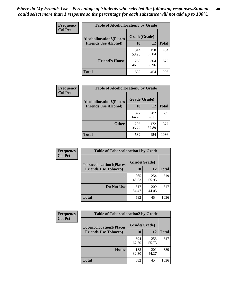| Frequency      | <b>Table of Alcohollocation5 by Grade</b>      |              |              |              |  |
|----------------|------------------------------------------------|--------------|--------------|--------------|--|
| <b>Col Pct</b> | Grade(Grade)<br><b>Alcohollocation5(Places</b> |              |              |              |  |
|                | <b>Friends Use Alcohol)</b>                    | 10           | 12           | <b>Total</b> |  |
|                |                                                | 314<br>53.95 | 150<br>33.04 | 464          |  |
|                | <b>Friend's House</b>                          | 268<br>46.05 | 304<br>66.96 | 572          |  |
|                | <b>Total</b>                                   | 582          | 454          | 1036         |  |

| <b>Frequency</b> | <b>Table of Alcohollocation6 by Grade</b> |              |              |              |
|------------------|-------------------------------------------|--------------|--------------|--------------|
| <b>Col Pct</b>   | <b>Alcohollocation6(Places</b>            | Grade(Grade) |              |              |
|                  | <b>Friends Use Alcohol)</b>               | 10           | 12           | <b>Total</b> |
|                  |                                           | 377<br>64.78 | 282<br>62.11 | 659          |
|                  | <b>Other</b>                              | 205<br>35.22 | 172<br>37.89 | 377          |
|                  | <b>Total</b>                              | 582          | 454          | 1036         |

| Frequency      | <b>Table of Tobaccolocation1 by Grade</b> |              |                     |              |
|----------------|-------------------------------------------|--------------|---------------------|--------------|
| <b>Col Pct</b> | <b>Tobaccolocation1(Places</b>            | Grade(Grade) |                     |              |
|                | <b>Friends Use Tobacco)</b>               | 10           | 12                  | <b>Total</b> |
|                |                                           | 265<br>45.53 | 254<br>55.95        | 519          |
|                | Do Not Use                                | 317<br>54.47 | <b>200</b><br>44.05 | 517          |
|                | <b>Total</b>                              | 582          | 454                 | 1036         |

| Frequency      | <b>Table of Tobaccolocation2 by Grade</b> |              |              |              |  |
|----------------|-------------------------------------------|--------------|--------------|--------------|--|
| <b>Col Pct</b> | <b>Tobaccolocation2(Places</b>            | Grade(Grade) |              |              |  |
|                | <b>Friends Use Tobacco)</b>               | 10           | 12           | <b>Total</b> |  |
|                |                                           | 394<br>67.70 | 253<br>55.73 | 647          |  |
|                | Home                                      | 188<br>32.30 | 201<br>44.27 | 389          |  |
|                | <b>Total</b>                              | 582          | 454          | 1036         |  |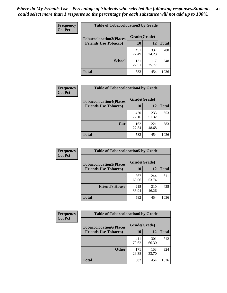| Frequency<br><b>Col Pct</b> | <b>Table of Tobaccolocation 3 by Grade</b> |              |              |              |
|-----------------------------|--------------------------------------------|--------------|--------------|--------------|
|                             | <b>Tobaccolocation3(Places</b>             | Grade(Grade) |              |              |
|                             | <b>Friends Use Tobacco)</b>                | 10           | 12           | <b>Total</b> |
|                             |                                            | 451<br>77.49 | 337<br>74.23 | 788          |
|                             | <b>School</b>                              | 131<br>22.51 | 117<br>25.77 | 248          |
|                             | <b>Total</b>                               | 582          | 454          | 1036         |

| <b>Frequency</b> | <b>Table of Tobaccolocation4 by Grade</b> |              |              |              |
|------------------|-------------------------------------------|--------------|--------------|--------------|
| <b>Col Pct</b>   | <b>Tobaccolocation4(Places</b>            | Grade(Grade) |              |              |
|                  | <b>Friends Use Tobacco)</b>               | 10           | 12           | <b>Total</b> |
|                  |                                           | 420<br>72.16 | 233<br>51.32 | 653          |
|                  | Car                                       | 162<br>27.84 | 221<br>48.68 | 383          |
|                  | <b>Total</b>                              | 582          | 454          | 1036         |

| Frequency<br><b>Col Pct</b> | <b>Table of Tobaccolocation5 by Grade</b>                     |                    |              |              |
|-----------------------------|---------------------------------------------------------------|--------------------|--------------|--------------|
|                             | <b>Tobaccolocation5(Places</b><br><b>Friends Use Tobacco)</b> | Grade(Grade)<br>10 | 12           | <b>Total</b> |
|                             |                                                               |                    |              |              |
|                             |                                                               | 367<br>63.06       | 244<br>53.74 | 611          |
|                             | <b>Friend's House</b>                                         | 215<br>36.94       | 210<br>46.26 | 425          |
|                             | <b>Total</b>                                                  | 582                | 454          | 1036         |

| Frequency      | <b>Table of Tobaccolocation6 by Grade</b> |              |              |              |  |
|----------------|-------------------------------------------|--------------|--------------|--------------|--|
| <b>Col Pct</b> | <b>Tobaccolocation6(Places</b>            | Grade(Grade) |              |              |  |
|                | <b>Friends Use Tobacco)</b>               | 10           | 12           | <b>Total</b> |  |
|                |                                           | 411<br>70.62 | 301<br>66.30 | 712          |  |
|                | <b>Other</b>                              | 171<br>29.38 | 153<br>33.70 | 324          |  |
|                | <b>Total</b>                              | 582          | 454          | 1036         |  |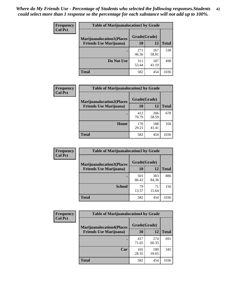| <b>Frequency</b> | <b>Table of Marijuanalocation1 by Grade</b> |              |              |              |
|------------------|---------------------------------------------|--------------|--------------|--------------|
| <b>Col Pct</b>   | <b>Marijuanalocation1(Places</b>            | Grade(Grade) |              |              |
|                  | <b>Friends Use Marijuana</b> )              | 10           | 12           | <b>Total</b> |
|                  |                                             | 271<br>46.56 | 267<br>58.81 | 538          |
|                  | Do Not Use                                  | 311<br>53.44 | 187<br>41.19 | 498          |
|                  | <b>Total</b>                                | 582          | 454          | 1036         |

| <b>Frequency</b> | <b>Table of Marijuanalocation2 by Grade</b>                        |                    |              |              |
|------------------|--------------------------------------------------------------------|--------------------|--------------|--------------|
| <b>Col Pct</b>   | <b>Marijuanalocation2(Places</b><br><b>Friends Use Marijuana</b> ) | Grade(Grade)<br>10 | 12           | <b>Total</b> |
|                  |                                                                    | 412<br>70.79       | 266<br>58.59 | 678          |
|                  | Home                                                               | 170<br>29.21       | 188<br>41.41 | 358          |
|                  | <b>Total</b>                                                       | 582                | 454          | 1036         |

| Frequency<br><b>Col Pct</b> | <b>Table of Marijuanalocation3 by Grade</b> |              |              |              |
|-----------------------------|---------------------------------------------|--------------|--------------|--------------|
|                             | <b>Marijuanalocation3</b> (Places           | Grade(Grade) |              |              |
|                             | <b>Friends Use Marijuana</b> )              | 10           | 12           | <b>Total</b> |
|                             |                                             | 503<br>86.43 | 383<br>84.36 | 886          |
|                             | <b>School</b>                               | 79<br>13.57  | 71<br>15.64  | 150          |
|                             | <b>Total</b>                                | 582          | 454          | 1036         |

| <b>Frequency</b> | <b>Table of Marijuanalocation4 by Grade</b> |              |              |              |  |
|------------------|---------------------------------------------|--------------|--------------|--------------|--|
| <b>Col Pct</b>   | <b>Marijuanalocation4(Places</b>            | Grade(Grade) |              |              |  |
|                  | <b>Friends Use Marijuana</b> )              | <b>10</b>    | 12           | <b>Total</b> |  |
|                  |                                             | 417<br>71.65 | 274<br>60.35 | 691          |  |
|                  | Car                                         | 165<br>28.35 | 180<br>39.65 | 345          |  |
|                  | <b>Total</b>                                | 582          | 454          | 1036         |  |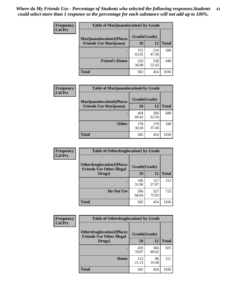| <b>Frequency</b> | <b>Table of Marijuanalocation5 by Grade</b> |              |              |              |
|------------------|---------------------------------------------|--------------|--------------|--------------|
| <b>Col Pct</b>   | <b>Marijuanalocation5</b> (Places           | Grade(Grade) |              |              |
|                  | <b>Friends Use Marijuana</b> )              | 10           | 12           | <b>Total</b> |
|                  |                                             | 372<br>63.92 | 216<br>47.58 | 588          |
|                  | <b>Friend's House</b>                       | 210<br>36.08 | 238<br>52.42 | 448          |
|                  | <b>Total</b>                                | 582          | 454          | 1036         |

| <b>Frequency</b> | <b>Table of Marijuanalocation6 by Grade</b>                        |                    |              |              |
|------------------|--------------------------------------------------------------------|--------------------|--------------|--------------|
| <b>Col Pct</b>   | <b>Marijuanalocation6(Places</b><br><b>Friends Use Marijuana</b> ) | Grade(Grade)<br>10 | 12           | <b>Total</b> |
|                  |                                                                    | 404<br>69.42       | 284<br>62.56 | 688          |
|                  | <b>Other</b>                                                       | 178<br>30.58       | 170<br>37.44 | 348          |
|                  | <b>Total</b>                                                       | 582                | 454          | 1036         |

| <b>Frequency</b> | <b>Table of Otherdruglocation1 by Grade</b>                          |              |              |              |
|------------------|----------------------------------------------------------------------|--------------|--------------|--------------|
| <b>Col Pct</b>   | <b>Otherdruglocation1(Places</b><br><b>Friends Use Other Illegal</b> | Grade(Grade) |              |              |
|                  | Drugs)                                                               | 10           | 12           | <b>Total</b> |
|                  |                                                                      | 186<br>31.96 | 127<br>27.97 | 313          |
|                  | Do Not Use                                                           | 396<br>68.04 | 327<br>72.03 | 723          |
|                  | <b>Total</b>                                                         | 582          | 454          | 1036         |

| <b>Frequency</b> | <b>Table of Otherdruglocation2 by Grade</b>                           |              |              |              |
|------------------|-----------------------------------------------------------------------|--------------|--------------|--------------|
| <b>Col Pct</b>   | <b>Otherdruglocation2(Places)</b><br><b>Friends Use Other Illegal</b> | Grade(Grade) |              |              |
|                  | Drugs)                                                                | 10           | 12           | <b>Total</b> |
|                  |                                                                       | 459<br>78.87 | 366<br>80.62 | 825          |
|                  | <b>Home</b>                                                           | 123<br>21.13 | 88<br>19.38  | 211          |
|                  | <b>Total</b>                                                          | 582          | 454          | 1036         |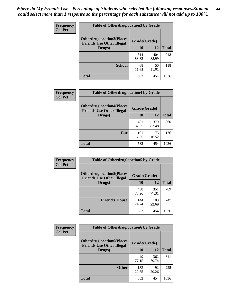| <b>Frequency</b> | <b>Table of Otherdruglocation 3 by Grade</b>                         |              |              |              |
|------------------|----------------------------------------------------------------------|--------------|--------------|--------------|
| <b>Col Pct</b>   | <b>Otherdruglocation3(Places</b><br><b>Friends Use Other Illegal</b> | Grade(Grade) |              |              |
|                  | Drugs)                                                               | 10           | 12           | <b>Total</b> |
|                  |                                                                      | 514<br>88.32 | 404<br>88.99 | 918          |
|                  | <b>School</b>                                                        | 68<br>11.68  | 50<br>11.01  | 118          |
|                  | <b>Total</b>                                                         | 582          | 454          | 1036         |

| <b>Frequency</b> | <b>Table of Otherdruglocation4 by Grade</b>                          |              |              |              |
|------------------|----------------------------------------------------------------------|--------------|--------------|--------------|
| <b>Col Pct</b>   | <b>Otherdruglocation4(Places</b><br><b>Friends Use Other Illegal</b> | Grade(Grade) |              |              |
|                  | Drugs)                                                               | 10           | 12           | <b>Total</b> |
|                  |                                                                      | 481<br>82.65 | 379<br>83.48 | 860          |
|                  | Car                                                                  | 101<br>17.35 | 75<br>16.52  | 176          |
|                  | <b>Total</b>                                                         | 582          | 454          | 1036         |

| Frequency<br><b>Col Pct</b> | <b>Table of Otherdruglocation5 by Grade</b>                          |              |              |              |
|-----------------------------|----------------------------------------------------------------------|--------------|--------------|--------------|
|                             | <b>Otherdruglocation5(Places</b><br><b>Friends Use Other Illegal</b> | Grade(Grade) |              |              |
|                             | Drugs)                                                               | 10           | 12           | <b>Total</b> |
|                             |                                                                      | 438<br>75.26 | 351<br>77.31 | 789          |
|                             | <b>Friend's House</b>                                                | 144<br>24.74 | 103<br>22.69 | 247          |
|                             | <b>Total</b>                                                         | 582          | 454          | 1036         |

| <b>Frequency</b> | <b>Table of Otherdruglocation6 by Grade</b>                           |              |              |              |
|------------------|-----------------------------------------------------------------------|--------------|--------------|--------------|
| <b>Col Pct</b>   | <b>Otherdruglocation6(Places)</b><br><b>Friends Use Other Illegal</b> |              | Grade(Grade) |              |
|                  | Drugs)                                                                | 10           | 12           | <b>Total</b> |
|                  |                                                                       | 449<br>77.15 | 362<br>79.74 | 811          |
|                  | <b>Other</b>                                                          | 133<br>22.85 | 92<br>20.26  | 225          |
|                  | <b>Total</b>                                                          | 582          | 454          | 1036         |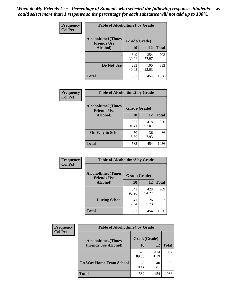| Frequency      | <b>Table of Alcoholtime1 by Grade</b>           |              |              |              |
|----------------|-------------------------------------------------|--------------|--------------|--------------|
| <b>Col Pct</b> | <b>Alcoholtime1(Times</b><br><b>Friends Use</b> | Grade(Grade) |              |              |
|                | <b>Alcohol</b> )                                | 10           | 12           | <b>Total</b> |
|                |                                                 | 349<br>59.97 | 354<br>77.97 | 703          |
|                | Do Not Use                                      | 233<br>40.03 | 100<br>22.03 | 333          |
|                | <b>Total</b>                                    | 582          | 454          | 1036         |

| Frequency<br><b>Col Pct</b> | <b>Table of Alcoholtime2 by Grade</b>           |              |              |              |
|-----------------------------|-------------------------------------------------|--------------|--------------|--------------|
|                             | <b>Alcoholtime2(Times</b><br><b>Friends Use</b> | Grade(Grade) |              |              |
|                             | Alcohol)                                        | 10           | 12           | <b>Total</b> |
|                             |                                                 | 532<br>91.41 | 418<br>92.07 | 950          |
|                             | <b>On Way to School</b>                         | 50<br>8.59   | 36<br>7.93   | 86           |
|                             | <b>Total</b>                                    | 582          | 454          | 1036         |

| Frequency<br><b>Col Pct</b> | <b>Table of Alcoholtime3 by Grade</b>                           |              |              |              |
|-----------------------------|-----------------------------------------------------------------|--------------|--------------|--------------|
|                             | <b>Alcoholtime3(Times</b><br>Grade(Grade)<br><b>Friends Use</b> |              |              |              |
|                             | Alcohol)                                                        | 10           | 12           | <b>Total</b> |
|                             |                                                                 | 541<br>92.96 | 428<br>94.27 | 969          |
|                             | <b>During School</b>                                            | 41<br>7.04   | 26<br>5.73   | 67           |
|                             | Total                                                           | 582          | 454          | 1036         |

| <b>Frequency</b> | <b>Table of Alcoholtime4 by Grade</b>     |              |              |              |  |
|------------------|-------------------------------------------|--------------|--------------|--------------|--|
| <b>Col Pct</b>   | Grade(Grade)<br><b>Alcoholtime4(Times</b> |              |              |              |  |
|                  | <b>Friends Use Alcohol)</b>               | 10           | 12           | <b>Total</b> |  |
|                  |                                           | 523<br>89.86 | 414<br>91.19 | 937          |  |
|                  | <b>On Way Home From School</b>            | 59<br>10.14  | 40<br>8.81   | 99           |  |
|                  | <b>Total</b>                              | 582          | 454          | 1036         |  |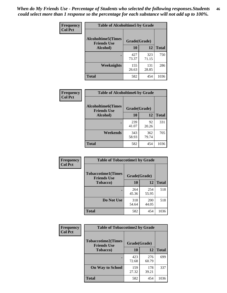*When do My Friends Use - Percentage of Students who selected the following responses.Students could select more than 1 response so the percentage for each substance will not add up to 100%.* **46**

| Frequency      | <b>Table of Alcoholtime5 by Grade</b>                           |              |              |              |
|----------------|-----------------------------------------------------------------|--------------|--------------|--------------|
| <b>Col Pct</b> | <b>Alcoholtime5(Times</b><br>Grade(Grade)<br><b>Friends Use</b> |              |              |              |
|                | Alcohol)                                                        | 10           | 12           | <b>Total</b> |
|                |                                                                 | 427<br>73.37 | 323<br>71.15 | 750          |
|                | Weeknights                                                      | 155<br>26.63 | 131<br>28.85 | 286          |
|                | <b>Total</b>                                                    | 582          | 454          | 1036         |

| <b>Frequency</b> | <b>Table of Alcoholtime6 by Grade</b>           |              |              |              |
|------------------|-------------------------------------------------|--------------|--------------|--------------|
| <b>Col Pct</b>   | <b>Alcoholtime6(Times</b><br><b>Friends Use</b> |              | Grade(Grade) |              |
|                  | <b>Alcohol</b> )                                | 10           | 12           | <b>Total</b> |
|                  |                                                 | 239<br>41.07 | 92<br>20.26  | 331          |
|                  | Weekends                                        | 343<br>58.93 | 362<br>79.74 | 705          |
|                  | <b>Total</b>                                    | 582          | 454          | 1036         |

| Frequency      | <b>Table of Tobaccotime1 by Grade</b>           |              |              |              |
|----------------|-------------------------------------------------|--------------|--------------|--------------|
| <b>Col Pct</b> | <b>Tobaccotime1(Times</b><br><b>Friends Use</b> | Grade(Grade) |              |              |
|                | <b>Tobacco</b> )                                | 10           | 12           | <b>Total</b> |
|                | ٠                                               | 264<br>45.36 | 254<br>55.95 | 518          |
|                | Do Not Use                                      | 318<br>54.64 | 200<br>44.05 | 518          |
|                | <b>Total</b>                                    | 582          | 454          | 1036         |

| <b>Frequency</b> | <b>Table of Tobaccotime2 by Grade</b>           |              |              |              |  |
|------------------|-------------------------------------------------|--------------|--------------|--------------|--|
| <b>Col Pct</b>   | <b>Tobaccotime2(Times</b><br><b>Friends Use</b> | Grade(Grade) |              |              |  |
|                  | <b>Tobacco</b> )                                | 10           | 12           | <b>Total</b> |  |
|                  |                                                 | 423<br>72.68 | 276<br>60.79 | 699          |  |
|                  | <b>On Way to School</b>                         | 159<br>27.32 | 178<br>39.21 | 337          |  |
|                  | <b>Total</b>                                    | 582          | 454          | 1036         |  |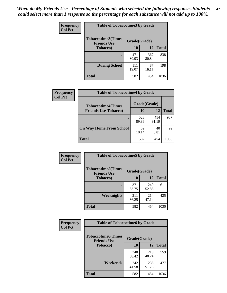*When do My Friends Use - Percentage of Students who selected the following responses.Students could select more than 1 response so the percentage for each substance will not add up to 100%.* **47**

| <b>Frequency</b> | <b>Table of Tobaccotime3 by Grade</b>           |              |              |              |  |
|------------------|-------------------------------------------------|--------------|--------------|--------------|--|
| <b>Col Pct</b>   | <b>Tobaccotime3(Times</b><br><b>Friends Use</b> | Grade(Grade) |              |              |  |
|                  | <b>Tobacco</b> )                                | 10           | 12           | <b>Total</b> |  |
|                  |                                                 | 471<br>80.93 | 367<br>80.84 | 838          |  |
|                  | <b>During School</b>                            | 111<br>19.07 | 87<br>19.16  | 198          |  |
|                  | <b>Total</b>                                    | 582          | 454          | 1036         |  |

| Frequency<br><b>Col Pct</b> | <b>Table of Tobaccotime4 by Grade</b> |              |              |              |
|-----------------------------|---------------------------------------|--------------|--------------|--------------|
|                             | <b>Tobaccotime4(Times</b>             | Grade(Grade) |              |              |
|                             | <b>Friends Use Tobacco)</b>           | 10           | 12           | <b>Total</b> |
|                             |                                       | 523<br>89.86 | 414<br>91.19 | 937          |
|                             | <b>On Way Home From School</b>        | 59<br>10.14  | 40<br>8.81   | 99           |
|                             | <b>Total</b>                          | 582          | 454          | 1036         |

| <b>Frequency</b> | <b>Table of Tobaccotime5 by Grade</b>            |              |              |              |
|------------------|--------------------------------------------------|--------------|--------------|--------------|
| <b>Col Pct</b>   | <b>Tobaccotime5</b> (Times<br><b>Friends Use</b> | Grade(Grade) |              |              |
|                  | <b>Tobacco</b> )                                 | 10           | 12           | <b>Total</b> |
|                  |                                                  | 371<br>63.75 | 240<br>52.86 | 611          |
|                  | Weeknights                                       | 211<br>36.25 | 214<br>47.14 | 425          |
|                  | <b>Total</b>                                     | 582          | 454          | 1036         |

| Frequency      | <b>Table of Tobaccotime6 by Grade</b>           |              |              |              |
|----------------|-------------------------------------------------|--------------|--------------|--------------|
| <b>Col Pct</b> | <b>Tobaccotime6(Times</b><br><b>Friends Use</b> | Grade(Grade) |              |              |
|                | <b>Tobacco</b> )                                | 10           | 12           | <b>Total</b> |
|                | ٠                                               | 340<br>58.42 | 219<br>48.24 | 559          |
|                | Weekends                                        | 242<br>41.58 | 235<br>51.76 | 477          |
|                | <b>Total</b>                                    | 582          | 454          | 1036         |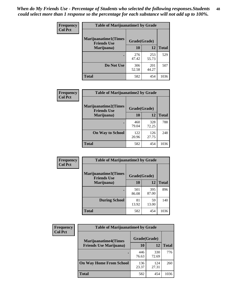| Frequency      | <b>Table of Marijuanatime1 by Grade</b>           |              |              |              |
|----------------|---------------------------------------------------|--------------|--------------|--------------|
| <b>Col Pct</b> | <b>Marijuanatime1(Times</b><br><b>Friends Use</b> | Grade(Grade) |              |              |
|                | Marijuana)                                        | 10           | 12           | <b>Total</b> |
|                |                                                   | 276<br>47.42 | 253<br>55.73 | 529          |
|                | Do Not Use                                        | 306<br>52.58 | 201<br>44.27 | 507          |
|                | <b>Total</b>                                      | 582          | 454          | 1036         |

| <b>Frequency</b> | <b>Table of Marijuanatime2 by Grade</b>           |              |              |              |
|------------------|---------------------------------------------------|--------------|--------------|--------------|
| <b>Col Pct</b>   | <b>Marijuanatime2(Times</b><br><b>Friends Use</b> | Grade(Grade) |              |              |
|                  | Marijuana)                                        | 10           | 12           | <b>Total</b> |
|                  |                                                   | 460<br>79.04 | 328<br>72.25 | 788          |
|                  | <b>On Way to School</b>                           | 122<br>20.96 | 126<br>27.75 | 248          |
|                  | <b>Total</b>                                      | 582          | 454          | 1036         |

| Frequency<br><b>Col Pct</b> | <b>Table of Marijuanatime3 by Grade</b>    |              |              |              |
|-----------------------------|--------------------------------------------|--------------|--------------|--------------|
|                             | Marijuanatime3(Times<br><b>Friends Use</b> | Grade(Grade) |              |              |
|                             | Marijuana)                                 | 10           | 12           | <b>Total</b> |
|                             |                                            | 501<br>86.08 | 395<br>87.00 | 896          |
|                             | <b>During School</b>                       | 81<br>13.92  | 59<br>13.00  | 140          |
|                             | Total                                      | 582          | 454          | 1036         |

| Frequency<br><b>Col Pct</b> | <b>Table of Marijuanatime4 by Grade</b> |              |              |       |
|-----------------------------|-----------------------------------------|--------------|--------------|-------|
|                             | <b>Marijuanatime4</b> (Times            | Grade(Grade) |              |       |
|                             | <b>Friends Use Marijuana</b> )          | 10           | 12           | Total |
|                             |                                         | 446<br>76.63 | 330<br>72.69 | 776   |
|                             | <b>On Way Home From School</b>          | 136<br>23.37 | 124<br>27.31 | 260   |
|                             | <b>Total</b>                            | 582          | 454          | 1036  |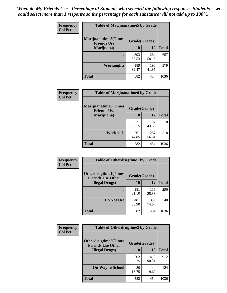| Frequency      | <b>Table of Marijuanatime5 by Grade</b>            |              |              |              |
|----------------|----------------------------------------------------|--------------|--------------|--------------|
| <b>Col Pct</b> | <b>Marijuanatime5</b> (Times<br><b>Friends Use</b> | Grade(Grade) |              |              |
|                | Marijuana)                                         | 10           | 12           | <b>Total</b> |
|                |                                                    | 393<br>67.53 | 264<br>58.15 | 657          |
|                | Weeknights                                         | 189<br>32.47 | 190<br>41.85 | 379          |
|                | <b>Total</b>                                       | 582          | 454          | 1036         |

| <b>Frequency</b><br><b>Col Pct</b> | <b>Table of Marijuanatime6 by Grade</b>    |              |              |              |
|------------------------------------|--------------------------------------------|--------------|--------------|--------------|
|                                    | Marijuanatime6(Times<br><b>Friends Use</b> | Grade(Grade) |              |              |
|                                    | Marijuana)                                 | <b>10</b>    | 12           | <b>Total</b> |
|                                    |                                            | 321<br>55.15 | 197<br>43.39 | 518          |
|                                    | Weekends                                   | 261<br>44.85 | 257<br>56.61 | 518          |
|                                    | <b>Total</b>                               | 582          | 454          | 1036         |

| Frequency      | <b>Table of Otherdrugtime1 by Grade</b>                 |              |              |              |
|----------------|---------------------------------------------------------|--------------|--------------|--------------|
| <b>Col Pct</b> | <b>Otherdrugtime1(Times</b><br><b>Friends Use Other</b> | Grade(Grade) |              |              |
|                | <b>Illegal Drugs</b> )                                  | 10           | 12           | <b>Total</b> |
|                |                                                         | 181<br>31.10 | 115<br>25.33 | 296          |
|                | Do Not Use                                              | 401<br>68.90 | 339<br>74.67 | 740          |
|                | <b>Total</b>                                            | 582          | 454          | 1036         |

| Frequency      | <b>Table of Otherdrugtime2 by Grade</b>                 |              |              |              |  |  |
|----------------|---------------------------------------------------------|--------------|--------------|--------------|--|--|
| <b>Col Pct</b> | <b>Otherdrugtime2(Times</b><br><b>Friends Use Other</b> | Grade(Grade) |              |              |  |  |
|                | <b>Illegal Drugs</b> )                                  | 10           | 12           | <b>Total</b> |  |  |
|                |                                                         | 502<br>86.25 | 410<br>90.31 | 912          |  |  |
|                | <b>On Way to School</b>                                 | 80<br>13.75  | 44<br>9.69   | 124          |  |  |
|                | Total                                                   | 582          | 454          | 1036         |  |  |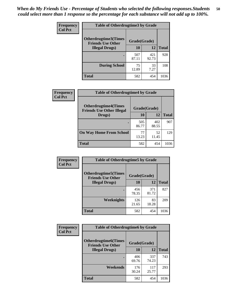| <b>Frequency</b> | <b>Table of Otherdrugtime3 by Grade</b>          |              |              |              |  |  |
|------------------|--------------------------------------------------|--------------|--------------|--------------|--|--|
| <b>Col Pct</b>   | Otherdrugtime3(Times<br><b>Friends Use Other</b> | Grade(Grade) |              |              |  |  |
|                  | <b>Illegal Drugs</b> )                           | 10           | 12           | <b>Total</b> |  |  |
|                  |                                                  | 507<br>87.11 | 421<br>92.73 | 928          |  |  |
|                  | <b>During School</b>                             | 75<br>12.89  | 33<br>7.27   | 108          |  |  |
|                  | Total                                            | 582          | 454          | 1036         |  |  |

| <b>Frequency</b> | <b>Table of Otherdrugtime4 by Grade</b>                         |              |              |              |  |  |
|------------------|-----------------------------------------------------------------|--------------|--------------|--------------|--|--|
| <b>Col Pct</b>   | <b>Otherdrugtime4(Times</b><br><b>Friends Use Other Illegal</b> | Grade(Grade) |              |              |  |  |
|                  | Drugs)                                                          | 10           | 12           | <b>Total</b> |  |  |
|                  | $\bullet$                                                       | 505<br>86.77 | 402<br>88.55 | 907          |  |  |
|                  | <b>On Way Home From School</b>                                  | 77<br>13.23  | 52<br>11.45  | 129          |  |  |
|                  | <b>Total</b>                                                    | 582          | 454          | 1036         |  |  |

| <b>Frequency</b> | <b>Table of Otherdrugtime5 by Grade</b>                  |              |              |              |  |  |
|------------------|----------------------------------------------------------|--------------|--------------|--------------|--|--|
| <b>Col Pct</b>   | <b>Otherdrugtime5</b> (Times<br><b>Friends Use Other</b> | Grade(Grade) |              |              |  |  |
|                  | <b>Illegal Drugs</b> )                                   | 10           | 12           | <b>Total</b> |  |  |
|                  |                                                          | 456<br>78.35 | 371<br>81.72 | 827          |  |  |
|                  | Weeknights                                               | 126<br>21.65 | 83<br>18.28  | 209          |  |  |
|                  | Total                                                    | 582          | 454          | 1036         |  |  |

| Frequency      | <b>Table of Otherdrugtime6 by Grade</b>                 |              |              |              |  |  |
|----------------|---------------------------------------------------------|--------------|--------------|--------------|--|--|
| <b>Col Pct</b> | <b>Otherdrugtime6(Times</b><br><b>Friends Use Other</b> | Grade(Grade) |              |              |  |  |
|                | <b>Illegal Drugs</b> )                                  | 10           | 12           | <b>Total</b> |  |  |
|                |                                                         | 406<br>69.76 | 337<br>74.23 | 743          |  |  |
|                | Weekends                                                | 176<br>30.24 | 117<br>25.77 | 293          |  |  |
|                | <b>Total</b>                                            | 582          | 454          | 1036         |  |  |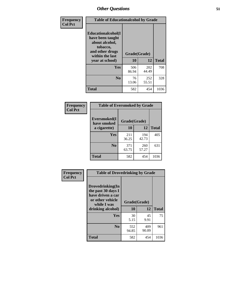| Frequency<br><b>Col Pct</b> | <b>Table of Educationalcohol by Grade</b>                                                                  |              |              |              |  |
|-----------------------------|------------------------------------------------------------------------------------------------------------|--------------|--------------|--------------|--|
|                             | Educationalcohol(I<br>have been taught<br>about alcohol,<br>tobacco,<br>and other drugs<br>within the last | Grade(Grade) |              |              |  |
|                             | vear at school)                                                                                            | 10           | 12           | <b>Total</b> |  |
|                             | Yes                                                                                                        | 506<br>86.94 | 202<br>44.49 | 708          |  |
|                             | N <sub>0</sub>                                                                                             | 76<br>13.06  | 252<br>55.51 | 328          |  |
|                             | <b>Total</b>                                                                                               | 582          | 454          | 1036         |  |

| Frequency      | <b>Table of Eversmoked by Grade</b>         |              |              |              |  |  |  |
|----------------|---------------------------------------------|--------------|--------------|--------------|--|--|--|
| <b>Col Pct</b> | Eversmoked(I<br>Grade(Grade)<br>have smoked |              |              |              |  |  |  |
|                | a cigarette)                                | 10           | 12           | <b>Total</b> |  |  |  |
|                | Yes                                         | 211<br>36.25 | 194<br>42.73 | 405          |  |  |  |
|                | N <sub>0</sub>                              | 371<br>63.75 | 260<br>57.27 | 631          |  |  |  |
|                | <b>Total</b>                                | 582          | 454          | 1036         |  |  |  |

| Frequency<br><b>Col Pct</b> | <b>Table of Drovedrinking by Grade</b>                                                                              |                    |              |              |  |  |
|-----------------------------|---------------------------------------------------------------------------------------------------------------------|--------------------|--------------|--------------|--|--|
|                             | Drovedrinking(In<br>the past 30 days I<br>have driven a car<br>or other vehicle<br>while I was<br>drinking alcohol) | Grade(Grade)<br>10 | 12           | <b>Total</b> |  |  |
|                             | <b>Yes</b>                                                                                                          | 30<br>5.15         | 45<br>9.91   | 75           |  |  |
|                             | N <sub>0</sub>                                                                                                      | 552<br>94.85       | 409<br>90.09 | 961          |  |  |
|                             | <b>Total</b>                                                                                                        | 582                | 454          | 1036         |  |  |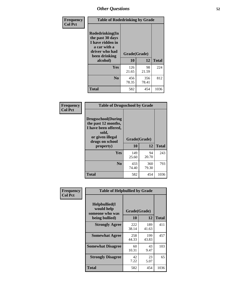| Frequency<br><b>Col Pct</b> | <b>Table of Rodedrinking by Grade</b>                                                                                      |              |              |              |  |  |
|-----------------------------|----------------------------------------------------------------------------------------------------------------------------|--------------|--------------|--------------|--|--|
|                             | Rodedrinking(In<br>the past 30 days<br>I have ridden in<br>a car with a<br>driver who had<br>Grade(Grade)<br>been drinking |              |              |              |  |  |
|                             | alcohol)                                                                                                                   | 10           | 12           | <b>Total</b> |  |  |
|                             | <b>Yes</b>                                                                                                                 | 126<br>21.65 | 98<br>21.59  | 224          |  |  |
|                             | N <sub>0</sub>                                                                                                             | 456<br>78.35 | 356<br>78.41 | 812          |  |  |
|                             | <b>Total</b>                                                                                                               | 582          | 454          | 1036         |  |  |

#### **Frequency Col Pct**

| <b>Table of Drugsschool by Grade</b>                                                                                      |              |       |              |  |  |  |
|---------------------------------------------------------------------------------------------------------------------------|--------------|-------|--------------|--|--|--|
| <b>Drugsschool</b> (During<br>the past 12 months,<br>I have been offered,<br>sold,<br>or given illegal<br>drugs on school | Grade(Grade) |       |              |  |  |  |
|                                                                                                                           |              |       |              |  |  |  |
| property)                                                                                                                 | 10           | 12    | <b>Total</b> |  |  |  |
| Yes                                                                                                                       | 149          | 94    | 243          |  |  |  |
|                                                                                                                           | 25.60        | 20.70 |              |  |  |  |
| N <sub>0</sub>                                                                                                            | 433          | 360   | 793          |  |  |  |
|                                                                                                                           | 74.40        | 79.30 |              |  |  |  |

| Frequency      | <b>Table of Helpbullied by Grade</b>                                   |                    |              |      |  |  |  |
|----------------|------------------------------------------------------------------------|--------------------|--------------|------|--|--|--|
| <b>Col Pct</b> | $Helpb$ ullied $(I$<br>would help<br>someone who was<br>being bullied) | Grade(Grade)<br>10 | <b>Total</b> |      |  |  |  |
|                |                                                                        |                    | 12           |      |  |  |  |
|                | <b>Strongly Agree</b>                                                  | 222<br>38.14       | 189<br>41.63 | 411  |  |  |  |
|                | <b>Somewhat Agree</b>                                                  | 258<br>44.33       | 199<br>43.83 | 457  |  |  |  |
|                | <b>Somewhat Disagree</b>                                               | 60<br>10.31        | 43<br>9.47   | 103  |  |  |  |
|                | <b>Strongly Disagree</b>                                               | 42<br>7.22         | 23<br>5.07   | 65   |  |  |  |
|                | <b>Total</b>                                                           | 582                | 454          | 1036 |  |  |  |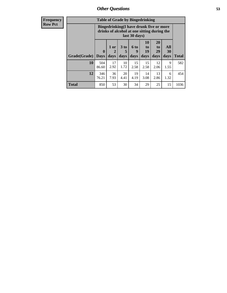| <b>Frequency</b><br><b>Row Pct</b> |              | <b>Table of Grade by Bingedrinking</b><br>Bingedrinking(I have drunk five or more<br>drinks of alcohol at one sitting during the<br>last 30 days) |                   |              |                              |                        |                        |                   |              |
|------------------------------------|--------------|---------------------------------------------------------------------------------------------------------------------------------------------------|-------------------|--------------|------------------------------|------------------------|------------------------|-------------------|--------------|
|                                    | Grade(Grade) | $\mathbf{0}$<br><b>Days</b>                                                                                                                       | 1 or<br>2<br>days | 3 to<br>days | $6 \text{ to }$<br>9<br>days | 10<br>to<br>19<br>days | 20<br>to<br>29<br>days | All<br>30<br>days | <b>Total</b> |
|                                    | <b>10</b>    | 504<br>86.60                                                                                                                                      | 17<br>2.92        | 10<br>1.72   | 15<br>2.58                   | 15<br>2.58             | 12<br>2.06             | 9<br>1.55         | 582          |
|                                    | 12           | 346<br>76.21                                                                                                                                      | 36<br>7.93        | 20<br>4.41   | 19<br>4.19                   | 14<br>3.08             | 13<br>2.86             | 6<br>1.32         | 454          |
|                                    | <b>Total</b> | 850                                                                                                                                               | 53                | 30           | 34                           | 29                     | 25                     | 15                | 1036         |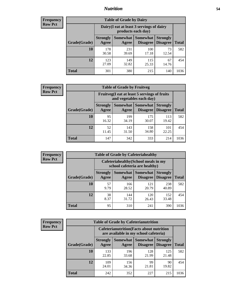### *Nutrition* **54**

| <b>Frequency</b><br>Row Pct |
|-----------------------------|
|                             |

| <b>Table of Grade by Dairy</b> |                          |                                                                                                                 |              |             |      |  |
|--------------------------------|--------------------------|-----------------------------------------------------------------------------------------------------------------|--------------|-------------|------|--|
|                                |                          | Dairy (I eat at least 3 servings of dairy<br>products each day)                                                 |              |             |      |  |
| Grade(Grade)                   | <b>Strongly</b><br>Agree | Somewhat  <br><b>Somewhat</b><br><b>Strongly</b><br><b>Disagree</b><br><b>Disagree</b><br><b>Total</b><br>Agree |              |             |      |  |
| 10                             | 178<br>30.58             | 231<br>39.69                                                                                                    | 100<br>17.18 | 73<br>12.54 | 582  |  |
| 12                             | 123<br>27.09             | 149<br>32.82                                                                                                    | 115<br>25.33 | 67<br>14.76 | 454  |  |
| <b>Total</b>                   | 301                      | 380                                                                                                             | 215          | 140         | 1036 |  |

| <b>Frequency</b> |  |
|------------------|--|
| <b>Row Pct</b>   |  |

| <b>Table of Grade by Fruitveg</b> |                          |                                                                          |                               |                                    |              |
|-----------------------------------|--------------------------|--------------------------------------------------------------------------|-------------------------------|------------------------------------|--------------|
|                                   |                          | Fruitveg(I eat at least 5 servings of fruits<br>and vegetables each day) |                               |                                    |              |
| Grade(Grade)                      | <b>Strongly</b><br>Agree | Agree                                                                    | Somewhat Somewhat<br>Disagree | <b>Strongly</b><br><b>Disagree</b> | <b>Total</b> |
| 10                                | 95<br>16.32              | 199<br>34.19                                                             | 175<br>30.07                  | 113<br>19.42                       | 582          |
| 12                                | 52<br>11.45              | 143<br>31.50                                                             | 158<br>34.80                  | 101<br>22.25                       | 454          |
| <b>Total</b>                      | 147                      | 342                                                                      | 333                           | 214                                | 1036         |

| Frequency      |              | <b>Table of Grade by Cafeteriahealthy</b> |                                                                       |                                        |                                    |              |  |
|----------------|--------------|-------------------------------------------|-----------------------------------------------------------------------|----------------------------------------|------------------------------------|--------------|--|
| <b>Row Pct</b> |              |                                           | Cafeteriahealthy (School meals in my<br>school cafeteria are healthy) |                                        |                                    |              |  |
|                | Grade(Grade) | <b>Strongly</b><br>Agree                  | Agree                                                                 | Somewhat   Somewhat<br><b>Disagree</b> | <b>Strongly</b><br><b>Disagree</b> | <b>Total</b> |  |
|                | 10           | 57<br>9.79                                | 166<br>28.52                                                          | 121<br>20.79                           | 238<br>40.89                       | 582          |  |
|                | 12           | 38<br>8.37                                | 144<br>31.72                                                          | 120<br>26.43                           | 152<br>33.48                       | 454          |  |
|                | <b>Total</b> | 95                                        | 310                                                                   | 241                                    | 390                                | 1036         |  |

| <b>Frequency</b> |
|------------------|
| <b>Row Pct</b>   |

| <b>Table of Grade by Cafeterianutrition</b> |                          |                                                                                           |                                    |                                    |              |  |
|---------------------------------------------|--------------------------|-------------------------------------------------------------------------------------------|------------------------------------|------------------------------------|--------------|--|
|                                             |                          | <b>Cafeterianutrition</b> (Facts about nutrition<br>are available in my school cafeteria) |                                    |                                    |              |  |
| Grade(Grade)                                | <b>Strongly</b><br>Agree | Somewhat  <br>Agree                                                                       | <b>Somewhat</b><br><b>Disagree</b> | <b>Strongly</b><br><b>Disagree</b> | <b>Total</b> |  |
| 10                                          | 133<br>22.85             | 196<br>33.68                                                                              | 128<br>21.99                       | 125<br>21.48                       | 582          |  |
| 12                                          | 109<br>24.01             | 156<br>34.36                                                                              | 99<br>21.81                        | 90<br>19.82                        | 454          |  |
| Total                                       | 242                      | 352                                                                                       | 227                                | 215                                | 1036         |  |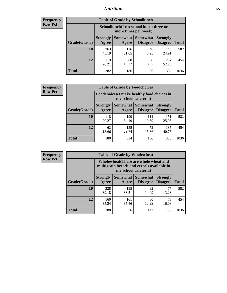### *Nutrition* **55**

| <b>Frequency</b> |
|------------------|
| <b>Row Pct</b>   |

| <b>Table of Grade by Schoollunch</b> |                          |                                                                 |                                    |                                    |              |  |
|--------------------------------------|--------------------------|-----------------------------------------------------------------|------------------------------------|------------------------------------|--------------|--|
|                                      |                          | Schoollunch(I eat school lunch three or<br>more times per week) |                                    |                                    |              |  |
| Grade(Grade)                         | <b>Strongly</b><br>Agree | Somewhat  <br>Agree                                             | <b>Somewhat</b><br><b>Disagree</b> | <b>Strongly</b><br><b>Disagree</b> | <b>Total</b> |  |
| 10                                   | 263<br>45.19             | 126<br>21.65                                                    | 48<br>8.25                         | 145<br>24.91                       | 582          |  |
| 12                                   | 119<br>26.21             | 60<br>13.22                                                     | 38<br>8.37                         | 237<br>52.20                       | 454          |  |
| <b>Total</b>                         | 382                      | 186                                                             | 86                                 | 382                                | 1036         |  |

| <b>Frequency</b> |  |
|------------------|--|
| <b>Row Pct</b>   |  |

| <b>Table of Grade by Foodchoices</b> |                          |                                                                            |                               |                                    |              |  |
|--------------------------------------|--------------------------|----------------------------------------------------------------------------|-------------------------------|------------------------------------|--------------|--|
|                                      |                          | <b>Foodchoices</b> (I make healthy food choices in<br>my school cafeteria) |                               |                                    |              |  |
| Grade(Grade)                         | <b>Strongly</b><br>Agree | Agree                                                                      | Somewhat Somewhat<br>Disagree | <b>Strongly</b><br><b>Disagree</b> | <b>Total</b> |  |
| 10                                   | 118<br>20.27             | 199<br>34.19                                                               | 114<br>19.59                  | 151<br>25.95                       | 582          |  |
| 12                                   | 62<br>13.66              | 135<br>29.74                                                               | 72<br>15.86                   | 185<br>40.75                       | 454          |  |
| Total                                | 180                      | 334                                                                        | 186                           | 336                                | 1036         |  |

| <b>Frequency</b> |
|------------------|
| Row Pct          |

| <b>Table of Grade by Wholewheat</b> |                          |                                                                                                             |                                    |                                    |              |  |
|-------------------------------------|--------------------------|-------------------------------------------------------------------------------------------------------------|------------------------------------|------------------------------------|--------------|--|
|                                     |                          | Wholewheat (There are whole wheat and<br>multigrain breads and cereals available in<br>my school cafeteria) |                                    |                                    |              |  |
| Grade(Grade)                        | <b>Strongly</b><br>Agree | Somewhat  <br>Agree                                                                                         | <b>Somewhat</b><br><b>Disagree</b> | <b>Strongly</b><br><b>Disagree</b> | <b>Total</b> |  |
| 10                                  | 228<br>39.18             | 195<br>33.51                                                                                                | 82<br>14.09                        | 77<br>13.23                        | 582          |  |
| 12                                  | 160<br>35.24             | 161<br>35.46                                                                                                | 60<br>13.22                        | 73<br>16.08                        | 454          |  |
| <b>Total</b>                        | 388                      | 356                                                                                                         | 142                                | 150                                | 1036         |  |

٦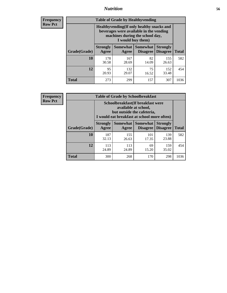### *Nutrition* **56**

**Frequency Row Pct**

| <b>Table of Grade by Healthyvending</b> |                                                                                                                                               |                          |                                    |                                    |              |  |
|-----------------------------------------|-----------------------------------------------------------------------------------------------------------------------------------------------|--------------------------|------------------------------------|------------------------------------|--------------|--|
|                                         | Healthyvending (If only healthy snacks and<br>beverages were available in the vending<br>machines during the school day,<br>I would buy them) |                          |                                    |                                    |              |  |
| Grade(Grade)                            | <b>Strongly</b><br>Agree                                                                                                                      | <b>Somewhat</b><br>Agree | <b>Somewhat</b><br><b>Disagree</b> | <b>Strongly</b><br><b>Disagree</b> | <b>Total</b> |  |
| 10                                      | 178<br>30.58                                                                                                                                  | 167<br>28.69             | 82<br>14.09                        | 155<br>26.63                       | 582          |  |
| 12                                      | 95<br>20.93                                                                                                                                   | 132<br>29.07             | 75<br>16.52                        | 152<br>33.48                       | 454          |  |
| Total                                   | 273                                                                                                                                           | 299                      | 157                                | 307                                | 1036         |  |

**Frequency Row Pct**

| <b>Table of Grade by Schoolbreakfast</b> |                                                                                                                                         |                          |                                    |                                    |              |  |
|------------------------------------------|-----------------------------------------------------------------------------------------------------------------------------------------|--------------------------|------------------------------------|------------------------------------|--------------|--|
|                                          | Schoolbreakfast (If breakfast were<br>available at school,<br>but outside the cafeteria,<br>I would eat breakfast at school more often) |                          |                                    |                                    |              |  |
| Grade(Grade)                             | <b>Strongly</b><br>Agree                                                                                                                | <b>Somewhat</b><br>Agree | <b>Somewhat</b><br><b>Disagree</b> | <b>Strongly</b><br><b>Disagree</b> | <b>Total</b> |  |
| 10                                       | 187<br>32.13                                                                                                                            | 155<br>26.63             | 101<br>17.35                       | 139<br>23.88                       | 582          |  |
| 12                                       | 113<br>24.89                                                                                                                            | 113<br>24.89             | 69<br>15.20                        | 159<br>35.02                       | 454          |  |
| <b>Total</b>                             | 300                                                                                                                                     | 268                      | 170                                | 298                                | 1036         |  |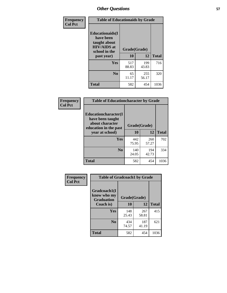| Frequency<br><b>Col Pct</b> | <b>Table of Educationaids by Grade</b>                                                                    |                    |              |              |
|-----------------------------|-----------------------------------------------------------------------------------------------------------|--------------------|--------------|--------------|
|                             | <b>Educationaids</b> (I<br>have been<br>taught about<br><b>HIV/AIDS</b> at<br>school in the<br>past year) | Grade(Grade)<br>10 | 12           | <b>Total</b> |
|                             | Yes                                                                                                       | 517<br>88.83       | 199<br>43.83 | 716          |
|                             | N <sub>0</sub>                                                                                            | 65<br>11.17        | 255<br>56.17 | 320          |
|                             | <b>Total</b>                                                                                              | 582                | 454          | 1036         |

| Frequency      | <b>Table of Educationcharacter by Grade</b>      |              |              |              |
|----------------|--------------------------------------------------|--------------|--------------|--------------|
| <b>Col Pct</b> | <b>Educationcharacter(I)</b><br>have been taught |              |              |              |
|                | about character<br>education in the past         | Grade(Grade) |              |              |
|                | year at school)                                  | 10           | 12           | <b>Total</b> |
|                | Yes                                              | 442<br>75.95 | 260<br>57.27 | 702          |
|                | N <sub>0</sub>                                   | 140<br>24.05 | 194<br>42.73 | 334          |
|                | <b>Total</b>                                     | 582          | 454          | 1036         |

| Frequency      | <b>Table of Gradcoach1 by Grade</b> |              |              |              |
|----------------|-------------------------------------|--------------|--------------|--------------|
| <b>Col Pct</b> | Gradcoach1(I<br>know who my         | Grade(Grade) |              |              |
|                | <b>Graduation</b><br>Coach is)      | 10           | 12           | <b>Total</b> |
|                | Yes                                 | 148<br>25.43 | 267<br>58.81 | 415          |
|                | N <sub>0</sub>                      | 434<br>74.57 | 187<br>41.19 | 621          |
|                | <b>Total</b>                        | 582          | 454          | 1036         |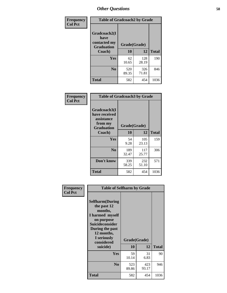| Frequency      | <b>Table of Gradcoach2 by Grade</b> |              |              |              |
|----------------|-------------------------------------|--------------|--------------|--------------|
| <b>Col Pct</b> |                                     |              |              |              |
|                | Gradcoach2(I<br>have                |              |              |              |
|                | contacted my<br><b>Graduation</b>   | Grade(Grade) |              |              |
|                | Coach)                              | 10           | 12           | <b>Total</b> |
|                | Yes                                 | 62<br>10.65  | 128<br>28.19 | 190          |
|                | N <sub>0</sub>                      | 520<br>89.35 | 326<br>71.81 | 846          |
|                | <b>Total</b>                        | 582          | 454          | 1036         |

| Frequency<br><b>Col Pct</b> | <b>Table of Gradcoach3 by Grade</b>                                         |              |              |              |
|-----------------------------|-----------------------------------------------------------------------------|--------------|--------------|--------------|
|                             | Gradcoach3(I<br>have received<br>assistance<br>from my<br><b>Graduation</b> | Grade(Grade) |              |              |
|                             | Coach)                                                                      | 10           | 12           | <b>Total</b> |
|                             | <b>Yes</b>                                                                  | 54<br>9.28   | 105<br>23.13 | 159          |
|                             | N <sub>0</sub>                                                              | 189<br>32.47 | 117<br>25.77 | 306          |
|                             | Don't know                                                                  | 339<br>58.25 | 232<br>51.10 | 571          |
|                             | <b>Total</b>                                                                | 582          | 454          | 1036         |

| Frequency      | <b>Table of Selfharm by Grade</b>                                                                                                                                               |                    |              |              |
|----------------|---------------------------------------------------------------------------------------------------------------------------------------------------------------------------------|--------------------|--------------|--------------|
| <b>Col Pct</b> | <b>Selfharm</b> (During<br>the past 12<br>months,<br>I harmed myself<br>on purpose<br>Suicideconsider<br>During the past<br>12 months,<br>I seriously<br>considered<br>suicide) | Grade(Grade)<br>10 | 12           | <b>Total</b> |
|                | Yes                                                                                                                                                                             | 59<br>10.14        | 31<br>6.83   | 90           |
|                | N <sub>0</sub>                                                                                                                                                                  | 523<br>89.86       | 423<br>93.17 | 946          |
|                | <b>Total</b>                                                                                                                                                                    | 582                | 454          | 1036         |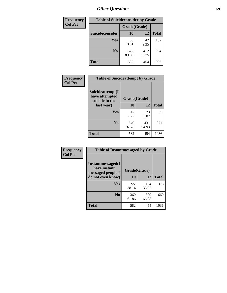| <b>Frequency</b> | <b>Table of Suicideconsider by Grade</b> |              |              |              |
|------------------|------------------------------------------|--------------|--------------|--------------|
| <b>Col Pct</b>   |                                          | Grade(Grade) |              |              |
|                  | Suicideconsider                          | <b>10</b>    | 12           | <b>Total</b> |
|                  | Yes                                      | 60<br>10.31  | 42<br>9.25   | 102          |
|                  | N <sub>0</sub>                           | 522<br>89.69 | 412<br>90.75 | 934          |
|                  | Total                                    | 582          | 454          | 1036         |

| Frequency      | <b>Table of Suicideattempt by Grade</b>              |              |              |              |
|----------------|------------------------------------------------------|--------------|--------------|--------------|
| <b>Col Pct</b> | Suicideattempt(I<br>have attempted<br>suicide in the | Grade(Grade) |              |              |
|                | last year)                                           | 10           | 12           | <b>Total</b> |
|                | Yes                                                  | 42<br>7.22   | 23<br>5.07   | 65           |
|                | $\bf No$                                             | 540<br>92.78 | 431<br>94.93 | 971          |
|                | <b>Total</b>                                         | 582          | 454          | 1036         |

| Frequency      | <b>Table of Instantmessaged by Grade</b>               |              |              |              |
|----------------|--------------------------------------------------------|--------------|--------------|--------------|
| <b>Col Pct</b> | Instantmessaged(I<br>have instant<br>messaged people I | Grade(Grade) |              |              |
|                | do not even know)                                      | 10           | 12           | <b>Total</b> |
|                | Yes                                                    | 222<br>38.14 | 154<br>33.92 | 376          |
|                | N <sub>0</sub>                                         | 360<br>61.86 | 300<br>66.08 | 660          |
|                | <b>Total</b>                                           | 582          | 454          | 1036         |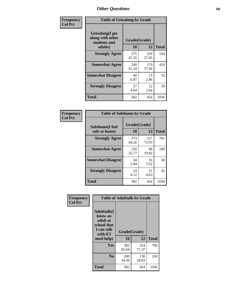| Frequency      | <b>Table of Getsalong by Grade</b>                          |              |              |              |  |  |  |
|----------------|-------------------------------------------------------------|--------------|--------------|--------------|--|--|--|
| <b>Col Pct</b> | <b>Getsalong</b> (I get<br>along with other<br>students and |              | Grade(Grade) |              |  |  |  |
|                | adults)                                                     | 10           | 12           | <b>Total</b> |  |  |  |
|                | <b>Strongly Agree</b>                                       | 275<br>47.25 | 259<br>57.05 | 534          |  |  |  |
|                | <b>Somewhat Agree</b>                                       | 240<br>41.24 | 170<br>37.44 | 410          |  |  |  |
|                | <b>Somewhat Disagree</b>                                    | 40<br>6.87   | 13<br>2.86   | 53           |  |  |  |
|                | <b>Strongly Disagree</b>                                    | 27<br>4.64   | 12<br>2.64   | 39           |  |  |  |
|                | Total                                                       | 582          | 454          | 1036         |  |  |  |

| Frequency<br>  Col Pct |
|------------------------|

| <b>Table of Safehome by Grade</b> |                    |              |      |  |  |  |  |  |  |
|-----------------------------------|--------------------|--------------|------|--|--|--|--|--|--|
| Safehome(I feel<br>safe at home)  | Grade(Grade)<br>10 | <b>Total</b> |      |  |  |  |  |  |  |
| <b>Strongly Agree</b>             | 374<br>64.26       | 327<br>72.03 | 701  |  |  |  |  |  |  |
| <b>Somewhat Agree</b>             | 150<br>25.77       | 90<br>19.82  | 240  |  |  |  |  |  |  |
| <b>Somewhat Disagree</b>          | 34<br>5.84         | 16<br>3.52   | 50   |  |  |  |  |  |  |
| <b>Strongly Disagree</b>          | 24<br>4.12         | 21<br>4.63   | 45   |  |  |  |  |  |  |
| <b>Total</b>                      | 582                | 454          | 1036 |  |  |  |  |  |  |

| Frequency      |                                                                                      | <b>Table of Adulttalk by Grade</b> |              |              |
|----------------|--------------------------------------------------------------------------------------|------------------------------------|--------------|--------------|
| <b>Col Pct</b> | <b>Adulttalk</b> (I<br>know an<br>adult at<br>school that<br>I can talk<br>with if I | Grade(Grade)                       |              |              |
|                | need help)                                                                           | 10                                 | 12           | <b>Total</b> |
|                | Yes                                                                                  | 382<br>65.64                       | 324<br>71.37 | 706          |
|                | N <sub>0</sub>                                                                       | 200<br>34.36                       | 130<br>28.63 | 330          |
|                | <b>Total</b>                                                                         | 582                                | 454          | 1036         |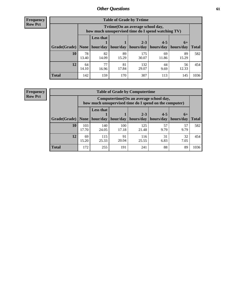**Frequency Row Pct**

| <b>Table of Grade by Tytime</b> |             |                                                                                         |             |              |             |             |              |  |  |  |  |
|---------------------------------|-------------|-----------------------------------------------------------------------------------------|-------------|--------------|-------------|-------------|--------------|--|--|--|--|
|                                 |             | Tytime (On an average school day,<br>how much unsupervised time do I spend watching TV) |             |              |             |             |              |  |  |  |  |
|                                 |             | <b>Less that</b>                                                                        |             | $2 - 3$      | $4 - 5$     | $6+$        |              |  |  |  |  |
| Grade(Grade)                    | None        | hour/day                                                                                | hour/day    | hours/day    | hours/day   | hours/day   | <b>Total</b> |  |  |  |  |
| 10                              | 78<br>13.40 | 82<br>14.09                                                                             | 89<br>15.29 | 175<br>30.07 | 69<br>11.86 | 89<br>15.29 | 582          |  |  |  |  |
| 12                              | 64<br>14.10 | 77<br>16.96                                                                             | 81<br>17.84 | 132<br>29.07 | 44<br>9.69  | 56<br>12.33 | 454          |  |  |  |  |
| <b>Total</b>                    | 142         | 159                                                                                     | 170         | 307          | 113         | 145         | 1036         |  |  |  |  |

**Frequency Row Pct**

| <b>Table of Grade by Computertime</b> |              |                                                                                                   |              |                      |                      |                   |              |  |  |  |  |
|---------------------------------------|--------------|---------------------------------------------------------------------------------------------------|--------------|----------------------|----------------------|-------------------|--------------|--|--|--|--|
|                                       |              | Computertime (On an average school day,<br>how much unsupervised time do I spend on the computer) |              |                      |                      |                   |              |  |  |  |  |
| Grade(Grade)                          | None         | <b>Less that</b><br>hour/day                                                                      | hour/day     | $2 - 3$<br>hours/day | $4 - 5$<br>hours/day | $6+$<br>hours/day | <b>Total</b> |  |  |  |  |
| 10                                    | 103<br>17.70 | 140<br>24.05                                                                                      | 100<br>17.18 | 125<br>21.48         | 57<br>9.79           | 57<br>9.79        | 582          |  |  |  |  |
| 12                                    | 69<br>15.20  | 115<br>25.33                                                                                      | 91<br>20.04  | 116<br>25.55         | 31<br>6.83           | 32<br>7.05        | 454          |  |  |  |  |
| <b>Total</b>                          | 172          | 255                                                                                               | 191          | 241                  | 88                   | 89                | 1036         |  |  |  |  |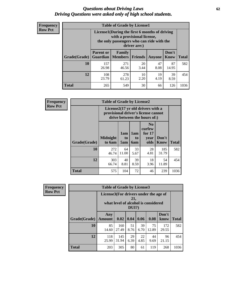#### *Questions about Driving Laws* **62** *Driving Questions were asked only of high school students.*

| <b>Frequency</b> |
|------------------|
| <b>Row Pct</b>   |

| <b>Table of Grade by License1</b> |                                     |                                                                                                                                           |                |            |                      |              |  |  |  |  |
|-----------------------------------|-------------------------------------|-------------------------------------------------------------------------------------------------------------------------------------------|----------------|------------|----------------------|--------------|--|--|--|--|
|                                   |                                     | License1(During the first 6 months of driving<br>with a provisional license,<br>the only passengers who can ride with the<br>driver are:) |                |            |                      |              |  |  |  |  |
| Grade(Grade)                      | <b>Parent or</b><br><b>Guardian</b> | Family<br><b>Members</b>                                                                                                                  | <b>Friends</b> | Anyone     | Don't<br><b>Know</b> | <b>Total</b> |  |  |  |  |
| 10                                | 157<br>26.98                        | 271<br>46.56                                                                                                                              | 20<br>3.44     | 47<br>8.08 | 87<br>14.95          | 582          |  |  |  |  |
| 12                                | 108<br>23.79                        | 278<br>61.23                                                                                                                              | 10<br>2.20     | 19<br>4.19 | 39<br>8.59           | 454          |  |  |  |  |
| <b>Total</b>                      | 265                                 | 549                                                                                                                                       | 30             | 66         | 126                  | 1036         |  |  |  |  |

| Frequency      | <b>Table of Grade by License2</b>                                                                        |                           |                  |                  |                                                      |                      |              |  |
|----------------|----------------------------------------------------------------------------------------------------------|---------------------------|------------------|------------------|------------------------------------------------------|----------------------|--------------|--|
| <b>Row Pct</b> | License2(17 yr old drivers with a<br>provisional driver's license cannot<br>drive between the hours of:) |                           |                  |                  |                                                      |                      |              |  |
|                | Grade(Grade)                                                                                             | <b>Midnight</b><br>to 6am | 1am<br>to<br>5am | 1am<br>to<br>6am | N <sub>0</sub><br>curfew<br>for $17$<br>year<br>olds | Don't<br><b>Know</b> | <b>Total</b> |  |
|                | 10                                                                                                       | 272<br>46.74              | 64<br>11.00      | 33<br>5.67       | 28<br>4.81                                           | 185<br>31.79         | 582          |  |
|                | 12                                                                                                       | 303<br>66.74              | 40<br>8.81       | 39<br>8.59       | 18<br>3.96                                           | 54<br>11.89          | 454          |  |
|                | <b>Total</b>                                                                                             | 575                       | 104              | 72               | 46                                                   | 239                  | 1036         |  |

| Frequency      |              | <b>Table of Grade by License3</b>                                                               |              |            |            |             |               |              |  |  |
|----------------|--------------|-------------------------------------------------------------------------------------------------|--------------|------------|------------|-------------|---------------|--------------|--|--|
| <b>Row Pct</b> |              | License3(For drivers under the age of<br>21,<br>what level of alcohol is considered<br>$DUI$ ?) |              |            |            |             |               |              |  |  |
|                | Grade(Grade) | Any<br><b>Amount</b>                                                                            | 0.02         | 0.04       | 0.06       | 0.08        | Don't<br>know | <b>Total</b> |  |  |
|                | 10           | 85<br>14.60                                                                                     | 160<br>27.49 | 51<br>8.76 | 39<br>6.70 | 75<br>12.89 | 172<br>29.55  | 582          |  |  |
|                | 12           | 118<br>25.99                                                                                    | 145<br>31.94 | 29<br>6.39 | 22<br>4.85 | 44<br>9.69  | 96<br>21.15   | 454          |  |  |
|                | <b>Total</b> | 203                                                                                             | 305          | 80         | 61         | 119         | 268           | 1036         |  |  |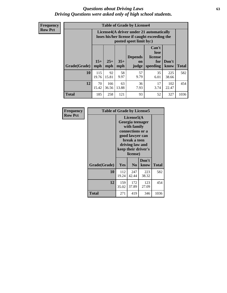#### *Questions about Driving Laws* **63** *Driving Questions were asked only of high school students.*

**Frequency Row Pct**

| <b>Table of Grade by License4</b> |              |                                                                                                                      |              |                               |                                             |               |              |  |  |  |
|-----------------------------------|--------------|----------------------------------------------------------------------------------------------------------------------|--------------|-------------------------------|---------------------------------------------|---------------|--------------|--|--|--|
|                                   |              | License4(A driver under 21 automatically<br>loses his/her license if caught exceeding the<br>posted speet limit by:) |              |                               |                                             |               |              |  |  |  |
| <b>Grade(Grade)</b>               | $15+$<br>mph | $25+$<br>mph                                                                                                         | $35+$<br>mph | <b>Depends</b><br>on<br>judge | Can't<br>lose<br>license<br>for<br>speeding | Don't<br>know | <b>Total</b> |  |  |  |
| 10                                | 115<br>19.76 | 92<br>15.81                                                                                                          | 58<br>9.97   | 57<br>9.79                    | 35<br>6.01                                  | 225<br>38.66  | 582          |  |  |  |
| 12                                | 70<br>15.42  | 166<br>36.56                                                                                                         | 63<br>13.88  | 36<br>7.93                    | 17<br>3.74                                  | 102<br>22.47  | 454          |  |  |  |
| <b>Total</b>                      | 185          | 258                                                                                                                  | 121          | 93                            | 52                                          | 327           | 1036         |  |  |  |

| Frequency      | <b>Table of Grade by License5</b> |              |                                                                                                                                                            |               |       |  |  |  |
|----------------|-----------------------------------|--------------|------------------------------------------------------------------------------------------------------------------------------------------------------------|---------------|-------|--|--|--|
| <b>Row Pct</b> |                                   |              | License5(A<br>Georgia teenager<br>with family<br>connections or a<br>good lawyer can<br>break a teen<br>driving law and<br>keep their driver's<br>license) |               |       |  |  |  |
|                | Grade(Grade)                      | Yes          | N <sub>0</sub>                                                                                                                                             | Don't<br>know | Total |  |  |  |
|                | 10                                | 112<br>19.24 | 247<br>42.44                                                                                                                                               | 223<br>38.32  | 582   |  |  |  |
|                | 12                                | 159<br>35.02 | 172<br>37.89                                                                                                                                               | 123<br>27.09  | 454   |  |  |  |
|                | <b>Total</b>                      | 271          | 419                                                                                                                                                        | 346           | 1036  |  |  |  |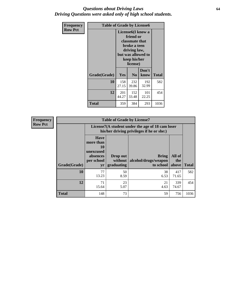#### *Questions about Driving Laws* **64** *Driving Questions were asked only of high school students.*

| <b>Frequency</b> | <b>Table of Grade by License6</b> |                                                                                                                                                 |                |               |              |
|------------------|-----------------------------------|-------------------------------------------------------------------------------------------------------------------------------------------------|----------------|---------------|--------------|
| <b>Row Pct</b>   |                                   | License <sub>6</sub> (I know a<br>friend or<br>classmate that<br>broke a teen<br>driving law,<br>but was allowed to<br>keep his/her<br>license) |                |               |              |
|                  | Grade(Grade)                      | <b>Yes</b>                                                                                                                                      | N <sub>0</sub> | Don't<br>know | <b>Total</b> |
|                  | 10                                | 158<br>27.15                                                                                                                                    | 232<br>39.86   | 192<br>32.99  | 582          |
|                  | 12                                | 201<br>44.27                                                                                                                                    | 152<br>33.48   | 101<br>22.25  | 454          |
|                  | <b>Total</b>                      | 359                                                                                                                                             | 384            | 293           | 1036         |

| Frequency      |              |                                                                             | <b>Table of Grade by License7</b>                                                             |                                                   |                        |              |  |
|----------------|--------------|-----------------------------------------------------------------------------|-----------------------------------------------------------------------------------------------|---------------------------------------------------|------------------------|--------------|--|
| <b>Row Pct</b> |              |                                                                             | License7(A student under the age of 18 cam loser<br>his/her driving privileges if he or she:) |                                                   |                        |              |  |
|                | Grade(Grade) | <b>Have</b><br>more than<br>10<br>unexcused<br>absences<br>per school<br>yr | Drop out<br>without  <br>graduating                                                           | <b>Bring</b><br>alcohol/drugs/weapon<br>to school | All of<br>the<br>above | <b>Total</b> |  |
|                | 10           | 77<br>13.23                                                                 | 50<br>8.59                                                                                    | 38<br>6.53                                        | 417<br>71.65           | 582          |  |
|                | 12           | 71<br>15.64                                                                 | 23<br>5.07                                                                                    | 21<br>4.63                                        | 339<br>74.67           | 454          |  |
|                | <b>Total</b> | 148                                                                         | 73                                                                                            | 59                                                | 756                    | 1036         |  |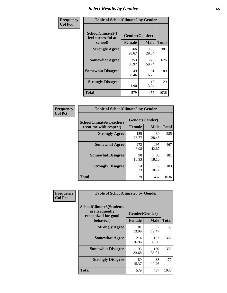# *Select Results by Gender* **65**

| Frequency      | <b>Table of SchoolClimate2 by Gender</b>          |                                 |              |              |  |
|----------------|---------------------------------------------------|---------------------------------|--------------|--------------|--|
| <b>Col Pct</b> | SchoolClimate2(I<br>feel successful at<br>school) | Gender(Gender)<br><b>Female</b> | <b>Male</b>  | <b>Total</b> |  |
|                | <b>Strongly Agree</b>                             | 166<br>28.67                    | 135<br>29.54 | 301          |  |
|                | <b>Somewhat Agree</b>                             | 353<br>60.97                    | 273<br>59.74 | 626          |  |
|                | <b>Somewhat Disagree</b>                          | 49<br>8.46                      | 31<br>6.78   | 80           |  |
|                | <b>Strongly Disagree</b>                          | 11<br>1.90                      | 18<br>3.94   | 29           |  |
|                | <b>Total</b>                                      | 579                             | 457          | 1036         |  |

| Frequency      | <b>Table of SchoolClimate6 by Gender</b>                 |                                                |              |              |  |
|----------------|----------------------------------------------------------|------------------------------------------------|--------------|--------------|--|
| <b>Col Pct</b> | <b>SchoolClimate6(Teachers</b><br>treat me with respect) | Gender(Gender)<br><b>Male</b><br><b>Female</b> |              | <b>Total</b> |  |
|                | <b>Strongly Agree</b>                                    | 155<br>26.77                                   | 130<br>28.45 | 285          |  |
|                | <b>Somewhat Agree</b>                                    | 272<br>46.98                                   | 195<br>42.67 | 467          |  |
|                | <b>Somewhat Disagree</b>                                 | 98<br>16.93                                    | 83<br>18.16  | 181          |  |
|                | <b>Strongly Disagree</b>                                 | 54<br>9.33                                     | 49<br>10.72  | 103          |  |
|                | Total                                                    | 579                                            | 457          | 1036         |  |

| <b>Frequency</b> | <b>Table of SchoolClimate8 by Gender</b>                                             |                                 |              |      |  |
|------------------|--------------------------------------------------------------------------------------|---------------------------------|--------------|------|--|
| <b>Col Pct</b>   | <b>SchoolClimate8(Students</b><br>are frequently<br>recognized for good<br>behavior) | Gender(Gender)<br><b>Female</b> | <b>Total</b> |      |  |
|                  |                                                                                      |                                 | <b>Male</b>  |      |  |
|                  | <b>Strongly Agree</b>                                                                | 81<br>13.99                     | 57<br>12.47  | 138  |  |
|                  | <b>Somewhat Agree</b>                                                                | 214<br>36.96                    | 152<br>33.26 | 366  |  |
|                  | <b>Somewhat Disagree</b>                                                             | 195<br>33.68                    | 160<br>35.01 | 355  |  |
|                  | <b>Strongly Disagree</b>                                                             | 89<br>15.37                     | 88<br>19.26  | 177  |  |
|                  | Total                                                                                | 579                             | 457          | 1036 |  |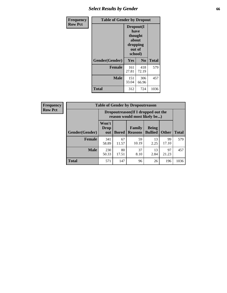# *Select Results by Gender* **66**

| <b>Frequency</b> | <b>Table of Gender by Dropout</b> |                                                                        |              |              |
|------------------|-----------------------------------|------------------------------------------------------------------------|--------------|--------------|
| <b>Row Pct</b>   |                                   | Dropout(I<br>have<br>thought<br>about<br>dropping<br>out of<br>school) |              |              |
|                  | Gender(Gender)                    | Yes                                                                    | No           | <b>Total</b> |
|                  | <b>Female</b>                     | 161<br>27.81                                                           | 418<br>72.19 | 579          |
|                  | <b>Male</b>                       | 151<br>33.04                                                           | 306<br>66.96 | 457          |
|                  | <b>Total</b>                      | 312                                                                    | 724          | 1036         |

| <b>Frequency</b> |                       | <b>Table of Gender by Dropoutreason</b><br>Dropoutreason(If I dropped out the<br>reason would most likely be) |              |                                 |                                |              |              |
|------------------|-----------------------|---------------------------------------------------------------------------------------------------------------|--------------|---------------------------------|--------------------------------|--------------|--------------|
| <b>Row Pct</b>   |                       |                                                                                                               |              |                                 |                                |              |              |
|                  | <b>Gender(Gender)</b> | Won't<br>Drop<br>out                                                                                          | <b>Bored</b> | <b>Family</b><br><b>Reasons</b> | <b>Being</b><br><b>Bullied</b> | <b>Other</b> | <b>Total</b> |
|                  | Female                | 341<br>58.89                                                                                                  | 67<br>11.57  | 59<br>10.19                     | 13<br>2.25                     | 99<br>17.10  | 579          |
|                  | <b>Male</b>           | 230<br>50.33                                                                                                  | 80<br>17.51  | 37<br>8.10                      | 13<br>2.84                     | 97<br>21.23  | 457          |
|                  | <b>Total</b>          | 571                                                                                                           | 147          | 96                              | 26                             | 196          | 1036         |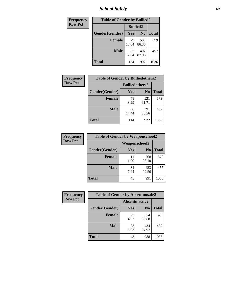*School Safety* **67**

| Frequency      | <b>Table of Gender by Bullied2</b> |                 |                |              |  |
|----------------|------------------------------------|-----------------|----------------|--------------|--|
| <b>Row Pct</b> |                                    | <b>Bullied2</b> |                |              |  |
|                | Gender(Gender)                     | Yes             | N <sub>0</sub> | <b>Total</b> |  |
|                | <b>Female</b>                      | 79<br>13.64     | 500<br>86.36   | 579          |  |
|                | <b>Male</b>                        | 55<br>12.04     | 402<br>87.96   | 457          |  |
|                | <b>Total</b>                       | 134             | 902            | 1036         |  |

| Frequency      | <b>Table of Gender by Bulliedothers2</b> |                       |                |              |  |
|----------------|------------------------------------------|-----------------------|----------------|--------------|--|
| <b>Row Pct</b> |                                          | <b>Bulliedothers2</b> |                |              |  |
|                | Gender(Gender)                           | <b>Yes</b>            | N <sub>0</sub> | <b>Total</b> |  |
|                | <b>Female</b>                            | 48<br>8.29            | 531<br>91.71   | 579          |  |
|                | <b>Male</b>                              | 66<br>14.44           | 391<br>85.56   | 457          |  |
|                | <b>Total</b>                             | 114                   | 922            | 1036         |  |

| Frequency      | <b>Table of Gender by Weaponschool2</b> |                      |                |              |  |
|----------------|-----------------------------------------|----------------------|----------------|--------------|--|
| <b>Row Pct</b> |                                         | <b>Weaponschool2</b> |                |              |  |
|                | Gender(Gender)                          | <b>Yes</b>           | N <sub>0</sub> | <b>Total</b> |  |
|                | Female                                  | 11<br>1.90           | 568<br>98.10   | 579          |  |
|                | <b>Male</b>                             | 34<br>7.44           | 423<br>92.56   | 457          |  |
|                | <b>Total</b>                            | 45                   | 991            | 1036         |  |

| Frequency      | <b>Table of Gender by Absentunsafe2</b> |               |                |              |  |  |
|----------------|-----------------------------------------|---------------|----------------|--------------|--|--|
| <b>Row Pct</b> |                                         | Absentunsafe2 |                |              |  |  |
|                | Gender(Gender)                          | Yes           | N <sub>0</sub> | <b>Total</b> |  |  |
|                | <b>Female</b>                           | 25<br>4.32    | 554<br>95.68   | 579          |  |  |
|                | <b>Male</b>                             | 23<br>5.03    | 434<br>94.97   | 457          |  |  |
|                | <b>Total</b>                            | 48            | 988            | 1036         |  |  |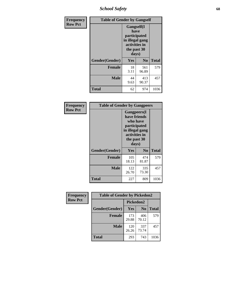*School Safety* **68**

| Frequency      | <b>Table of Gender by Gangself</b> |                                                                                                        |              |              |  |
|----------------|------------------------------------|--------------------------------------------------------------------------------------------------------|--------------|--------------|--|
| <b>Row Pct</b> |                                    | <b>Gangself</b> (I<br>have<br>participated<br>in illegal gang<br>activities in<br>the past 30<br>days) |              |              |  |
|                | Gender(Gender)                     | Yes                                                                                                    | $\bf No$     | <b>Total</b> |  |
|                | <b>Female</b>                      | 18<br>3.11                                                                                             | 561<br>96.89 | 579          |  |
|                | <b>Male</b>                        | 44<br>9.63                                                                                             | 413<br>90.37 | 457          |  |
|                | <b>Total</b>                       | 62                                                                                                     | 974          | 1036         |  |

| Frequency      | <b>Table of Gender by Gangpeers</b> |                                                                                                                             |                |       |
|----------------|-------------------------------------|-----------------------------------------------------------------------------------------------------------------------------|----------------|-------|
| <b>Row Pct</b> |                                     | <b>Gangpeers</b> (I<br>have friends<br>who have<br>participated<br>in illegal gang<br>activities in<br>the past 30<br>days) |                |       |
|                | Gender(Gender)                      | Yes                                                                                                                         | N <sub>0</sub> | Total |
|                | <b>Female</b>                       | 105<br>18.13                                                                                                                | 474<br>81.87   | 579   |
|                | <b>Male</b>                         | 122<br>26.70                                                                                                                | 335<br>73.30   | 457   |
|                | <b>Total</b>                        | 227                                                                                                                         | 809            | 1036  |

| Frequency      | <b>Table of Gender by Pickedon2</b> |              |                |              |
|----------------|-------------------------------------|--------------|----------------|--------------|
| <b>Row Pct</b> |                                     | Pickedon2    |                |              |
|                | Gender(Gender)                      | Yes          | N <sub>0</sub> | <b>Total</b> |
|                | <b>Female</b>                       | 173<br>29.88 | 406<br>70.12   | 579          |
|                | <b>Male</b>                         | 120<br>26.26 | 337<br>73.74   | 457          |
|                | <b>Total</b>                        | 293          | 743            | 1036         |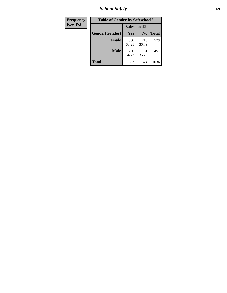*School Safety* **69**

| Frequency      | <b>Table of Gender by Safeschool2</b> |              |                |              |
|----------------|---------------------------------------|--------------|----------------|--------------|
| <b>Row Pct</b> |                                       | Safeschool2  |                |              |
|                | Gender(Gender)                        | <b>Yes</b>   | N <sub>0</sub> | <b>Total</b> |
|                | <b>Female</b>                         | 366<br>63.21 | 213<br>36.79   | 579          |
|                | <b>Male</b>                           | 296<br>64.77 | 161<br>35.23   | 457          |
|                | <b>Total</b>                          | 662          | 374            | 1036         |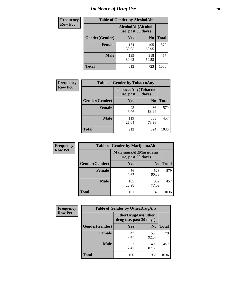# *Incidence of Drug Use* **70**

| <b>Frequency</b> | <b>Table of Gender by AlcoholAlt</b> |                                          |                |              |  |
|------------------|--------------------------------------|------------------------------------------|----------------|--------------|--|
| <b>Row Pct</b>   |                                      | AlcoholAlt(Alcohol<br>use, past 30 days) |                |              |  |
|                  | Gender(Gender)                       | <b>Yes</b>                               | N <sub>0</sub> | <b>Total</b> |  |
|                  | <b>Female</b>                        | 174<br>30.05                             | 405<br>69.95   | 579          |  |
|                  | <b>Male</b>                          | 139<br>30.42                             | 318<br>69.58   | 457          |  |
|                  | <b>Total</b>                         | 313                                      | 723            | 1036         |  |

| Frequency      | <b>Table of Gender by TobaccoAny</b> |                                                  |                |              |  |
|----------------|--------------------------------------|--------------------------------------------------|----------------|--------------|--|
| <b>Row Pct</b> |                                      | <b>TobaccoAny</b> (Tobacco<br>use, past 30 days) |                |              |  |
|                | Gender(Gender)                       | Yes                                              | N <sub>0</sub> | <b>Total</b> |  |
|                | <b>Female</b>                        | 93<br>16.06                                      | 486<br>83.94   | 579          |  |
|                | <b>Male</b>                          | 119<br>26.04                                     | 338<br>73.96   | 457          |  |
|                | Total                                | 212                                              | 824            | 1036         |  |

| <b>Frequency</b> |                | <b>Table of Gender by MarijuanaAlt</b> |                                              |              |
|------------------|----------------|----------------------------------------|----------------------------------------------|--------------|
| <b>Row Pct</b>   |                |                                        | MarijuanaAlt(Marijuana<br>use, past 30 days) |              |
|                  | Gender(Gender) | <b>Yes</b>                             | N <sub>0</sub>                               | <b>Total</b> |
|                  | <b>Female</b>  | 56<br>9.67                             | 523<br>90.33                                 | 579          |
|                  | <b>Male</b>    | 105<br>22.98                           | 352<br>77.02                                 | 457          |
|                  | <b>Total</b>   | 161                                    | 875                                          | 1036         |

| <b>Frequency</b> | <b>Table of Gender by OtherDrugAny</b> |                                                       |                |              |
|------------------|----------------------------------------|-------------------------------------------------------|----------------|--------------|
| <b>Row Pct</b>   |                                        | <b>OtherDrugAny</b> (Other<br>drug use, past 30 days) |                |              |
|                  | Gender(Gender)                         | <b>Yes</b>                                            | N <sub>0</sub> | <b>Total</b> |
|                  | <b>Female</b>                          | 43<br>7.43                                            | 536<br>92.57   | 579          |
|                  | <b>Male</b>                            | 57<br>12.47                                           | 400<br>87.53   | 457          |
|                  | <b>Total</b>                           | 100                                                   | 936            | 1036         |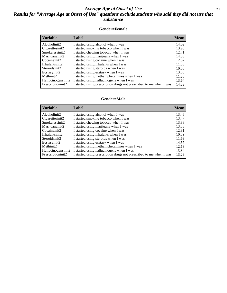#### *Average Age at Onset of Use* **71** *Results for "Average Age at Onset of Use" questions exclude students who said they did not use that substance*

#### **Gender=Female**

| <b>Variable</b>                 | <b>Label</b>                                                       | <b>Mean</b> |
|---------------------------------|--------------------------------------------------------------------|-------------|
| Alcoholinit2                    | I started using alcohol when I was                                 | 14.02       |
| Cigarettesinit2                 | I started smoking tobacco when I was                               | 13.98       |
| Smokelessinit2                  | I started chewing tobacco when I was                               | 12.71       |
| Marijuanainit2                  | I started using marijuana when I was                               | 14.33       |
| Cocaineinit2                    | I started using cocaine when I was                                 | 12.87       |
| Inhalantsinit2                  | I started using inhalants when I was                               | 11.33       |
| Steroidsinit2                   | I started using steroids when I was                                | 10.50       |
| Ecstasyinit2                    | I started using ecstasy when I was                                 | 13.88       |
| Methinit2                       | I started using methamphetamines when I was                        | 11.20       |
| Hallucinogensinit2              | I started using hallucinogens when I was                           | 13.64       |
| Prescription in it <sub>2</sub> | I started using prescription drugs not prescribed to me when I was | 14.22       |

#### **Gender=Male**

| <b>Variable</b>                 | Label                                                              | <b>Mean</b> |
|---------------------------------|--------------------------------------------------------------------|-------------|
| Alcoholinit2                    | I started using alcohol when I was                                 | 13.46       |
| Cigarettesinit2                 | I started smoking tobacco when I was                               | 13.47       |
| Smokelessinit2                  | I started chewing tobacco when I was                               | 13.88       |
| Marijuanainit2                  | I started using marijuana when I was                               | 13.33       |
| Cocaineinit2                    | I started using cocaine when I was                                 | 12.81       |
| Inhalantsinit2                  | I started using inhalants when I was                               | 10.39       |
| Steroidsinit2                   | I started using steroids when I was                                | 11.69       |
| Ecstasyinit2                    | I started using ecstasy when I was                                 | 14.57       |
| Methinit2                       | I started using methamphetamines when I was                        | 12.13       |
| Hallucinogensinit2              | I started using hallucinogens when I was                           | 13.34       |
| Prescription in it <sub>2</sub> | I started using prescription drugs not prescribed to me when I was | 13.29       |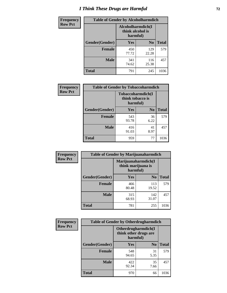# *I Think These Drugs are Harmful* **72**

| Frequency      | <b>Table of Gender by Alcoholharmdich</b> |                                                   |                |              |
|----------------|-------------------------------------------|---------------------------------------------------|----------------|--------------|
| <b>Row Pct</b> |                                           | Alcoholharmdich(I<br>think alcohol is<br>harmful) |                |              |
|                | Gender(Gender)                            | Yes                                               | N <sub>0</sub> | <b>Total</b> |
|                | <b>Female</b>                             | 450<br>77.72                                      | 129<br>22.28   | 579          |
|                | <b>Male</b>                               | 341<br>74.62                                      | 116<br>25.38   | 457          |
|                | Total                                     | 791                                               | 245            | 1036         |

| Frequency      | <b>Table of Gender by Tobaccoharmdich</b> |                              |                   |              |
|----------------|-------------------------------------------|------------------------------|-------------------|--------------|
| <b>Row Pct</b> |                                           | think tobacco is<br>harmful) | Tobaccoharmdich(I |              |
|                | Gender(Gender)                            | Yes                          | N <sub>0</sub>    | <b>Total</b> |
|                | <b>Female</b>                             | 543<br>93.78                 | 36<br>6.22        | 579          |
|                | <b>Male</b>                               | 416<br>91.03                 | 41<br>8.97        | 457          |
|                | <b>Total</b>                              | 959                          | 77                | 1036         |

| Frequency      | <b>Table of Gender by Marijuanaharmdich</b> |                                                       |                |              |  |
|----------------|---------------------------------------------|-------------------------------------------------------|----------------|--------------|--|
| <b>Row Pct</b> |                                             | Marijuanaharmdich(I<br>think marijuana is<br>harmful) |                |              |  |
|                | Gender(Gender)                              | <b>Yes</b>                                            | N <sub>0</sub> | <b>Total</b> |  |
|                | <b>Female</b>                               | 466<br>80.48                                          | 113<br>19.52   | 579          |  |
|                | <b>Male</b>                                 | 315<br>68.93                                          | 142<br>31.07   | 457          |  |
|                | <b>Total</b>                                | 781                                                   | 255            | 1036         |  |

| Frequency      | <b>Table of Gender by Otherdrugharmdich</b> |                                                          |                |              |
|----------------|---------------------------------------------|----------------------------------------------------------|----------------|--------------|
| <b>Row Pct</b> |                                             | Otherdrugharmdich(I<br>think other drugs are<br>harmful) |                |              |
|                | Gender(Gender)                              | <b>Yes</b>                                               | N <sub>0</sub> | <b>Total</b> |
|                | <b>Female</b>                               | 548<br>94.65                                             | 31<br>5.35     | 579          |
|                | <b>Male</b>                                 | 422<br>92.34                                             | 35<br>7.66     | 457          |
|                | <b>Total</b>                                | 970                                                      | 66             | 1036         |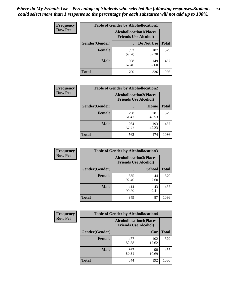| <b>Frequency</b> | <b>Table of Gender by Alcohollocation1</b> |                                                               |              |              |
|------------------|--------------------------------------------|---------------------------------------------------------------|--------------|--------------|
| <b>Row Pct</b>   |                                            | <b>Alcohollocation1(Places</b><br><b>Friends Use Alcohol)</b> |              |              |
|                  | Gender(Gender)                             |                                                               | Do Not Use   | <b>Total</b> |
|                  | <b>Female</b>                              | 392<br>67.70                                                  | 187<br>32.30 | 579          |
|                  | <b>Male</b>                                | 308<br>67.40                                                  | 149<br>32.60 | 457          |
|                  | <b>Total</b>                               | 700                                                           | 336          | 1036         |

| <b>Frequency</b> | <b>Table of Gender by Alcohollocation2</b> |              |                                                               |              |
|------------------|--------------------------------------------|--------------|---------------------------------------------------------------|--------------|
| <b>Row Pct</b>   |                                            |              | <b>Alcohollocation2(Places</b><br><b>Friends Use Alcohol)</b> |              |
|                  | Gender(Gender)                             |              | <b>Home</b>                                                   | <b>Total</b> |
|                  | <b>Female</b>                              | 298<br>51.47 | 281<br>48.53                                                  | 579          |
|                  | <b>Male</b>                                | 264<br>57.77 | 193<br>42.23                                                  | 457          |
|                  | <b>Total</b>                               | 562          | 474                                                           | 1036         |

| Frequency      | <b>Table of Gender by Alcohollocation3</b> |                             |                                |              |
|----------------|--------------------------------------------|-----------------------------|--------------------------------|--------------|
| <b>Row Pct</b> |                                            | <b>Friends Use Alcohol)</b> | <b>Alcohollocation3(Places</b> |              |
|                | Gender(Gender)                             |                             | <b>School</b>                  | <b>Total</b> |
|                | <b>Female</b>                              | 535<br>92.40                | 44<br>7.60                     | 579          |
|                | <b>Male</b>                                | 414<br>90.59                | 43<br>9.41                     | 457          |
|                | <b>Total</b>                               | 949                         | 87                             | 1036         |

| Frequency      | <b>Table of Gender by Alcohollocation4</b> |                             |                                |              |
|----------------|--------------------------------------------|-----------------------------|--------------------------------|--------------|
| <b>Row Pct</b> |                                            | <b>Friends Use Alcohol)</b> | <b>Alcohollocation4(Places</b> |              |
|                | <b>Gender</b> (Gender)                     |                             | Car                            | <b>Total</b> |
|                | <b>Female</b>                              | 477<br>82.38                | 102<br>17.62                   | 579          |
|                | <b>Male</b>                                | 367<br>80.31                | 90<br>19.69                    | 457          |
|                | <b>Total</b>                               | 844                         | 192                            | 1036         |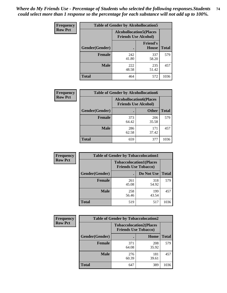| <b>Frequency</b> | <b>Table of Gender by Alcohollocation5</b> |              |                                                               |              |
|------------------|--------------------------------------------|--------------|---------------------------------------------------------------|--------------|
| <b>Row Pct</b>   |                                            |              | <b>Alcohollocation5(Places</b><br><b>Friends Use Alcohol)</b> |              |
|                  | Gender(Gender)                             | $\bullet$    | <b>Friend's</b><br><b>House</b>                               | <b>Total</b> |
|                  | <b>Female</b>                              | 242<br>41.80 | 337<br>58.20                                                  | 579          |
|                  | <b>Male</b>                                | 222<br>48.58 | 235<br>51.42                                                  | 457          |
|                  | <b>Total</b>                               | 464          | 572                                                           | 1036         |

| <b>Frequency</b> | <b>Table of Gender by Alcohollocation6</b> |                                                               |              |              |
|------------------|--------------------------------------------|---------------------------------------------------------------|--------------|--------------|
| <b>Row Pct</b>   |                                            | <b>Alcohollocation6(Places</b><br><b>Friends Use Alcohol)</b> |              |              |
|                  | <b>Gender</b> (Gender)                     |                                                               | <b>Other</b> | <b>Total</b> |
|                  | <b>Female</b>                              | 373<br>64.42                                                  | 206<br>35.58 | 579          |
|                  | <b>Male</b>                                | 286<br>62.58                                                  | 171<br>37.42 | 457          |
|                  | <b>Total</b>                               | 659                                                           | 377          | 1036         |

| Frequency      | <b>Table of Gender by Tobaccolocation1</b> |                                                               |              |              |  |
|----------------|--------------------------------------------|---------------------------------------------------------------|--------------|--------------|--|
| <b>Row Pct</b> |                                            | <b>Tobaccolocation1(Places</b><br><b>Friends Use Tobacco)</b> |              |              |  |
|                | Gender(Gender)                             |                                                               | Do Not Use   | <b>Total</b> |  |
|                | Female                                     | 261<br>45.08                                                  | 318<br>54.92 | 579          |  |
|                | <b>Male</b>                                | 258<br>56.46                                                  | 199<br>43.54 | 457          |  |
|                | <b>Total</b>                               | 519                                                           | 517          | 1036         |  |

| Frequency      | <b>Table of Gender by Tobaccolocation2</b> |              |                                                               |              |  |
|----------------|--------------------------------------------|--------------|---------------------------------------------------------------|--------------|--|
| <b>Row Pct</b> |                                            |              | <b>Tobaccolocation2(Places</b><br><b>Friends Use Tobacco)</b> |              |  |
|                | Gender(Gender)                             |              | Home                                                          | <b>Total</b> |  |
|                | <b>Female</b>                              | 371<br>64.08 | 208<br>35.92                                                  | 579          |  |
|                | <b>Male</b>                                | 276<br>60.39 | 181<br>39.61                                                  | 457          |  |
|                | <b>Total</b>                               | 647          | 389                                                           | 1036         |  |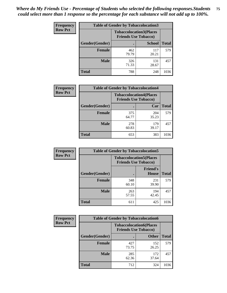| <b>Frequency</b> | <b>Table of Gender by Tobaccolocation3</b> |                                                               |               |              |
|------------------|--------------------------------------------|---------------------------------------------------------------|---------------|--------------|
| <b>Row Pct</b>   |                                            | <b>Tobaccolocation3(Places</b><br><b>Friends Use Tobacco)</b> |               |              |
|                  | Gender(Gender)                             |                                                               | <b>School</b> | <b>Total</b> |
|                  | <b>Female</b>                              | 462<br>79.79                                                  | 117<br>20.21  | 579          |
|                  | <b>Male</b>                                | 326<br>71.33                                                  | 131<br>28.67  | 457          |
|                  | <b>Total</b>                               | 788                                                           | 248           | 1036         |

| <b>Frequency</b> | <b>Table of Gender by Tobaccolocation4</b> |                                                               |              |              |
|------------------|--------------------------------------------|---------------------------------------------------------------|--------------|--------------|
| <b>Row Pct</b>   |                                            | <b>Tobaccolocation4(Places</b><br><b>Friends Use Tobacco)</b> |              |              |
|                  | Gender(Gender)                             |                                                               | Car          | <b>Total</b> |
|                  | Female                                     | 375<br>64.77                                                  | 204<br>35.23 | 579          |
|                  | <b>Male</b>                                | 278<br>60.83                                                  | 179<br>39.17 | 457          |
|                  | <b>Total</b>                               | 653                                                           | 383          | 1036         |

| <b>Frequency</b> | <b>Table of Gender by Tobaccolocation5</b> |                                                               |                                 |              |
|------------------|--------------------------------------------|---------------------------------------------------------------|---------------------------------|--------------|
| <b>Row Pct</b>   |                                            | <b>Tobaccolocation5(Places</b><br><b>Friends Use Tobacco)</b> |                                 |              |
|                  | Gender(Gender)                             |                                                               | <b>Friend's</b><br><b>House</b> | <b>Total</b> |
|                  | <b>Female</b>                              | 348<br>60.10                                                  | 231<br>39.90                    | 579          |
|                  | <b>Male</b>                                | 263<br>57.55                                                  | 194<br>42.45                    | 457          |
|                  | <b>Total</b>                               | 611                                                           | 425                             | 1036         |

| <b>Frequency</b> | <b>Table of Gender by Tobaccolocation6</b> |                                                               |              |              |
|------------------|--------------------------------------------|---------------------------------------------------------------|--------------|--------------|
| <b>Row Pct</b>   |                                            | <b>Tobaccolocation6(Places</b><br><b>Friends Use Tobacco)</b> |              |              |
|                  | Gender(Gender)                             |                                                               | <b>Other</b> | <b>Total</b> |
|                  | Female                                     | 427<br>73.75                                                  | 152<br>26.25 | 579          |
|                  | <b>Male</b>                                | 285<br>62.36                                                  | 172<br>37.64 | 457          |
|                  | <b>Total</b>                               | 712                                                           | 324          | 1036         |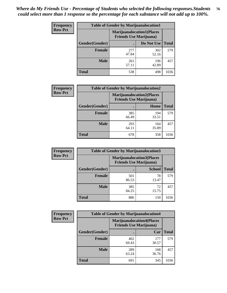| <b>Frequency</b> | <b>Table of Gender by Marijuanalocation1</b> |                                                                    |              |              |
|------------------|----------------------------------------------|--------------------------------------------------------------------|--------------|--------------|
| <b>Row Pct</b>   |                                              | <b>Marijuanalocation1(Places</b><br><b>Friends Use Marijuana</b> ) |              |              |
|                  | Gender(Gender)                               |                                                                    | Do Not Use   | <b>Total</b> |
|                  | <b>Female</b>                                | 277<br>47.84                                                       | 302<br>52.16 | 579          |
|                  | <b>Male</b>                                  | 261<br>57.11                                                       | 196<br>42.89 | 457          |
|                  | <b>Total</b>                                 | 538                                                                | 498          | 1036         |

| <b>Frequency</b> | <b>Table of Gender by Marijuanalocation2</b> |                                                                    |              |              |
|------------------|----------------------------------------------|--------------------------------------------------------------------|--------------|--------------|
| <b>Row Pct</b>   |                                              | <b>Marijuanalocation2(Places</b><br><b>Friends Use Marijuana</b> ) |              |              |
|                  | Gender(Gender)                               |                                                                    | Home         | <b>Total</b> |
|                  | <b>Female</b>                                | 385<br>66.49                                                       | 194<br>33.51 | 579          |
|                  | <b>Male</b>                                  | 293<br>64.11                                                       | 164<br>35.89 | 457          |
|                  | Total                                        | 678                                                                | 358          | 1036         |

| Frequency      | <b>Table of Gender by Marijuanalocation3</b> |                                                                     |               |              |
|----------------|----------------------------------------------|---------------------------------------------------------------------|---------------|--------------|
| <b>Row Pct</b> |                                              | <b>Marijuanalocation3(Places)</b><br><b>Friends Use Marijuana</b> ) |               |              |
|                | Gender(Gender)                               |                                                                     | <b>School</b> | <b>Total</b> |
|                | Female                                       | 501<br>86.53                                                        | 78<br>13.47   | 579          |
|                | <b>Male</b>                                  | 385<br>84.25                                                        | 72<br>15.75   | 457          |
|                | <b>Total</b>                                 | 886                                                                 | 150           | 1036         |

| <b>Frequency</b> | <b>Table of Gender by Marijuanalocation4</b> |                                                                    |              |              |  |
|------------------|----------------------------------------------|--------------------------------------------------------------------|--------------|--------------|--|
| <b>Row Pct</b>   |                                              | <b>Marijuanalocation4(Places</b><br><b>Friends Use Marijuana</b> ) |              |              |  |
|                  | Gender(Gender)                               |                                                                    | Car          | <b>Total</b> |  |
|                  | <b>Female</b>                                | 402<br>69.43                                                       | 177<br>30.57 | 579          |  |
|                  | <b>Male</b>                                  | 289<br>63.24                                                       | 168<br>36.76 | 457          |  |
|                  | <b>Total</b>                                 | 691                                                                | 345          | 1036         |  |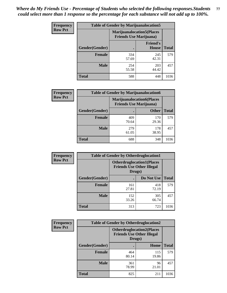| <b>Frequency</b> | <b>Table of Gender by Marijuanalocation5</b> |                                                                     |                                 |              |
|------------------|----------------------------------------------|---------------------------------------------------------------------|---------------------------------|--------------|
| <b>Row Pct</b>   |                                              | <b>Marijuanalocation5</b> (Places<br><b>Friends Use Marijuana</b> ) |                                 |              |
|                  | Gender(Gender)                               |                                                                     | <b>Friend's</b><br><b>House</b> | <b>Total</b> |
|                  | <b>Female</b>                                | 334<br>57.69                                                        | 245<br>42.31                    | 579          |
|                  | <b>Male</b>                                  | 254<br>55.58                                                        | 203<br>44.42                    | 457          |
|                  | <b>Total</b>                                 | 588                                                                 | 448                             | 1036         |

| <b>Frequency</b> | <b>Table of Gender by Marijuanalocation6</b> |                                |                                  |       |
|------------------|----------------------------------------------|--------------------------------|----------------------------------|-------|
| <b>Row Pct</b>   |                                              | <b>Friends Use Marijuana</b> ) | <b>Marijuanalocation6(Places</b> |       |
|                  | <b>Gender</b> (Gender)                       |                                | <b>Other</b>                     | Total |
|                  | <b>Female</b>                                | 409<br>70.64                   | 170<br>29.36                     | 579   |
|                  | <b>Male</b>                                  | 279<br>61.05                   | 178<br>38.95                     | 457   |
|                  | <b>Total</b>                                 | 688                            | 348                              | 1036  |

| Frequency      | <b>Table of Gender by Otherdruglocation1</b> |                                                                                |              |              |
|----------------|----------------------------------------------|--------------------------------------------------------------------------------|--------------|--------------|
| <b>Row Pct</b> |                                              | <b>Otherdruglocation1(Places</b><br><b>Friends Use Other Illegal</b><br>Drugs) |              |              |
|                | Gender(Gender)                               |                                                                                | Do Not Use   | <b>Total</b> |
|                | Female                                       | 161<br>27.81                                                                   | 418<br>72.19 | 579          |
|                | <b>Male</b>                                  | 152<br>33.26                                                                   | 305<br>66.74 | 457          |
|                | <b>Total</b>                                 | 313                                                                            | 723          | 1036         |

| Frequency      | <b>Table of Gender by Otherdruglocation2</b> |                                                                                |              |              |
|----------------|----------------------------------------------|--------------------------------------------------------------------------------|--------------|--------------|
| <b>Row Pct</b> |                                              | <b>Otherdruglocation2(Places</b><br><b>Friends Use Other Illegal</b><br>Drugs) |              |              |
|                | Gender(Gender)                               |                                                                                | Home         | <b>Total</b> |
|                | Female                                       | 464<br>80.14                                                                   | 115<br>19.86 | 579          |
|                | <b>Male</b>                                  | 361<br>78.99                                                                   | 96<br>21.01  | 457          |
|                | <b>Total</b>                                 | 825                                                                            | 211          | 1036         |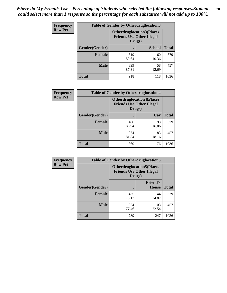| Frequency      | <b>Table of Gender by Otherdruglocation3</b> |                                                                                |               |              |
|----------------|----------------------------------------------|--------------------------------------------------------------------------------|---------------|--------------|
| <b>Row Pct</b> |                                              | <b>Otherdruglocation3(Places</b><br><b>Friends Use Other Illegal</b><br>Drugs) |               |              |
|                | Gender(Gender)                               |                                                                                | <b>School</b> | <b>Total</b> |
|                | <b>Female</b>                                | 519<br>89.64                                                                   | 60<br>10.36   | 579          |
|                | <b>Male</b>                                  | 399<br>87.31                                                                   | 58<br>12.69   | 457          |
|                | <b>Total</b>                                 | 918                                                                            | 118           | 1036         |

| <b>Frequency</b> | <b>Table of Gender by Otherdruglocation4</b> |                                                                                |             |              |
|------------------|----------------------------------------------|--------------------------------------------------------------------------------|-------------|--------------|
| <b>Row Pct</b>   |                                              | <b>Otherdruglocation4(Places</b><br><b>Friends Use Other Illegal</b><br>Drugs) |             |              |
|                  | Gender(Gender)                               |                                                                                | Car         | <b>Total</b> |
|                  | Female                                       | 486<br>83.94                                                                   | 93<br>16.06 | 579          |
|                  | <b>Male</b>                                  | 374<br>81.84                                                                   | 83<br>18.16 | 457          |
|                  | <b>Total</b>                                 | 860                                                                            | 176         | 1036         |

| Frequency      | <b>Table of Gender by Otherdruglocation5</b> |                                                                                |                                 |              |
|----------------|----------------------------------------------|--------------------------------------------------------------------------------|---------------------------------|--------------|
| <b>Row Pct</b> |                                              | <b>Otherdruglocation5(Places</b><br><b>Friends Use Other Illegal</b><br>Drugs) |                                 |              |
|                | Gender(Gender)                               |                                                                                | <b>Friend's</b><br><b>House</b> | <b>Total</b> |
|                | <b>Female</b>                                | 435<br>75.13                                                                   | 144<br>24.87                    | 579          |
|                | <b>Male</b>                                  | 354<br>77.46                                                                   | 103<br>22.54                    | 457          |
|                | <b>Total</b>                                 | 789                                                                            | 247                             | 1036         |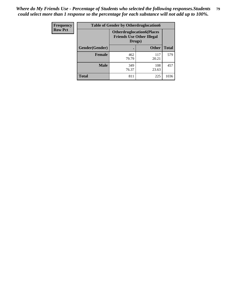| <b>Frequency</b> | <b>Table of Gender by Otherdruglocation6</b> |              |                                                                      |              |
|------------------|----------------------------------------------|--------------|----------------------------------------------------------------------|--------------|
| <b>Row Pct</b>   |                                              | Drugs)       | <b>Otherdruglocation6(Places</b><br><b>Friends Use Other Illegal</b> |              |
|                  | Gender(Gender)                               |              | <b>Other</b>                                                         | <b>Total</b> |
|                  | <b>Female</b>                                | 462<br>79.79 | 117<br>20.21                                                         | 579          |
|                  | <b>Male</b>                                  | 349<br>76.37 | 108<br>23.63                                                         | 457          |
|                  | <b>Total</b>                                 | 811          | 225                                                                  | 1036         |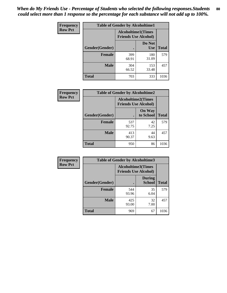| <b>Frequency</b> | <b>Table of Gender by Alcoholtime1</b> |                                                   |                      |              |
|------------------|----------------------------------------|---------------------------------------------------|----------------------|--------------|
| <b>Row Pct</b>   |                                        | Alcoholtime1(Times<br><b>Friends Use Alcohol)</b> |                      |              |
|                  | Gender(Gender)                         |                                                   | Do Not<br><b>Use</b> | <b>Total</b> |
|                  | <b>Female</b>                          | 399<br>68.91                                      | 180<br>31.09         | 579          |
|                  | <b>Male</b>                            | 304<br>66.52                                      | 153<br>33.48         | 457          |
|                  | <b>Total</b>                           | 703                                               | 333                  | 1036         |

| Frequency      | <b>Table of Gender by Alcoholtime2</b> |                                                          |                            |              |
|----------------|----------------------------------------|----------------------------------------------------------|----------------------------|--------------|
| <b>Row Pct</b> |                                        | <b>Alcoholtime2(Times</b><br><b>Friends Use Alcohol)</b> |                            |              |
|                | Gender(Gender)                         |                                                          | <b>On Way</b><br>to School | <b>Total</b> |
|                | <b>Female</b>                          | 537<br>92.75                                             | 42<br>7.25                 | 579          |
|                | <b>Male</b>                            | 413<br>90.37                                             | 44<br>9.63                 | 457          |
|                | Total                                  | 950                                                      | 86                         | 1036         |

| Frequency      | <b>Table of Gender by Alcoholtime3</b> |                                                          |                                |              |
|----------------|----------------------------------------|----------------------------------------------------------|--------------------------------|--------------|
| <b>Row Pct</b> |                                        | <b>Alcoholtime3(Times</b><br><b>Friends Use Alcohol)</b> |                                |              |
|                | Gender(Gender)                         |                                                          | <b>During</b><br><b>School</b> | <b>Total</b> |
|                | Female                                 | 544<br>93.96                                             | 35<br>6.04                     | 579          |
|                | <b>Male</b>                            | 425<br>93.00                                             | 32<br>7.00                     | 457          |
|                | <b>Total</b>                           | 969                                                      | 67                             | 1036         |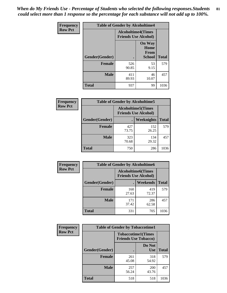*When do My Friends Use - Percentage of Students who selected the following responses.Students could select more than 1 response so the percentage for each substance will not add up to 100%.* **81**

| <b>Frequency</b> | <b>Table of Gender by Alcoholtime4</b> |                                                          |                                                |              |
|------------------|----------------------------------------|----------------------------------------------------------|------------------------------------------------|--------------|
| <b>Row Pct</b>   |                                        | <b>Alcoholtime4(Times</b><br><b>Friends Use Alcohol)</b> |                                                |              |
|                  | Gender(Gender)                         |                                                          | <b>On Way</b><br>Home<br>From<br><b>School</b> | <b>Total</b> |
|                  | <b>Female</b>                          | 526<br>90.85                                             | 53<br>9.15                                     | 579          |
|                  | <b>Male</b>                            | 411<br>89.93                                             | 46<br>10.07                                    | 457          |
|                  | <b>Total</b>                           | 937                                                      | 99                                             | 1036         |

| <b>Frequency</b> | <b>Table of Gender by Alcoholtime5</b> |                                                           |              |              |
|------------------|----------------------------------------|-----------------------------------------------------------|--------------|--------------|
| <b>Row Pct</b>   |                                        | <b>Alcoholtime5</b> (Times<br><b>Friends Use Alcohol)</b> |              |              |
|                  | Gender(Gender)                         |                                                           | Weeknights   | <b>Total</b> |
|                  | <b>Female</b>                          | 427<br>73.75                                              | 152<br>26.25 | 579          |
|                  | <b>Male</b>                            | 323<br>70.68                                              | 134<br>29.32 | 457          |
|                  | <b>Total</b>                           | 750                                                       | 286          | 1036         |

| <b>Frequency</b> | <b>Table of Gender by Alcoholtime6</b> |              |                                                          |              |
|------------------|----------------------------------------|--------------|----------------------------------------------------------|--------------|
| <b>Row Pct</b>   |                                        |              | <b>Alcoholtime6(Times</b><br><b>Friends Use Alcohol)</b> |              |
|                  | Gender(Gender)                         |              | Weekends                                                 | <b>Total</b> |
|                  | Female                                 | 160<br>27.63 | 419<br>72.37                                             | 579          |
|                  | <b>Male</b>                            | 171<br>37.42 | 286<br>62.58                                             | 457          |
|                  | <b>Total</b>                           | 331          | 705                                                      | 1036         |

| <b>Frequency</b> | <b>Table of Gender by Tobaccotime1</b> |                                                          |                      |              |
|------------------|----------------------------------------|----------------------------------------------------------|----------------------|--------------|
| <b>Row Pct</b>   |                                        | <b>Tobaccotime1(Times</b><br><b>Friends Use Tobacco)</b> |                      |              |
|                  | Gender(Gender)                         |                                                          | Do Not<br><b>Use</b> | <b>Total</b> |
|                  | <b>Female</b>                          | 261<br>45.08                                             | 318<br>54.92         | 579          |
|                  | <b>Male</b>                            | 257<br>56.24                                             | <b>200</b><br>43.76  | 457          |
|                  | <b>Total</b>                           | 518                                                      | 518                  | 1036         |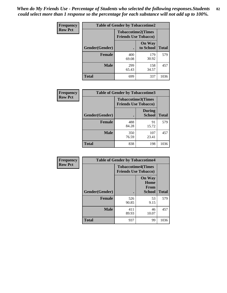| <b>Frequency</b> | <b>Table of Gender by Tobaccotime2</b> |                                                          |                            |              |
|------------------|----------------------------------------|----------------------------------------------------------|----------------------------|--------------|
| <b>Row Pct</b>   |                                        | <b>Tobaccotime2(Times</b><br><b>Friends Use Tobacco)</b> |                            |              |
|                  | Gender(Gender)                         |                                                          | <b>On Way</b><br>to School | <b>Total</b> |
|                  | <b>Female</b>                          | 400<br>69.08                                             | 179<br>30.92               | 579          |
|                  | <b>Male</b>                            | 299<br>65.43                                             | 158<br>34.57               | 457          |
|                  | <b>Total</b>                           | 699                                                      | 337                        | 1036         |

| <b>Frequency</b> | <b>Table of Gender by Tobaccotime3</b> |                             |                                |              |
|------------------|----------------------------------------|-----------------------------|--------------------------------|--------------|
| <b>Row Pct</b>   |                                        | <b>Friends Use Tobacco)</b> | <b>Tobaccotime3(Times</b>      |              |
|                  | Gender(Gender)                         |                             | <b>During</b><br><b>School</b> | <b>Total</b> |
|                  | Female                                 | 488<br>84.28                | 91<br>15.72                    | 579          |
|                  | <b>Male</b>                            | 350<br>76.59                | 107<br>23.41                   | 457          |
|                  | <b>Total</b>                           | 838                         | 198                            | 1036         |

| Frequency      | <b>Table of Gender by Tobaccotime4</b> |                                                          |                                                       |              |
|----------------|----------------------------------------|----------------------------------------------------------|-------------------------------------------------------|--------------|
| <b>Row Pct</b> |                                        | <b>Tobaccotime4(Times</b><br><b>Friends Use Tobacco)</b> |                                                       |              |
|                | Gender(Gender)                         |                                                          | <b>On Way</b><br>Home<br><b>From</b><br><b>School</b> | <b>Total</b> |
|                | <b>Female</b>                          | 526<br>90.85                                             | 53<br>9.15                                            | 579          |
|                | <b>Male</b>                            | 411<br>89.93                                             | 46<br>10.07                                           | 457          |
|                | <b>Total</b>                           | 937                                                      | 99                                                    | 1036         |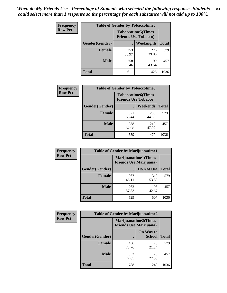| <b>Frequency</b> | <b>Table of Gender by Tobaccotime5</b> |              |                                                          |              |  |
|------------------|----------------------------------------|--------------|----------------------------------------------------------|--------------|--|
| <b>Row Pct</b>   |                                        |              | <b>Tobaccotime5(Times</b><br><b>Friends Use Tobacco)</b> |              |  |
|                  | Gender(Gender)                         |              | Weeknights                                               | <b>Total</b> |  |
|                  | <b>Female</b>                          | 353<br>60.97 | 226<br>39.03                                             | 579          |  |
|                  | <b>Male</b>                            | 258<br>56.46 | 199<br>43.54                                             | 457          |  |
|                  | <b>Total</b>                           | 611          | 425                                                      | 1036         |  |

| Frequency      | <b>Table of Gender by Tobaccotime6</b> |                                                          |                 |              |
|----------------|----------------------------------------|----------------------------------------------------------|-----------------|--------------|
| <b>Row Pct</b> |                                        | <b>Tobaccotime6(Times</b><br><b>Friends Use Tobacco)</b> |                 |              |
|                | Gender(Gender)                         |                                                          | <b>Weekends</b> | <b>Total</b> |
|                | Female                                 | 321<br>55.44                                             | 258<br>44.56    | 579          |
|                | <b>Male</b>                            | 238<br>52.08                                             | 219<br>47.92    | 457          |
|                | <b>Total</b>                           | 559                                                      | 477             | 1036         |

| <b>Frequency</b> | <b>Table of Gender by Marijuanatime1</b> |                                |                             |              |
|------------------|------------------------------------------|--------------------------------|-----------------------------|--------------|
| <b>Row Pct</b>   |                                          | <b>Friends Use Marijuana</b> ) | <b>Marijuanatime1(Times</b> |              |
|                  | Gender(Gender)                           |                                | Do Not Use                  | <b>Total</b> |
|                  | <b>Female</b>                            | 267<br>46.11                   | 312<br>53.89                | 579          |
|                  | <b>Male</b>                              | 262<br>57.33                   | 195<br>42.67                | 457          |
|                  | <b>Total</b>                             | 529                            | 507                         | 1036         |

| <b>Frequency</b> | <b>Table of Gender by Marijuanatime2</b> |                                                        |                            |              |
|------------------|------------------------------------------|--------------------------------------------------------|----------------------------|--------------|
| <b>Row Pct</b>   |                                          | Marijuanatime2(Times<br><b>Friends Use Marijuana</b> ) |                            |              |
|                  | Gender(Gender)                           |                                                        | On Way to<br><b>School</b> | <b>Total</b> |
|                  | Female                                   | 456<br>78.76                                           | 123<br>21.24               | 579          |
|                  | <b>Male</b>                              | 332<br>72.65                                           | 125<br>27.35               | 457          |
|                  | Total                                    | 788                                                    | 248                        | 1036         |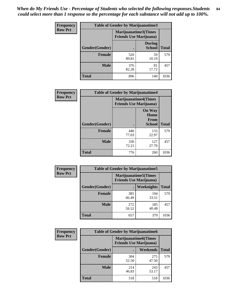*When do My Friends Use - Percentage of Students who selected the following responses.Students could select more than 1 response so the percentage for each substance will not add up to 100%.* **84**

| <b>Frequency</b> | Table of Gender by Marijuanatime3 |                                                        |                                |              |
|------------------|-----------------------------------|--------------------------------------------------------|--------------------------------|--------------|
| <b>Row Pct</b>   |                                   | Marijuanatime3(Times<br><b>Friends Use Marijuana</b> ) |                                |              |
|                  | Gender(Gender)                    |                                                        | <b>During</b><br><b>School</b> | <b>Total</b> |
|                  | Female                            | 520<br>89.81                                           | 59<br>10.19                    | 579          |
|                  | <b>Male</b>                       | 376<br>82.28                                           | 81<br>17.72                    | 457          |
|                  | <b>Total</b>                      | 896                                                    | 140                            | 1036         |

| Frequency      | <b>Table of Gender by Marijuanatime4</b> |                                                               |                                                       |              |
|----------------|------------------------------------------|---------------------------------------------------------------|-------------------------------------------------------|--------------|
| <b>Row Pct</b> |                                          | <b>Marijuanatime4(Times</b><br><b>Friends Use Marijuana</b> ) |                                                       |              |
|                | Gender(Gender)                           |                                                               | <b>On Way</b><br>Home<br><b>From</b><br><b>School</b> | <b>Total</b> |
|                | <b>Female</b>                            | 446<br>77.03                                                  | 133<br>22.97                                          | 579          |
|                | <b>Male</b>                              | 330<br>72.21                                                  | 127<br>27.79                                          | 457          |
|                | <b>Total</b>                             | 776                                                           | 260                                                   | 1036         |

| <b>Frequency</b> | <b>Table of Gender by Marijuanatime5</b> |                                                                |              |              |  |
|------------------|------------------------------------------|----------------------------------------------------------------|--------------|--------------|--|
| <b>Row Pct</b>   |                                          | <b>Marijuanatime5</b> (Times<br><b>Friends Use Marijuana</b> ) |              |              |  |
|                  | Gender(Gender)                           | ٠                                                              | Weeknights   | <b>Total</b> |  |
|                  | <b>Female</b>                            | 385<br>66.49                                                   | 194<br>33.51 | 579          |  |
|                  | <b>Male</b>                              | 272<br>59.52                                                   | 185<br>40.48 | 457          |  |
|                  | <b>Total</b>                             | 657                                                            | 379          | 1036         |  |

| <b>Frequency</b> | <b>Table of Gender by Marijuanatime6</b> |                                                               |                 |              |  |
|------------------|------------------------------------------|---------------------------------------------------------------|-----------------|--------------|--|
| <b>Row Pct</b>   |                                          | <b>Marijuanatime6(Times</b><br><b>Friends Use Marijuana</b> ) |                 |              |  |
|                  | Gender(Gender)                           |                                                               | <b>Weekends</b> | <b>Total</b> |  |
|                  | <b>Female</b>                            | 304<br>52.50                                                  | 275<br>47.50    | 579          |  |
|                  | <b>Male</b>                              | 214<br>46.83                                                  | 243<br>53.17    | 457          |  |
|                  | <b>Total</b>                             | 518                                                           | 518             | 1036         |  |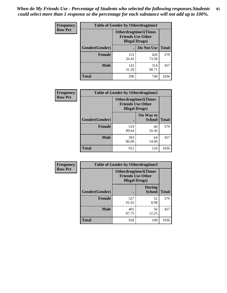*When do My Friends Use - Percentage of Students who selected the following responses.Students could select more than 1 response so the percentage for each substance will not add up to 100%.* **85**

| <b>Frequency</b> | <b>Table of Gender by Otherdrugtime1</b> |                                                    |                             |              |
|------------------|------------------------------------------|----------------------------------------------------|-----------------------------|--------------|
| <b>Row Pct</b>   |                                          | <b>Friends Use Other</b><br><b>Illegal Drugs</b> ) | <b>Otherdrugtime1(Times</b> |              |
|                  | Gender(Gender)                           |                                                    | Do Not Use                  | <b>Total</b> |
|                  | <b>Female</b>                            | 153<br>26.42                                       | 426<br>73.58                | 579          |
|                  | <b>Male</b>                              | 143<br>31.29                                       | 314<br>68.71                | 457          |
|                  | <b>Total</b>                             | 296                                                | 740                         | 1036         |

| Frequency      | <b>Table of Gender by Otherdrugtime2</b> |                                                                                   |                            |              |
|----------------|------------------------------------------|-----------------------------------------------------------------------------------|----------------------------|--------------|
| <b>Row Pct</b> |                                          | <b>Otherdrugtime2(Times</b><br><b>Friends Use Other</b><br><b>Illegal Drugs</b> ) |                            |              |
|                | Gender(Gender)                           |                                                                                   | On Way to<br><b>School</b> | <b>Total</b> |
|                | <b>Female</b>                            | 519<br>89.64                                                                      | 60<br>10.36                | 579          |
|                | <b>Male</b>                              | 393<br>86.00                                                                      | 64<br>14.00                | 457          |
|                | <b>Total</b>                             | 912                                                                               | 124                        | 1036         |

| Frequency      | <b>Table of Gender by Otherdrugtime3</b> |                        |                                                  |              |
|----------------|------------------------------------------|------------------------|--------------------------------------------------|--------------|
| <b>Row Pct</b> |                                          | <b>Illegal Drugs</b> ) | Otherdrugtime3(Times<br><b>Friends Use Other</b> |              |
|                | Gender(Gender)                           |                        | <b>During</b><br><b>School</b>                   | <b>Total</b> |
|                | <b>Female</b>                            | 527<br>91.02           | 52<br>8.98                                       | 579          |
|                | <b>Male</b>                              | 401<br>87.75           | 56<br>12.25                                      | 457          |
|                | <b>Total</b>                             | 928                    | 108                                              | 1036         |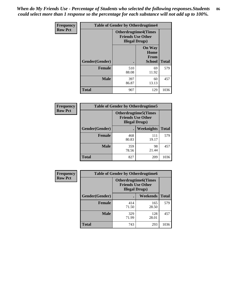*When do My Friends Use - Percentage of Students who selected the following responses.Students could select more than 1 response so the percentage for each substance will not add up to 100%.* **86**

| <b>Frequency</b> | <b>Table of Gender by Otherdrugtime4</b> |                                                    |                                                       |              |
|------------------|------------------------------------------|----------------------------------------------------|-------------------------------------------------------|--------------|
| <b>Row Pct</b>   |                                          | <b>Friends Use Other</b><br><b>Illegal Drugs</b> ) | <b>Otherdrugtime4(Times</b>                           |              |
|                  | Gender(Gender)                           |                                                    | <b>On Way</b><br>Home<br><b>From</b><br><b>School</b> | <b>Total</b> |
|                  | Female                                   | 510<br>88.08                                       | 69<br>11.92                                           | 579          |
|                  | <b>Male</b>                              | 397<br>86.87                                       | 60<br>13.13                                           | 457          |
|                  | <b>Total</b>                             | 907                                                | 129                                                   | 1036         |

| Frequency      | <b>Table of Gender by Otherdrugtime5</b> |                                                                                    |              |              |
|----------------|------------------------------------------|------------------------------------------------------------------------------------|--------------|--------------|
| <b>Row Pct</b> |                                          | <b>Otherdrugtime5</b> (Times<br><b>Friends Use Other</b><br><b>Illegal Drugs</b> ) |              |              |
|                | Gender(Gender)                           |                                                                                    | Weeknights   | <b>Total</b> |
|                | <b>Female</b>                            | 468<br>80.83                                                                       | 111<br>19.17 | 579          |
|                | <b>Male</b>                              | 359<br>78.56                                                                       | 98<br>21.44  | 457          |
|                | <b>Total</b>                             | 827                                                                                | 209          | 1036         |

| <b>Frequency</b> | <b>Table of Gender by Otherdrugtime6</b> |                                                                                   |              |              |
|------------------|------------------------------------------|-----------------------------------------------------------------------------------|--------------|--------------|
| <b>Row Pct</b>   |                                          | <b>Otherdrugtime6(Times</b><br><b>Friends Use Other</b><br><b>Illegal Drugs</b> ) |              |              |
|                  | Gender(Gender)                           |                                                                                   | Weekends     | <b>Total</b> |
|                  | <b>Female</b>                            | 414<br>71.50                                                                      | 165<br>28.50 | 579          |
|                  | <b>Male</b>                              | 329<br>71.99                                                                      | 128<br>28.01 | 457          |
|                  | <b>Total</b>                             | 743                                                                               | 293          | 1036         |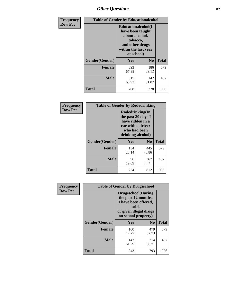# *Other Questions* **87**

| <b>Frequency</b> | <b>Table of Gender by Educationalcohol</b> |                                                                                                                                       |                |              |  |
|------------------|--------------------------------------------|---------------------------------------------------------------------------------------------------------------------------------------|----------------|--------------|--|
| <b>Row Pct</b>   |                                            | <b>Educationalcohol</b> (I<br>have been taught<br>about alcohol,<br>tobacco,<br>and other drugs<br>within the last year<br>at school) |                |              |  |
|                  | Gender(Gender)                             | <b>Yes</b>                                                                                                                            | N <sub>0</sub> | <b>Total</b> |  |
|                  | <b>Female</b>                              | 393<br>67.88                                                                                                                          | 186<br>32.12   | 579          |  |
|                  | <b>Male</b>                                | 315<br>68.93                                                                                                                          | 142<br>31.07   | 457          |  |
|                  | <b>Total</b>                               | 708                                                                                                                                   | 328            | 1036         |  |

| Frequency      | <b>Table of Gender by Rodedrinking</b> |                                                                                                                     |                |              |  |
|----------------|----------------------------------------|---------------------------------------------------------------------------------------------------------------------|----------------|--------------|--|
| <b>Row Pct</b> |                                        | Rodedrinking(In<br>the past 30 days I<br>have ridden in a<br>car with a driver<br>who had been<br>drinking alcohol) |                |              |  |
|                | Gender(Gender)                         | Yes                                                                                                                 | N <sub>0</sub> | <b>Total</b> |  |
|                | <b>Female</b>                          | 134<br>23.14                                                                                                        | 445<br>76.86   | 579          |  |
|                | <b>Male</b>                            | 90<br>19.69                                                                                                         | 367<br>80.31   | 457          |  |
|                | <b>Total</b>                           | 224                                                                                                                 | 812            | 1036         |  |

| Frequency      | <b>Table of Gender by Drugsschool</b> |                                                                                                                                     |                |              |  |
|----------------|---------------------------------------|-------------------------------------------------------------------------------------------------------------------------------------|----------------|--------------|--|
| <b>Row Pct</b> |                                       | <b>Drugsschool</b> (During<br>the past 12 months,<br>I have been offered,<br>sold,<br>or given illegal drugs<br>on school property) |                |              |  |
|                | Gender(Gender)                        | Yes                                                                                                                                 | N <sub>0</sub> | <b>Total</b> |  |
|                | <b>Female</b>                         | 100<br>17.27                                                                                                                        | 479<br>82.73   | 579          |  |
|                | <b>Male</b>                           | 143<br>31.29                                                                                                                        | 314<br>68.71   | 457          |  |
|                | <b>Total</b>                          | 243                                                                                                                                 | 793            | 1036         |  |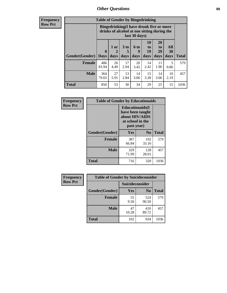# *Other Questions* **88**

**Frequency Row Pct**

| <b>Table of Gender by Bingedrinking</b> |                            |                                                                                                         |                   |                   |                        |                               |                   |              |
|-----------------------------------------|----------------------------|---------------------------------------------------------------------------------------------------------|-------------------|-------------------|------------------------|-------------------------------|-------------------|--------------|
|                                         |                            | Bingedrinking(I have drunk five or more<br>drinks of alcohol at one sitting during the<br>last 30 days) |                   |                   |                        |                               |                   |              |
| <b>Gender</b> (Gender)                  | $\mathbf 0$<br><b>Days</b> | 1 or<br>2<br>days                                                                                       | 3 to<br>5<br>days | 6 to<br>9<br>days | 10<br>to<br>19<br>days | <b>20</b><br>to<br>29<br>days | All<br>30<br>days | <b>Total</b> |
| <b>Female</b>                           | 486<br>83.94               | 26<br>4.49                                                                                              | 17<br>2.94        | 20<br>3.45        | 14<br>2.42             | 11<br>1.90                    | 5<br>0.86         | 579          |
| <b>Male</b>                             | 364<br>79.65               | 27<br>5.91                                                                                              | 13<br>2.84        | 14<br>3.06        | 15<br>3.28             | 14<br>3.06                    | 10<br>2.19        | 457          |
| <b>Total</b>                            | 850                        | 53                                                                                                      | 30                | 34                | 29                     | 25                            | 15                | 1036         |

| Frequency      | <b>Table of Gender by Educationaids</b> |                                                                                                 |                |              |  |
|----------------|-----------------------------------------|-------------------------------------------------------------------------------------------------|----------------|--------------|--|
| <b>Row Pct</b> |                                         | <b>Educationaids</b> (I<br>have been taught<br>about HIV/AIDS<br>at school in the<br>past year) |                |              |  |
|                | Gender(Gender)                          | Yes                                                                                             | N <sub>0</sub> | <b>Total</b> |  |
|                | <b>Female</b>                           | 387<br>66.84                                                                                    | 192<br>33.16   | 579          |  |
|                | <b>Male</b>                             | 329<br>71.99                                                                                    | 128<br>28.01   | 457          |  |
|                | <b>Total</b>                            | 716                                                                                             | 320            | 1036         |  |

| Frequency      | <b>Table of Gender by Suicideconsider</b> |                        |                |              |  |
|----------------|-------------------------------------------|------------------------|----------------|--------------|--|
| <b>Row Pct</b> |                                           | <b>Suicideconsider</b> |                |              |  |
|                | Gender(Gender)                            | Yes                    | N <sub>0</sub> | <b>Total</b> |  |
|                | <b>Female</b>                             | 55<br>9.50             | 524<br>90.50   | 579          |  |
|                | <b>Male</b>                               | 47<br>10.28            | 410<br>89.72   | 457          |  |
|                | <b>Total</b>                              | 102                    | 934            | 1036         |  |